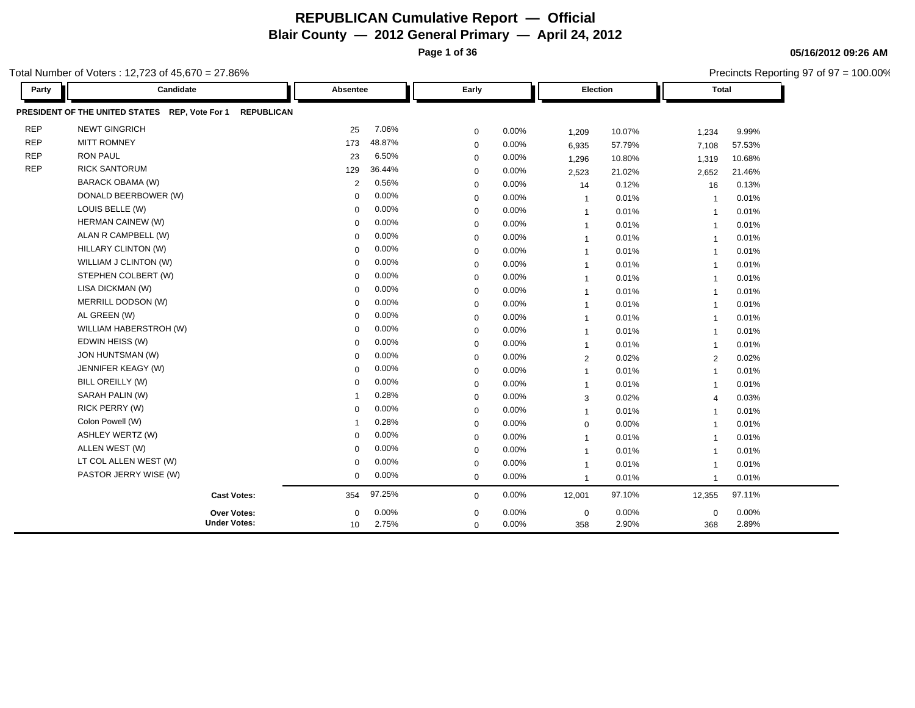**Page 1 of 36**

Total Number of Voters : 12,723 of 45,670 = 27.86%

Precincts Reporting 97 of 97 = 100.00%

| Party      | Candidate<br>Absentee                                               |                         | Early       |       |                | <b>Election</b> |                         | <b>Total</b> |  |
|------------|---------------------------------------------------------------------|-------------------------|-------------|-------|----------------|-----------------|-------------------------|--------------|--|
|            | PRESIDENT OF THE UNITED STATES REP, Vote For 1<br><b>REPUBLICAN</b> |                         |             |       |                |                 |                         |              |  |
| <b>REP</b> | <b>NEWT GINGRICH</b>                                                | 7.06%<br>25             | $\mathbf 0$ | 0.00% | 1,209          | 10.07%          | 1,234                   | 9.99%        |  |
| <b>REP</b> | <b>MITT ROMNEY</b>                                                  | 48.87%<br>173           | $\mathbf 0$ | 0.00% | 6,935          | 57.79%          | 7,108                   | 57.53%       |  |
| <b>REP</b> | <b>RON PAUL</b>                                                     | 6.50%<br>23             | $\mathbf 0$ | 0.00% | 1,296          | 10.80%          | 1,319                   | 10.68%       |  |
| <b>REP</b> | <b>RICK SANTORUM</b>                                                | 36.44%<br>129           | $\mathbf 0$ | 0.00% | 2,523          | 21.02%          | 2,652                   | 21.46%       |  |
|            | <b>BARACK OBAMA (W)</b>                                             | 0.56%<br>$\overline{2}$ | $\mathbf 0$ | 0.00% | 14             | 0.12%           | 16                      | 0.13%        |  |
|            | DONALD BEERBOWER (W)                                                | 0.00%<br>$\mathbf 0$    | $\mathbf 0$ | 0.00% | $\overline{1}$ | 0.01%           | $\overline{\mathbf{1}}$ | 0.01%        |  |
|            | LOUIS BELLE (W)                                                     | 0.00%<br>$\Omega$       | $\mathbf 0$ | 0.00% | $\overline{1}$ | 0.01%           | $\overline{1}$          | 0.01%        |  |
|            | HERMAN CAINEW (W)                                                   | 0.00%<br>$\Omega$       | $\mathbf 0$ | 0.00% | $\overline{1}$ | 0.01%           | $\overline{1}$          | 0.01%        |  |
|            | ALAN R CAMPBELL (W)                                                 | 0.00%<br>$\Omega$       | $\mathbf 0$ | 0.00% | $\overline{1}$ | 0.01%           | $\overline{1}$          | 0.01%        |  |
|            | <b>HILLARY CLINTON (W)</b>                                          | 0.00%<br>$\Omega$       | $\mathbf 0$ | 0.00% | $\overline{1}$ | 0.01%           | $\overline{1}$          | 0.01%        |  |
|            | WILLIAM J CLINTON (W)                                               | 0.00%<br>$\Omega$       | $\mathbf 0$ | 0.00% | $\overline{1}$ | 0.01%           | $\overline{\mathbf{1}}$ | 0.01%        |  |
|            | STEPHEN COLBERT (W)                                                 | 0.00%<br>$\Omega$       | $\mathbf 0$ | 0.00% | $\overline{1}$ | 0.01%           | $\overline{1}$          | 0.01%        |  |
|            | LISA DICKMAN (W)                                                    | 0.00%<br>$\Omega$       | $\mathbf 0$ | 0.00% | $\overline{1}$ | 0.01%           | $\overline{1}$          | 0.01%        |  |
|            | MERRILL DODSON (W)                                                  | 0.00%<br>$\Omega$       | $\mathbf 0$ | 0.00% | $\mathbf{1}$   | 0.01%           | $\overline{1}$          | 0.01%        |  |
|            | AL GREEN (W)                                                        | 0.00%<br>0              | $\mathbf 0$ | 0.00% | $\overline{1}$ | 0.01%           | $\overline{\mathbf{1}}$ | 0.01%        |  |
|            | WILLIAM HABERSTROH (W)                                              | 0.00%<br>$\Omega$       | $\Omega$    | 0.00% | $\overline{1}$ | 0.01%           | $\overline{1}$          | 0.01%        |  |
|            | EDWIN HEISS (W)                                                     | 0.00%<br>$\Omega$       | $\mathbf 0$ | 0.00% | $\overline{1}$ | 0.01%           | $\overline{1}$          | 0.01%        |  |
|            | JON HUNTSMAN (W)                                                    | 0.00%<br>$\Omega$       | $\mathbf 0$ | 0.00% | $\overline{2}$ | 0.02%           | 2                       | 0.02%        |  |
|            | JENNIFER KEAGY (W)                                                  | 0.00%<br>$\mathbf 0$    | $\mathbf 0$ | 0.00% | $\mathbf{1}$   | 0.01%           | $\overline{1}$          | 0.01%        |  |
|            | BILL OREILLY (W)                                                    | 0.00%<br>$\Omega$       | $\mathbf 0$ | 0.00% | $\overline{1}$ | 0.01%           | $\overline{1}$          | 0.01%        |  |
|            | SARAH PALIN (W)                                                     | 0.28%<br>-1             | $\mathbf 0$ | 0.00% | 3              | 0.02%           | $\overline{4}$          | 0.03%        |  |
|            | RICK PERRY (W)                                                      | 0.00%<br>$\Omega$       | $\mathbf 0$ | 0.00% | $\mathbf{1}$   | 0.01%           | $\overline{1}$          | 0.01%        |  |
|            | Colon Powell (W)                                                    | 0.28%<br>$\overline{1}$ | $\mathbf 0$ | 0.00% | $\mathbf 0$    | 0.00%           | $\overline{1}$          | 0.01%        |  |
|            | <b>ASHLEY WERTZ (W)</b>                                             | 0.00%<br>$\mathbf 0$    | $\mathbf 0$ | 0.00% | $\overline{1}$ | 0.01%           | $\overline{1}$          | 0.01%        |  |
|            | ALLEN WEST (W)                                                      | 0.00%<br>$\Omega$       | $\mathbf 0$ | 0.00% | $\overline{1}$ | 0.01%           | $\overline{1}$          | 0.01%        |  |
|            | LT COL ALLEN WEST (W)                                               | 0.00%<br>$\mathbf 0$    | $\mathbf 0$ | 0.00% | $\overline{1}$ | 0.01%           | $\overline{1}$          | 0.01%        |  |
|            | PASTOR JERRY WISE (W)                                               | 0.00%<br>$\mathbf 0$    | $\mathbf 0$ | 0.00% | $\mathbf{1}$   | 0.01%           | $\overline{\mathbf{1}}$ | 0.01%        |  |
|            | <b>Cast Votes:</b>                                                  | 97.25%<br>354           | $\mathbf 0$ | 0.00% | 12,001         | 97.10%          | 12,355                  | 97.11%       |  |
|            | <b>Over Votes:</b>                                                  | 0.00%<br>$\Omega$       | $\mathbf 0$ | 0.00% | $\mathbf 0$    | 0.00%           | $\mathbf 0$             | $0.00\%$     |  |
|            | <b>Under Votes:</b>                                                 | 2.75%<br>10             | $\mathbf 0$ | 0.00% | 358            | 2.90%           | 368                     | 2.89%        |  |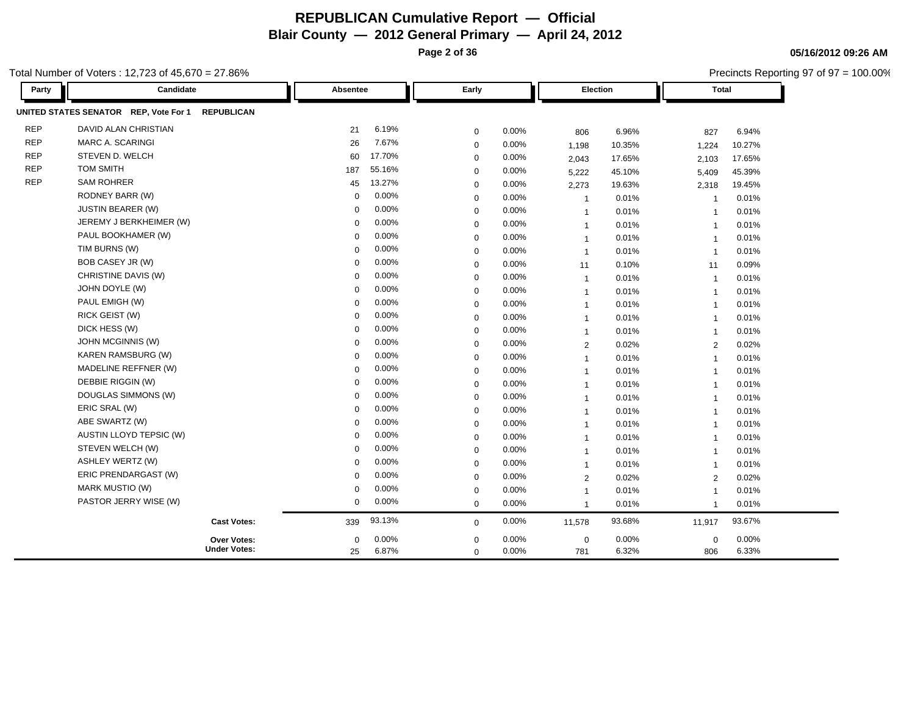**Page 2 of 36**

Precincts Reporting 97 of 97 = 100.00%

**05/16/2012 09:26 AM**

| Party      | Candidate                                                  | Absentee    |        | Early       |       | Election       |        | <b>Total</b>   |          |
|------------|------------------------------------------------------------|-------------|--------|-------------|-------|----------------|--------|----------------|----------|
|            | UNITED STATES SENATOR REP, Vote For 1<br><b>REPUBLICAN</b> |             |        |             |       |                |        |                |          |
| <b>REP</b> | DAVID ALAN CHRISTIAN                                       | 21          | 6.19%  | $\mathbf 0$ | 0.00% | 806            | 6.96%  | 827            | 6.94%    |
| <b>REP</b> | MARC A. SCARINGI                                           | 26          | 7.67%  | $\mathbf 0$ | 0.00% | 1,198          | 10.35% | 1,224          | 10.27%   |
| <b>REP</b> | STEVEN D. WELCH                                            | 60          | 17.70% | $\mathbf 0$ | 0.00% | 2,043          | 17.65% | 2,103          | 17.65%   |
| <b>REP</b> | <b>TOM SMITH</b>                                           | 187         | 55.16% | $\mathbf 0$ | 0.00% | 5,222          | 45.10% | 5,409          | 45.39%   |
| <b>REP</b> | <b>SAM ROHRER</b>                                          | 45          | 13.27% | $\mathbf 0$ | 0.00% | 2,273          | 19.63% | 2,318          | 19.45%   |
|            | RODNEY BARR (W)                                            | 0           | 0.00%  | $\mathbf 0$ | 0.00% | $\overline{1}$ | 0.01%  | -1             | 0.01%    |
|            | <b>JUSTIN BEARER (W)</b>                                   | 0           | 0.00%  | $\mathbf 0$ | 0.00% | $\overline{1}$ | 0.01%  | $\overline{1}$ | 0.01%    |
|            | JEREMY J BERKHEIMER (W)                                    | $\Omega$    | 0.00%  | $\mathbf 0$ | 0.00% | $\overline{1}$ | 0.01%  | $\overline{1}$ | 0.01%    |
|            | PAUL BOOKHAMER (W)                                         | $\mathbf 0$ | 0.00%  | $\mathbf 0$ | 0.00% | $\overline{1}$ | 0.01%  | $\overline{1}$ | 0.01%    |
|            | TIM BURNS (W)                                              | $\Omega$    | 0.00%  | $\mathbf 0$ | 0.00% | $\overline{1}$ | 0.01%  | $\overline{1}$ | 0.01%    |
|            | BOB CASEY JR (W)                                           | $\Omega$    | 0.00%  | $\mathbf 0$ | 0.00% | 11             | 0.10%  | 11             | 0.09%    |
|            | CHRISTINE DAVIS (W)                                        | $\Omega$    | 0.00%  | $\mathbf 0$ | 0.00% | $\overline{1}$ | 0.01%  | $\overline{1}$ | 0.01%    |
|            | JOHN DOYLE (W)                                             | $\Omega$    | 0.00%  | $\mathbf 0$ | 0.00% | $\overline{1}$ | 0.01%  | $\overline{1}$ | 0.01%    |
|            | PAUL EMIGH (W)                                             | $\Omega$    | 0.00%  | $\mathbf 0$ | 0.00% | $\overline{1}$ | 0.01%  | $\overline{1}$ | 0.01%    |
|            | RICK GEIST (W)                                             | $\mathbf 0$ | 0.00%  | $\mathbf 0$ | 0.00% | $\overline{1}$ | 0.01%  | $\overline{1}$ | 0.01%    |
|            | DICK HESS (W)                                              | $\mathbf 0$ | 0.00%  | $\mathbf 0$ | 0.00% | $\mathbf{1}$   | 0.01%  | $\overline{1}$ | 0.01%    |
|            | JOHN MCGINNIS (W)                                          | $\Omega$    | 0.00%  | $\mathbf 0$ | 0.00% | $\overline{2}$ | 0.02%  | 2              | 0.02%    |
|            | KAREN RAMSBURG (W)                                         | $\mathbf 0$ | 0.00%  | 0           | 0.00% | $\overline{1}$ | 0.01%  | $\overline{1}$ | 0.01%    |
|            | MADELINE REFFNER (W)                                       | $\Omega$    | 0.00%  | $\mathbf 0$ | 0.00% | $\overline{1}$ | 0.01%  | $\overline{1}$ | 0.01%    |
|            | DEBBIE RIGGIN (W)                                          | $\Omega$    | 0.00%  | $\mathbf 0$ | 0.00% | $\overline{1}$ | 0.01%  | $\overline{1}$ | 0.01%    |
|            | DOUGLAS SIMMONS (W)                                        | $\Omega$    | 0.00%  | $\mathbf 0$ | 0.00% | $\overline{1}$ | 0.01%  | $\overline{1}$ | 0.01%    |
|            | ERIC SRAL (W)                                              | $\Omega$    | 0.00%  | $\mathbf 0$ | 0.00% | $\overline{1}$ | 0.01%  | $\overline{1}$ | 0.01%    |
|            | ABE SWARTZ (W)                                             | $\Omega$    | 0.00%  | $\mathbf 0$ | 0.00% | $\overline{1}$ | 0.01%  | $\overline{1}$ | 0.01%    |
|            | AUSTIN LLOYD TEPSIC (W)                                    | $\Omega$    | 0.00%  | $\mathbf 0$ | 0.00% | $\overline{1}$ | 0.01%  | $\overline{1}$ | 0.01%    |
|            | STEVEN WELCH (W)                                           | $\mathbf 0$ | 0.00%  | $\mathbf 0$ | 0.00% | $\overline{1}$ | 0.01%  | $\overline{1}$ | 0.01%    |
|            | <b>ASHLEY WERTZ (W)</b>                                    | $\Omega$    | 0.00%  | $\mathbf 0$ | 0.00% | $\overline{1}$ | 0.01%  | $\overline{1}$ | 0.01%    |
|            | ERIC PRENDARGAST (W)                                       | $\Omega$    | 0.00%  | $\mathbf 0$ | 0.00% | $\overline{2}$ | 0.02%  | 2              | 0.02%    |
|            | MARK MUSTIO (W)                                            | 0           | 0.00%  | $\mathbf 0$ | 0.00% | $\overline{1}$ | 0.01%  | $\overline{1}$ | 0.01%    |
|            | PASTOR JERRY WISE (W)                                      | 0           | 0.00%  | $\mathbf 0$ | 0.00% | $\mathbf{1}$   | 0.01%  | $\overline{1}$ | 0.01%    |
|            | <b>Cast Votes:</b>                                         | 339         | 93.13% | $\mathbf 0$ | 0.00% | 11,578         | 93.68% | 11,917         | 93.67%   |
|            | Over Votes:                                                | $\mathbf 0$ | 0.00%  | $\mathbf 0$ | 0.00% | $\mathbf 0$    | 0.00%  | $\mathbf 0$    | $0.00\%$ |
|            | <b>Under Votes:</b>                                        | 25          | 6.87%  | $\mathbf 0$ | 0.00% | 781            | 6.32%  | 806            | 6.33%    |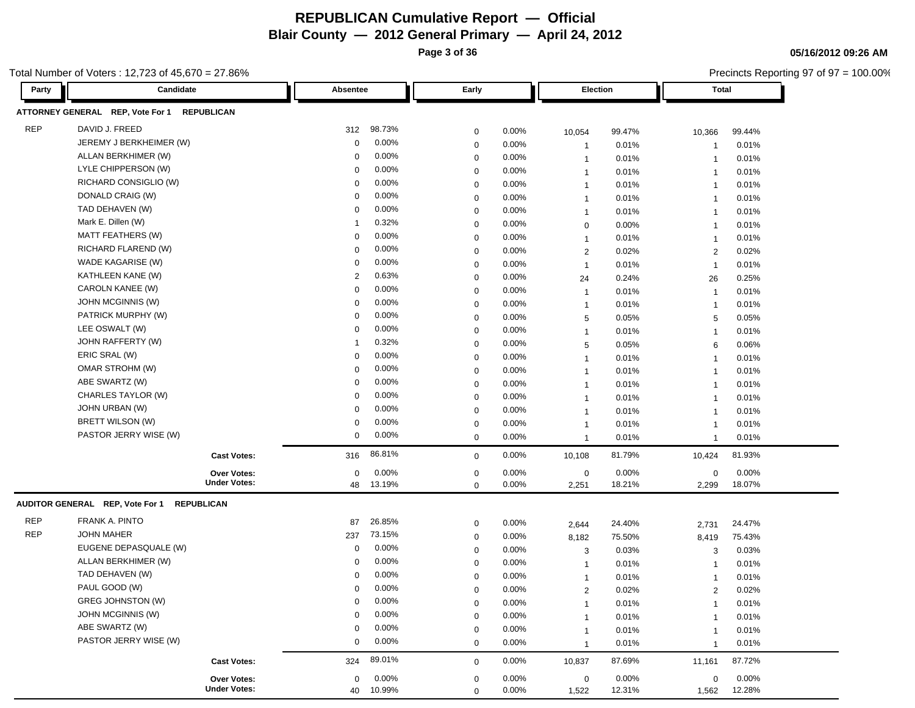**Page 3 of 36**

Precincts Reporting 97 of 97 = 100.00%

**05/16/2012 09:26 AM**

| Party      | Candidate                        |                     | Absentee    |          | Early       |       | Election             |        | <b>Total</b>   |        |
|------------|----------------------------------|---------------------|-------------|----------|-------------|-------|----------------------|--------|----------------|--------|
|            | ATTORNEY GENERAL REP, Vote For 1 | <b>REPUBLICAN</b>   |             |          |             |       |                      |        |                |        |
| <b>REP</b> | DAVID J. FREED                   |                     | 312         | 98.73%   | $\mathbf 0$ | 0.00% | 10,054               | 99.47% | 10,366         | 99.44% |
|            | JEREMY J BERKHEIMER (W)          |                     | $\mathbf 0$ | 0.00%    | $\pmb{0}$   | 0.00% | $\overline{1}$       | 0.01%  | $\overline{1}$ | 0.01%  |
|            | ALLAN BERKHIMER (W)              |                     | 0           | 0.00%    | $\mathbf 0$ | 0.00% | $\overline{1}$       | 0.01%  | $\overline{1}$ | 0.01%  |
|            | LYLE CHIPPERSON (W)              |                     | 0           | 0.00%    | $\mathbf 0$ | 0.00% | $\mathbf{1}$         | 0.01%  | $\overline{1}$ | 0.01%  |
|            | RICHARD CONSIGLIO (W)            |                     | 0           | 0.00%    | $\mathbf 0$ | 0.00% | $\mathbf{1}$         | 0.01%  | $\mathbf{1}$   | 0.01%  |
|            | DONALD CRAIG (W)                 |                     | $\mathbf 0$ | 0.00%    | $\mathbf 0$ | 0.00% | $\overline{1}$       | 0.01%  | $\mathbf{1}$   | 0.01%  |
|            | TAD DEHAVEN (W)                  |                     | 0           | 0.00%    | $\mathbf 0$ | 0.00% | $\overline{1}$       | 0.01%  | $\mathbf{1}$   | 0.01%  |
|            | Mark E. Dillen (W)               |                     | -1          | 0.32%    | $\mathbf 0$ | 0.00% | $\mathbf 0$          | 0.00%  | $\mathbf{1}$   | 0.01%  |
|            | MATT FEATHERS (W)                |                     | 0           | 0.00%    | $\mathbf 0$ | 0.00% | $\overline{1}$       | 0.01%  | $\mathbf{1}$   | 0.01%  |
|            | RICHARD FLAREND (W)              |                     | $\mathbf 0$ | 0.00%    | $\mathbf 0$ | 0.00% | $\overline{2}$       | 0.02%  | $\overline{2}$ | 0.02%  |
|            | WADE KAGARISE (W)                |                     | $\mathbf 0$ | 0.00%    | $\mathbf 0$ | 0.00% | $\overline{1}$       | 0.01%  | $\overline{1}$ | 0.01%  |
|            | KATHLEEN KANE (W)                |                     | 2           | 0.63%    | $\mathbf 0$ | 0.00% | 24                   | 0.24%  | 26             | 0.25%  |
|            | CAROLN KANEE (W)                 |                     | 0           | 0.00%    | $\mathbf 0$ | 0.00% | $\overline{1}$       | 0.01%  | $\overline{1}$ | 0.01%  |
|            | JOHN MCGINNIS (W)                |                     | 0           | 0.00%    | $\mathbf 0$ | 0.00% | $\overline{1}$       | 0.01%  | $\mathbf{1}$   | 0.01%  |
|            | PATRICK MURPHY (W)               |                     | 0           | 0.00%    | $\mathbf 0$ | 0.00% | 5                    | 0.05%  | 5              | 0.05%  |
|            | LEE OSWALT (W)                   |                     | 0           | 0.00%    | $\mathbf 0$ | 0.00% | $\mathbf{1}$         | 0.01%  | $\mathbf{1}$   | 0.01%  |
|            | JOHN RAFFERTY (W)                |                     | 1           | 0.32%    | $\mathbf 0$ | 0.00% | 5                    | 0.05%  | 6              | 0.06%  |
|            | ERIC SRAL (W)                    |                     | 0           | 0.00%    | $\mathbf 0$ | 0.00% | $\mathbf{1}$         | 0.01%  | $\mathbf{1}$   | 0.01%  |
|            | OMAR STROHM (W)                  |                     | 0           | 0.00%    | $\mathbf 0$ | 0.00% | $\overline{1}$       | 0.01%  | $\mathbf{1}$   | 0.01%  |
|            | ABE SWARTZ (W)                   |                     | $\mathbf 0$ | 0.00%    | $\pmb{0}$   | 0.00% | $\overline{1}$       | 0.01%  | $\mathbf{1}$   | 0.01%  |
|            | CHARLES TAYLOR (W)               |                     | $\mathbf 0$ | 0.00%    | $\mathbf 0$ | 0.00% | $\overline{1}$       | 0.01%  | $\overline{1}$ | 0.01%  |
|            | JOHN URBAN (W)                   |                     | $\mathbf 0$ | 0.00%    | $\mathbf 0$ | 0.00% | $\mathbf{1}$         | 0.01%  | $\overline{1}$ | 0.01%  |
|            | BRETT WILSON (W)                 |                     | $\mathbf 0$ | 0.00%    | $\mathbf 0$ | 0.00% | $\mathbf{1}$         | 0.01%  | $\overline{1}$ | 0.01%  |
|            | PASTOR JERRY WISE (W)            |                     | $\mathbf 0$ | 0.00%    | $\mathbf 0$ | 0.00% | $\overline{1}$       | 0.01%  | $\mathbf{1}$   | 0.01%  |
|            |                                  | <b>Cast Votes:</b>  | 316         | 86.81%   | $\mathbf 0$ | 0.00% | 10,108               | 81.79% | 10,424         | 81.93% |
|            |                                  | <b>Over Votes:</b>  | $\mathbf 0$ | 0.00%    | $\pmb{0}$   | 0.00% |                      | 0.00%  | $\mathbf 0$    | 0.00%  |
|            |                                  | <b>Under Votes:</b> | 48          | 13.19%   | $\mathbf 0$ | 0.00% | $\mathbf 0$<br>2,251 | 18.21% | 2,299          | 18.07% |
|            | AUDITOR GENERAL REP, Vote For 1  | <b>REPUBLICAN</b>   |             |          |             |       |                      |        |                |        |
| <b>REP</b> | FRANK A. PINTO                   |                     | 87          | 26.85%   | $\mathbf 0$ | 0.00% | 2,644                | 24.40% | 2,731          | 24.47% |
| <b>REP</b> | <b>JOHN MAHER</b>                |                     | 237         | 73.15%   | $\mathbf 0$ | 0.00% | 8,182                | 75.50% | 8,419          | 75.43% |
|            | EUGENE DEPASQUALE (W)            |                     | $\mathbf 0$ | 0.00%    | $\mathbf 0$ | 0.00% | 3                    | 0.03%  | 3              | 0.03%  |
|            | ALLAN BERKHIMER (W)              |                     | $\mathbf 0$ | 0.00%    | $\mathbf 0$ | 0.00% | $\overline{1}$       | 0.01%  | -1             | 0.01%  |
|            | TAD DEHAVEN (W)                  |                     | $\Omega$    | 0.00%    | $\mathbf 0$ | 0.00% | $\overline{1}$       | 0.01%  | -1             | 0.01%  |
|            | PAUL GOOD (W)                    |                     | $\Omega$    | 0.00%    | $\mathbf 0$ | 0.00% | 2                    | 0.02%  | 2              | 0.02%  |
|            | GREG JOHNSTON (W)                |                     | 0           | $0.00\%$ | $\mathbf 0$ | 0.00% | $\overline{1}$       | 0.01%  | $\mathbf{1}$   | 0.01%  |
|            | JOHN MCGINNIS (W)                |                     | 0           | 0.00%    | $\mathbf 0$ | 0.00% | 1                    | 0.01%  | $\overline{1}$ | 0.01%  |
|            | ABE SWARTZ (W)                   |                     | 0           | 0.00%    | $\mathbf 0$ | 0.00% | -1                   | 0.01%  | $\mathbf{1}$   | 0.01%  |
|            | PASTOR JERRY WISE (W)            |                     | 0           | 0.00%    | $\mathbf 0$ | 0.00% | $\mathbf{1}$         | 0.01%  | $\mathbf{1}$   | 0.01%  |
|            |                                  | <b>Cast Votes:</b>  | 324         | 89.01%   | $\mathbf 0$ | 0.00% | 10,837               | 87.69% | 11,161         | 87.72% |
|            |                                  | Over Votes:         | 0           | 0.00%    | $\mathbf 0$ | 0.00% | $\mathbf 0$          | 0.00%  | $\mathbf 0$    | 0.00%  |
|            |                                  | <b>Under Votes:</b> | 40          | 10.99%   | $\mathbf 0$ | 0.00% | 1,522                | 12.31% | 1,562          | 12.28% |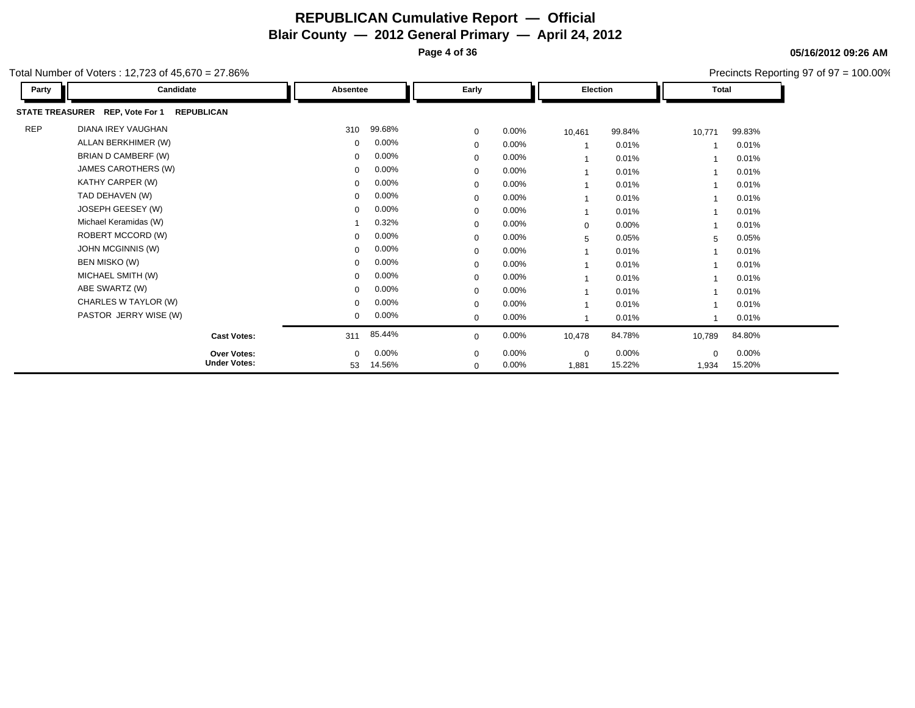**Page 4 of 36**

Precincts Reporting 97 of 97 = 100.00%

**05/16/2012 09:26 AM**

| Party      | Candidate                                            | Absentee     |          | Early        |          | Election    |        |             | Total    |  |
|------------|------------------------------------------------------|--------------|----------|--------------|----------|-------------|--------|-------------|----------|--|
|            | STATE TREASURER REP, Vote For 1<br><b>REPUBLICAN</b> |              |          |              |          |             |        |             |          |  |
| <b>REP</b> | <b>DIANA IREY VAUGHAN</b>                            | 310          | 99.68%   | $\mathbf 0$  | $0.00\%$ | 10,461      | 99.84% | 10,771      | 99.83%   |  |
|            | ALLAN BERKHIMER (W)                                  | $\mathbf{0}$ | 0.00%    | $\mathbf{0}$ | 0.00%    |             | 0.01%  |             | 0.01%    |  |
|            | BRIAN D CAMBERF (W)                                  | $\mathbf{0}$ | $0.00\%$ | 0            | 0.00%    |             | 0.01%  |             | 0.01%    |  |
|            | JAMES CAROTHERS (W)                                  | 0            | $0.00\%$ | $\mathbf 0$  | 0.00%    |             | 0.01%  |             | 0.01%    |  |
|            | KATHY CARPER (W)                                     | $\mathbf{0}$ | 0.00%    | $\mathbf{0}$ | 0.00%    |             | 0.01%  |             | 0.01%    |  |
|            | TAD DEHAVEN (W)                                      | $\mathbf{0}$ | $0.00\%$ | 0            | 0.00%    |             | 0.01%  |             | 0.01%    |  |
|            | JOSEPH GEESEY (W)                                    | 0            | $0.00\%$ | $\Omega$     | 0.00%    |             | 0.01%  |             | 0.01%    |  |
|            | Michael Keramidas (W)                                |              | 0.32%    | 0            | 0.00%    | $\mathbf 0$ | 0.00%  |             | 0.01%    |  |
|            | ROBERT MCCORD (W)                                    | $\mathbf{0}$ | 0.00%    | $\mathbf 0$  | 0.00%    | 5           | 0.05%  | 5           | 0.05%    |  |
|            | JOHN MCGINNIS (W)                                    | 0            | $0.00\%$ | 0            | 0.00%    |             | 0.01%  |             | 0.01%    |  |
|            | BEN MISKO (W)                                        | 0            | 0.00%    | 0            | 0.00%    |             | 0.01%  |             | 0.01%    |  |
|            | MICHAEL SMITH (W)                                    | $\mathbf{0}$ | 0.00%    | $\mathbf 0$  | 0.00%    |             | 0.01%  |             | 0.01%    |  |
|            | ABE SWARTZ (W)                                       | $\mathbf{0}$ | $0.00\%$ | 0            | 0.00%    |             | 0.01%  |             | 0.01%    |  |
|            | CHARLES W TAYLOR (W)                                 | $\mathbf{0}$ | $0.00\%$ | 0            | 0.00%    |             | 0.01%  |             | 0.01%    |  |
|            | PASTOR JERRY WISE (W)                                | $\mathbf{0}$ | $0.00\%$ | $\mathbf{0}$ | 0.00%    |             | 0.01%  |             | 0.01%    |  |
|            | <b>Cast Votes:</b>                                   | 311          | 85.44%   | $\Omega$     | 0.00%    | 10,478      | 84.78% | 10,789      | 84.80%   |  |
|            | <b>Over Votes:</b>                                   | $\mathbf{0}$ | $0.00\%$ | $\mathbf 0$  | 0.00%    | $\mathbf 0$ | 0.00%  | $\mathbf 0$ | $0.00\%$ |  |
|            | <b>Under Votes:</b>                                  | 53           | 14.56%   | $\mathbf{0}$ | $0.00\%$ | 1,881       | 15.22% | 1,934       | 15.20%   |  |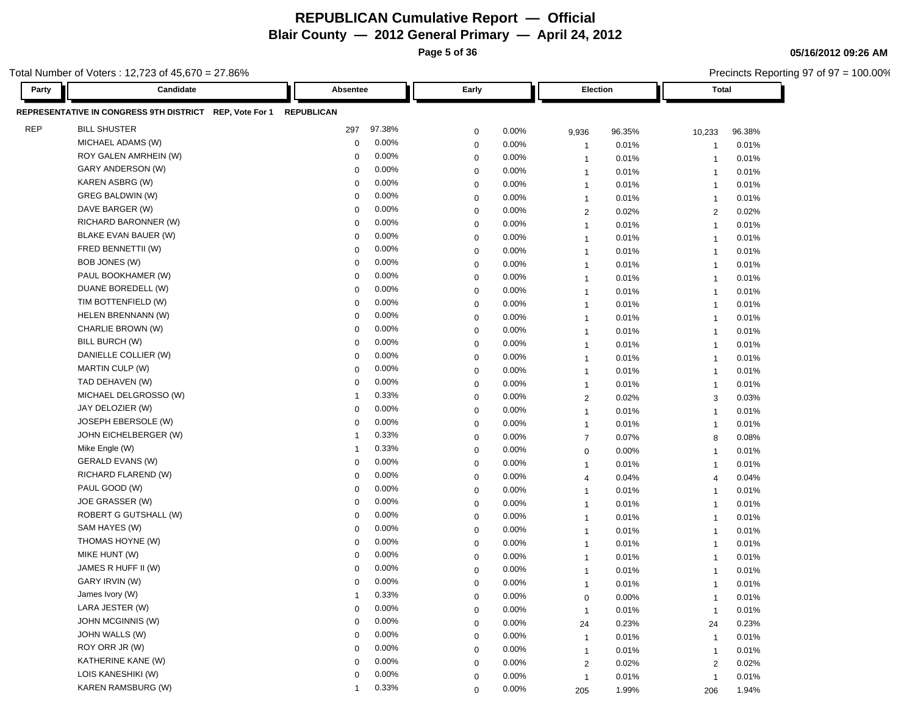**Page 5 of 36**

Total Number of Voters : 12,723 of 45,670 = 27.86%

| Party      | Candidate                                               | Absentee             | Early                | Election                         | Total                            |
|------------|---------------------------------------------------------|----------------------|----------------------|----------------------------------|----------------------------------|
|            | REPRESENTATIVE IN CONGRESS 9TH DISTRICT REP, Vote For 1 | <b>REPUBLICAN</b>    |                      |                                  |                                  |
| <b>REP</b> | <b>BILL SHUSTER</b>                                     | 97.38%<br>297        | 0.00%<br>$\mathbf 0$ | 9,936<br>96.35%                  | 10,233<br>96.38%                 |
|            | MICHAEL ADAMS (W)                                       | 0.00%<br>0           | 0.00%<br>$\mathbf 0$ | 0.01%<br>$\overline{1}$          | 0.01%<br>-1                      |
|            | ROY GALEN AMRHEIN (W)                                   | 0.00%<br>$\mathbf 0$ | $\mathbf 0$<br>0.00% | 0.01%<br>$\overline{1}$          | 0.01%<br>$\overline{\mathbf{1}}$ |
|            | GARY ANDERSON (W)                                       | 0.00%<br>$\Omega$    | 0.00%<br>0           | 0.01%<br>$\overline{1}$          | 0.01%<br>$\overline{1}$          |
|            | KAREN ASBRG (W)                                         | 0.00%<br>$\mathbf 0$ | 0.00%<br>$\mathbf 0$ | 0.01%<br>$\overline{1}$          | 0.01%<br>$\overline{1}$          |
|            | GREG BALDWIN (W)                                        | 0.00%<br>$\mathbf 0$ | $\mathbf 0$<br>0.00% | 0.01%<br>$\overline{1}$          | 0.01%<br>$\overline{1}$          |
|            | DAVE BARGER (W)                                         | 0.00%<br>$\mathbf 0$ | 0.00%<br>$\mathbf 0$ | $\overline{2}$<br>0.02%          | 2<br>0.02%                       |
|            | RICHARD BARONNER (W)                                    | 0.00%<br>0           | $\mathbf 0$<br>0.00% | 0.01%<br>$\overline{1}$          | 0.01%<br>$\overline{1}$          |
|            | BLAKE EVAN BAUER (W)                                    | 0.00%<br>0           | $\mathbf 0$<br>0.00% | 0.01%<br>$\overline{1}$          | 0.01%<br>$\overline{1}$          |
|            | FRED BENNETTII (W)                                      | 0.00%<br>$\mathbf 0$ | 0.00%<br>0           | 0.01%<br>$\mathbf{1}$            | 0.01%<br>$\overline{1}$          |
|            | BOB JONES (W)                                           | 0.00%<br>0           | 0.00%<br>$\mathbf 0$ | 0.01%<br>$\mathbf{1}$            | 0.01%<br>$\overline{1}$          |
|            | PAUL BOOKHAMER (W)                                      | 0.00%<br>$\mathbf 0$ | $\mathbf 0$<br>0.00% | 0.01%<br>$\mathbf{1}$            | 0.01%<br>$\overline{1}$          |
|            | DUANE BOREDELL (W)                                      | 0.00%<br>$\mathbf 0$ | 0.00%<br>$\mathbf 0$ | 0.01%<br>$\overline{1}$          | 0.01%<br>$\overline{1}$          |
|            | TIM BOTTENFIELD (W)                                     | 0.00%<br>$\mathbf 0$ | $\mathbf 0$<br>0.00% | 0.01%<br>$\overline{1}$          | 0.01%<br>$\overline{1}$          |
|            | HELEN BRENNANN (W)                                      | 0.00%<br>$\mathbf 0$ | $\mathbf 0$<br>0.00% | 0.01%<br>$\overline{1}$          | 0.01%<br>$\overline{\mathbf{1}}$ |
|            | CHARLIE BROWN (W)                                       | 0.00%<br>$\Omega$    | $\mathbf 0$<br>0.00% | $\overline{1}$<br>0.01%          | $\overline{1}$<br>0.01%          |
|            | BILL BURCH (W)                                          | 0.00%<br>$\mathbf 0$ | 0.00%<br>$\mathbf 0$ | 0.01%<br>$\overline{1}$          | 0.01%<br>$\overline{1}$          |
|            | DANIELLE COLLIER (W)                                    | 0.00%<br>$\mathbf 0$ | $\mathbf 0$<br>0.00% | 0.01%<br>$\overline{1}$          | 0.01%<br>$\overline{1}$          |
|            | MARTIN CULP (W)                                         | 0.00%<br>$\Omega$    | 0.00%<br>$\mathbf 0$ | 0.01%<br>$\overline{1}$          | $\overline{1}$<br>0.01%          |
|            | TAD DEHAVEN (W)                                         | 0.00%<br>0           | 0.00%<br>$\mathbf 0$ | 0.01%<br>$\mathbf{1}$            | 0.01%<br>$\overline{1}$          |
|            | MICHAEL DELGROSSO (W)                                   | 0.33%<br>-1          | $\mathbf 0$<br>0.00% | 0.02%<br>2                       | 0.03%<br>3                       |
|            | JAY DELOZIER (W)                                        | 0.00%<br>$\mathbf 0$ | 0.00%<br>0           | 0.01%<br>$\mathbf{1}$            | $\overline{1}$<br>0.01%          |
|            | <b>JOSEPH EBERSOLE (W)</b>                              | 0.00%<br>0           | 0.00%<br>$\mathbf 0$ | 0.01%<br>$\mathbf{1}$            | 0.01%<br>$\overline{1}$          |
|            | JOHN EICHELBERGER (W)                                   | 0.33%<br>1           | $\mathbf 0$<br>0.00% | 0.07%<br>$\overline{7}$          | 0.08%<br>8                       |
|            | Mike Engle (W)                                          | 0.33%<br>1           | 0.00%<br>$\mathbf 0$ | 0.00%<br>$\mathbf 0$             | 0.01%<br>$\overline{1}$          |
|            | <b>GERALD EVANS (W)</b>                                 | 0.00%<br>0           | 0.00%<br>$\mathbf 0$ | 0.01%<br>$\overline{1}$          | 0.01%<br>$\overline{1}$          |
|            | RICHARD FLAREND (W)                                     | 0.00%<br>$\mathbf 0$ | $\mathbf 0$<br>0.00% | 0.04%<br>$\overline{4}$          | 0.04%<br>$\overline{4}$          |
|            | PAUL GOOD (W)                                           | 0.00%<br>$\Omega$    | 0.00%<br>$\mathbf 0$ | 0.01%<br>$\mathbf{1}$            | 0.01%<br>$\overline{1}$          |
|            | JOE GRASSER (W)                                         | 0.00%<br>$\mathbf 0$ | 0.00%<br>$\mathbf 0$ | 0.01%<br>$\overline{1}$          | 0.01%<br>$\overline{1}$          |
|            | ROBERT G GUTSHALL (W)                                   | 0.00%<br>$\mathbf 0$ | $\mathbf 0$<br>0.00% | 0.01%<br>$\overline{1}$          | 0.01%<br>$\overline{1}$          |
|            | SAM HAYES (W)                                           | 0.00%<br>$\Omega$    | 0.00%<br>$\mathbf 0$ | 0.01%<br>$\overline{1}$          | 0.01%<br>$\overline{1}$          |
|            | THOMAS HOYNE (W)                                        | 0.00%<br>0           | $\mathbf 0$<br>0.00% | 0.01%<br>$\overline{1}$          | 0.01%<br>$\overline{1}$          |
|            | MIKE HUNT (W)                                           | 0.00%<br>0           | $\mathbf 0$<br>0.00% | 0.01%<br>$\overline{1}$          | 0.01%<br>$\overline{\mathbf{1}}$ |
|            | JAMES R HUFF II (W)                                     | 0.00%<br>$\mathbf 0$ | 0.00%<br>0           | 0.01%<br>$\mathbf{1}$            | $\overline{1}$<br>0.01%          |
|            | GARY IRVIN (W)                                          | 0.00%<br>0           | 0.00%<br>$\mathbf 0$ | 0.01%<br>$\mathbf{1}$            | 0.01%<br>$\overline{1}$          |
|            | James Ivory (W)                                         | 0.33%<br>1           | 0.00%<br>$\mathbf 0$ | 0.00%<br>0                       | 0.01%<br>$\overline{1}$          |
|            | LARA JESTER (W)                                         | 0.00%<br>0           | $\mathbf 0$<br>0.00% | 0.01%<br>$\overline{1}$          | 0.01%<br>$\overline{1}$          |
|            | <b>JOHN MCGINNIS (W)</b>                                | 0.00%<br>$\Omega$    | 0.00%<br>$\mathbf 0$ | 0.23%<br>24                      | 0.23%<br>24                      |
|            | JOHN WALLS (W)                                          | 0.00%<br>$\mathbf 0$ | 0.00%<br>$\mathbf 0$ | 0.01%<br>$\overline{1}$          | 0.01%<br>$\mathbf{1}$            |
|            | ROY ORR JR (W)                                          | 0.00%<br>$\Omega$    | 0.00%<br>$\mathbf 0$ | 0.01%<br>$\mathbf{1}$            | 0.01%<br>$\overline{1}$          |
|            | KATHERINE KANE (W)                                      | 0.00%<br>$\mathbf 0$ | 0.00%<br>$\mathbf 0$ | 0.02%<br>$\overline{\mathbf{c}}$ | 2<br>0.02%                       |
|            | LOIS KANESHIKI (W)                                      | 0.00%<br>$\mathbf 0$ | $\mathbf 0$<br>0.00% | 0.01%<br>$\overline{1}$          | 0.01%<br>$\overline{1}$          |
|            | KAREN RAMSBURG (W)                                      | 0.33%<br>-1          | 0.00%<br>$\mathbf 0$ | 205<br>1.99%                     | 1.94%<br>206                     |

**05/16/2012 09:26 AM**

Precincts Reporting 97 of 97 = 100.00%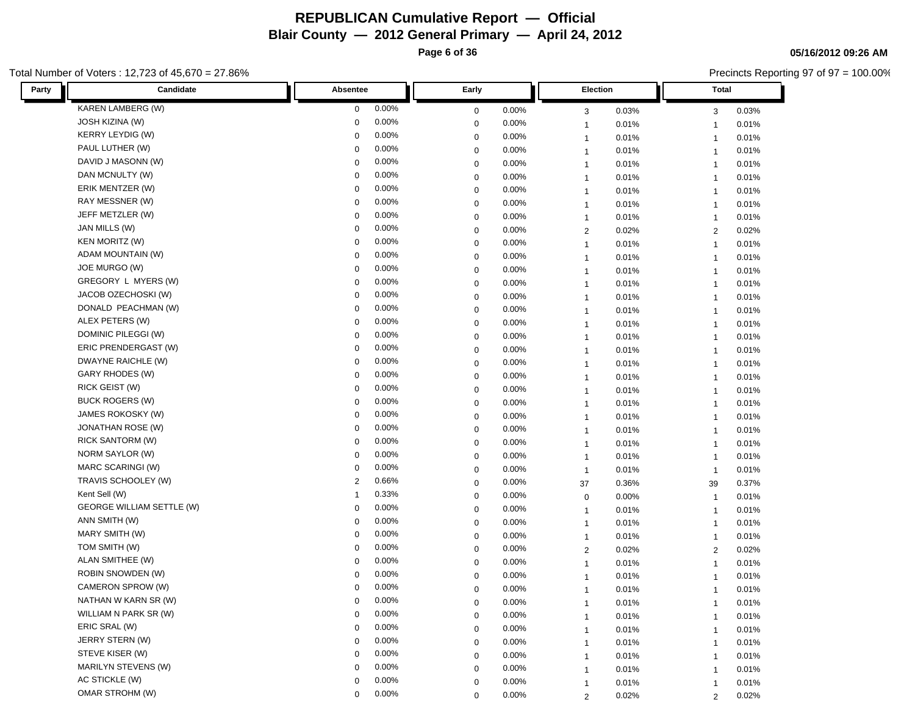**Page 6 of 36**

**05/16/2012 09:26 AM**

|       | otal Number of Voters : 12,723 of 45,670 = 27.86% |             |          |             |       |                         |       |                         | Precincts Reporting 97 of 97 = 100.00% |  |
|-------|---------------------------------------------------|-------------|----------|-------------|-------|-------------------------|-------|-------------------------|----------------------------------------|--|
| Party | Candidate                                         | Absentee    |          | Early       |       | Election                |       | <b>Total</b>            |                                        |  |
|       | <b>KAREN LAMBERG (W)</b>                          | 0           | 0.00%    | 0           | 0.00% | 3                       | 0.03% | 3                       | 0.03%                                  |  |
|       | JOSH KIZINA (W)                                   | $\mathbf 0$ | 0.00%    | $\mathbf 0$ | 0.00% | $\overline{1}$          | 0.01% | $\overline{1}$          | 0.01%                                  |  |
|       | <b>KERRY LEYDIG (W)</b>                           | 0           | 0.00%    | 0           | 0.00% | $\overline{1}$          | 0.01% | $\overline{\mathbf{1}}$ | 0.01%                                  |  |
|       | PAUL LUTHER (W)                                   | $\mathbf 0$ | 0.00%    | 0           | 0.00% | $\mathbf{1}$            | 0.01% | $\overline{1}$          | 0.01%                                  |  |
|       | DAVID J MASONN (W)                                | 0           | 0.00%    | $\mathbf 0$ | 0.00% | $\mathbf{1}$            | 0.01% | $\overline{1}$          | 0.01%                                  |  |
|       | DAN MCNULTY (W)                                   | 0           | 0.00%    | 0           | 0.00% | $\mathbf{1}$            | 0.01% | $\overline{1}$          | 0.01%                                  |  |
|       | ERIK MENTZER (W)                                  | $\mathbf 0$ | 0.00%    | $\mathbf 0$ | 0.00% | $\overline{1}$          | 0.01% | $\overline{1}$          | 0.01%                                  |  |
|       | RAY MESSNER (W)                                   | 0           | 0.00%    | $\mathbf 0$ | 0.00% | $\overline{1}$          | 0.01% | -1                      | 0.01%                                  |  |
|       | JEFF METZLER (W)                                  | $\mathbf 0$ | 0.00%    | $\mathbf 0$ | 0.00% | $\overline{1}$          | 0.01% | -1                      | 0.01%                                  |  |
|       | JAN MILLS (W)                                     | $\mathbf 0$ | 0.00%    | 0           | 0.00% | $\overline{c}$          | 0.02% | $\overline{2}$          | 0.02%                                  |  |
|       | <b>KEN MORITZ (W)</b>                             | 0           | 0.00%    | $\mathbf 0$ | 0.00% | $\overline{1}$          | 0.01% | $\overline{1}$          | 0.01%                                  |  |
|       | ADAM MOUNTAIN (W)                                 | $\mathbf 0$ | 0.00%    | $\mathbf 0$ | 0.00% | $\overline{1}$          | 0.01% | $\overline{1}$          | 0.01%                                  |  |
|       | JOE MURGO (W)                                     | 0           | 0.00%    | $\mathbf 0$ | 0.00% | $\overline{1}$          | 0.01% | $\overline{1}$          | 0.01%                                  |  |
|       | GREGORY L MYERS (W)                               | 0           | 0.00%    | $\mathbf 0$ | 0.00% | $\overline{1}$          | 0.01% | $\overline{1}$          | 0.01%                                  |  |
|       | JACOB OZECHOSKI (W)                               | 0           | 0.00%    | 0           | 0.00% | $\overline{1}$          | 0.01% | $\overline{\mathbf{1}}$ | 0.01%                                  |  |
|       | DONALD PEACHMAN (W)                               | 0           | 0.00%    | 0           | 0.00% | $\mathbf{1}$            | 0.01% | $\overline{1}$          | 0.01%                                  |  |
|       | ALEX PETERS (W)                                   | 0           | 0.00%    | 0           | 0.00% | $\mathbf{1}$            | 0.01% | $\overline{1}$          | 0.01%                                  |  |
|       | DOMINIC PILEGGI (W)                               | 0           | 0.00%    | 0           | 0.00% | $\mathbf{1}$            | 0.01% | $\overline{1}$          | 0.01%                                  |  |
|       | ERIC PRENDERGAST (W)                              | $\mathbf 0$ | 0.00%    | $\mathbf 0$ | 0.00% | $\mathbf{1}$            | 0.01% | $\overline{1}$          | 0.01%                                  |  |
|       | DWAYNE RAICHLE (W)                                | 0           | 0.00%    | $\mathbf 0$ | 0.00% | $\overline{1}$          | 0.01% | $\overline{1}$          | 0.01%                                  |  |
|       | GARY RHODES (W)                                   | $\mathbf 0$ | 0.00%    | $\mathbf 0$ | 0.00% | $\overline{1}$          | 0.01% | -1                      | 0.01%                                  |  |
|       | RICK GEIST (W)                                    | $\Omega$    | 0.00%    | 0           | 0.00% | $\mathbf{1}$            | 0.01% | $\overline{1}$          | 0.01%                                  |  |
|       | <b>BUCK ROGERS (W)</b>                            | 0           | 0.00%    | $\mathbf 0$ | 0.00% | $\mathbf{1}$            | 0.01% | $\overline{1}$          | 0.01%                                  |  |
|       | JAMES ROKOSKY (W)                                 | $\mathbf 0$ | 0.00%    | $\mathbf 0$ | 0.00% | $\mathbf{1}$            | 0.01% | $\overline{1}$          | 0.01%                                  |  |
|       | JONATHAN ROSE (W)                                 | $\mathbf 0$ | 0.00%    | $\mathbf 0$ | 0.00% | $\overline{1}$          | 0.01% | $\overline{1}$          | 0.01%                                  |  |
|       | RICK SANTORM (W)                                  | 0           | 0.00%    | $\mathbf 0$ | 0.00% | $\overline{1}$          | 0.01% | $\overline{1}$          | 0.01%                                  |  |
|       | NORM SAYLOR (W)                                   | 0           | 0.00%    | 0           | 0.00% | $\overline{1}$          | 0.01% | $\overline{\mathbf{1}}$ | 0.01%                                  |  |
|       | MARC SCARINGI (W)                                 | $\mathbf 0$ | 0.00%    | 0           | 0.00% | $\mathbf{1}$            | 0.01% | $\overline{1}$          | 0.01%                                  |  |
|       | TRAVIS SCHOOLEY (W)                               | 2           | 0.66%    | $\mathbf 0$ | 0.00% | 37                      | 0.36% | 39                      | 0.37%                                  |  |
|       | Kent Sell (W)                                     | -1          | 0.33%    | 0           | 0.00% | $\mathbf 0$             | 0.00% | $\overline{1}$          | 0.01%                                  |  |
|       | <b>GEORGE WILLIAM SETTLE (W)</b>                  | $\mathbf 0$ | 0.00%    | $\mathbf 0$ | 0.00% | $\mathbf{1}$            | 0.01% | $\overline{1}$          | 0.01%                                  |  |
|       | ANN SMITH (W)                                     | 0           | 0.00%    | $\mathbf 0$ | 0.00% | $\overline{1}$          | 0.01% | $\overline{1}$          | 0.01%                                  |  |
|       | MARY SMITH (W)                                    | $\mathbf 0$ | 0.00%    | $\mathbf 0$ | 0.00% | $\overline{1}$          | 0.01% | -1                      | 0.01%                                  |  |
|       | TOM SMITH (W)                                     | $\Omega$    | 0.00%    | 0           | 0.00% | $\overline{\mathbf{c}}$ | 0.02% | $\overline{2}$          | 0.02%                                  |  |
|       | ALAN SMITHEE (W)                                  | 0           | 0.00%    | $\mathbf 0$ | 0.00% | $\mathbf{1}$            | 0.01% | $\overline{1}$          | 0.01%                                  |  |
|       | ROBIN SNOWDEN (W)                                 | $\Omega$    | 0.00%    | $\Omega$    | 0.00% | $\mathbf{1}$            | 0.01% | $\overline{1}$          | 0.01%                                  |  |
|       | CAMERON SPROW (W)                                 | 0           | $0.00\%$ | $\mathbf 0$ | 0.00% | $\mathbf{1}$            | 0.01% | $\overline{1}$          | 0.01%                                  |  |
|       | NATHAN W KARN SR (W)                              | $\Omega$    | 0.00%    | $\mathbf 0$ | 0.00% | 1                       | 0.01% | $\overline{\mathbf{1}}$ | 0.01%                                  |  |
|       | WILLIAM N PARK SR (W)                             | $\mathbf 0$ | 0.00%    | $\mathbf 0$ | 0.00% | $\mathbf{1}$            | 0.01% | $\overline{1}$          | 0.01%                                  |  |
|       | ERIC SRAL (W)                                     | $\mathbf 0$ | 0.00%    | $\mathbf 0$ | 0.00% | $\overline{1}$          | 0.01% | $\mathbf{1}$            | 0.01%                                  |  |
|       | JERRY STERN (W)                                   | 0           | 0.00%    | $\mathbf 0$ | 0.00% | $\mathbf{1}$            | 0.01% | $\overline{1}$          | 0.01%                                  |  |
|       | STEVE KISER (W)                                   | $\mathbf 0$ | 0.00%    | $\mathbf 0$ | 0.00% | 1                       | 0.01% | $\overline{1}$          | 0.01%                                  |  |
|       | MARILYN STEVENS (W)                               | $\mathbf 0$ | 0.00%    | $\mathbf 0$ | 0.00% | $\mathbf{1}$            | 0.01% | $\overline{1}$          | 0.01%                                  |  |
|       | AC STICKLE (W)                                    | $\mathbf 0$ | 0.00%    | $\mathbf 0$ | 0.00% | $\mathbf{1}$            | 0.01% | $\overline{1}$          | 0.01%                                  |  |
|       | OMAR STROHM (W)                                   | 0           | 0.00%    | $\mathbf 0$ | 0.00% | $\overline{2}$          | 0.02% | $\overline{2}$          | 0.02%                                  |  |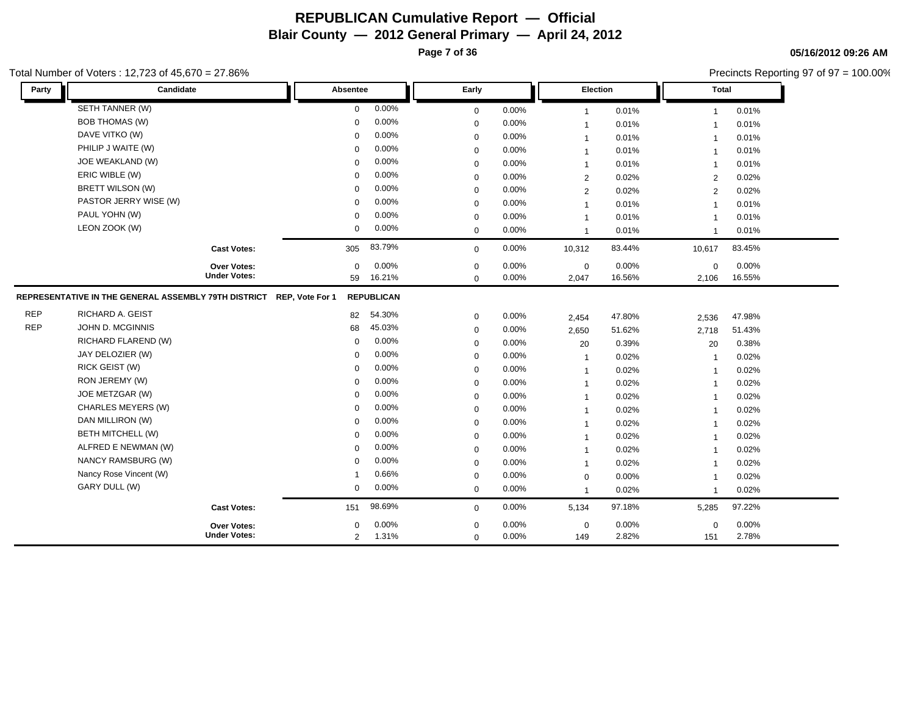**Page 7 of 36**

#### **05/16/2012 09:26 AM**

Precincts Reporting 97 of 97 = 100.00%

| Party      | Candidate                                                            |                     | Absentee       |                   | Early       |          | Election       |        | <b>Total</b>   |          |  |
|------------|----------------------------------------------------------------------|---------------------|----------------|-------------------|-------------|----------|----------------|--------|----------------|----------|--|
|            | SETH TANNER (W)                                                      |                     | $\Omega$       | 0.00%             | $\mathbf 0$ | 0.00%    | $\mathbf{1}$   | 0.01%  | 1              | 0.01%    |  |
|            | <b>BOB THOMAS (W)</b>                                                |                     | $\Omega$       | 0.00%             | $\mathbf 0$ | 0.00%    | $\mathbf{1}$   | 0.01%  | $\overline{1}$ | 0.01%    |  |
|            | DAVE VITKO (W)                                                       |                     | $\Omega$       | 0.00%             | $\mathbf 0$ | 0.00%    | $\mathbf{1}$   | 0.01%  | $\overline{1}$ | 0.01%    |  |
|            | PHILIP J WAITE (W)                                                   |                     | $\Omega$       | 0.00%             | $\mathbf 0$ | 0.00%    | $\mathbf{1}$   | 0.01%  | $\overline{1}$ | 0.01%    |  |
|            | JOE WEAKLAND (W)                                                     |                     | $\Omega$       | 0.00%             | $\mathbf 0$ | 0.00%    | $\mathbf{1}$   | 0.01%  | $\overline{1}$ | 0.01%    |  |
|            | ERIC WIBLE (W)                                                       |                     | $\Omega$       | 0.00%             | $\mathbf 0$ | 0.00%    | $\overline{2}$ | 0.02%  | 2              | 0.02%    |  |
|            | BRETT WILSON (W)                                                     |                     | $\Omega$       | 0.00%             | $\mathbf 0$ | 0.00%    | 2              | 0.02%  | $\overline{2}$ | 0.02%    |  |
|            | PASTOR JERRY WISE (W)                                                |                     | $\Omega$       | 0.00%             | $\mathbf 0$ | 0.00%    | $\mathbf{1}$   | 0.01%  | $\overline{1}$ | 0.01%    |  |
|            | PAUL YOHN (W)                                                        |                     | $\mathbf 0$    | 0.00%             | $\mathbf 0$ | 0.00%    | $\mathbf{1}$   | 0.01%  | $\overline{1}$ | 0.01%    |  |
|            | LEON ZOOK (W)                                                        |                     | $\mathbf 0$    | 0.00%             | 0           | 0.00%    | $\mathbf{1}$   | 0.01%  | $\mathbf{1}$   | 0.01%    |  |
|            |                                                                      | <b>Cast Votes:</b>  | 305            | 83.79%            | $\mathbf 0$ | 0.00%    | 10,312         | 83.44% | 10,617         | 83.45%   |  |
|            |                                                                      | Over Votes:         | $\Omega$       | 0.00%             | 0           | $0.00\%$ | $\pmb{0}$      | 0.00%  | 0              | $0.00\%$ |  |
|            |                                                                      | <b>Under Votes:</b> | 59             | 16.21%            | $\mathbf 0$ | 0.00%    | 2,047          | 16.56% | 2,106          | 16.55%   |  |
|            | REPRESENTATIVE IN THE GENERAL ASSEMBLY 79TH DISTRICT REP, Vote For 1 |                     |                | <b>REPUBLICAN</b> |             |          |                |        |                |          |  |
| <b>REP</b> | RICHARD A. GEIST                                                     |                     | 82             | 54.30%            | $\mathbf 0$ | 0.00%    | 2,454          | 47.80% | 2,536          | 47.98%   |  |
| <b>REP</b> | JOHN D. MCGINNIS                                                     |                     | 68             | 45.03%            | 0           | 0.00%    | 2,650          | 51.62% | 2,718          | 51.43%   |  |
|            | RICHARD FLAREND (W)                                                  |                     | $\mathbf 0$    | 0.00%             | $\mathbf 0$ | 0.00%    | 20             | 0.39%  | 20             | 0.38%    |  |
|            | JAY DELOZIER (W)                                                     |                     | $\Omega$       | 0.00%             | $\mathbf 0$ | 0.00%    | $\mathbf{1}$   | 0.02%  | $\overline{1}$ | 0.02%    |  |
|            | RICK GEIST (W)                                                       |                     | $\Omega$       | 0.00%             | $\mathbf 0$ | 0.00%    | $\mathbf{1}$   | 0.02%  | $\overline{1}$ | 0.02%    |  |
|            | RON JEREMY (W)                                                       |                     | $\Omega$       | 0.00%             | $\mathbf 0$ | $0.00\%$ | $\mathbf{1}$   | 0.02%  | $\overline{1}$ | 0.02%    |  |
|            | JOE METZGAR (W)                                                      |                     | $\Omega$       | 0.00%             | 0           | 0.00%    | $\mathbf{1}$   | 0.02%  | $\overline{1}$ | 0.02%    |  |
|            | CHARLES MEYERS (W)                                                   |                     | $\Omega$       | 0.00%             | $\mathbf 0$ | 0.00%    | $\mathbf{1}$   | 0.02%  | $\overline{1}$ | 0.02%    |  |
|            | DAN MILLIRON (W)                                                     |                     | $\Omega$       | 0.00%             | $\mathbf 0$ | 0.00%    | $\mathbf{1}$   | 0.02%  | $\overline{1}$ | 0.02%    |  |
|            | <b>BETH MITCHELL (W)</b>                                             |                     | $\Omega$       | 0.00%             | $\mathbf 0$ | 0.00%    | $\mathbf{1}$   | 0.02%  | $\overline{1}$ | 0.02%    |  |
|            | ALFRED E NEWMAN (W)                                                  |                     | $\Omega$       | 0.00%             | $\mathbf 0$ | 0.00%    | $\mathbf{1}$   | 0.02%  | $\overline{1}$ | 0.02%    |  |
|            | NANCY RAMSBURG (W)                                                   |                     | ∩              | 0.00%             | $\mathbf 0$ | 0.00%    | $\mathbf{1}$   | 0.02%  | $\overline{1}$ | 0.02%    |  |
|            | Nancy Rose Vincent (W)                                               |                     |                | 0.66%             | $\mathbf 0$ | $0.00\%$ | 0              | 0.00%  | -1             | 0.02%    |  |
|            | GARY DULL (W)                                                        |                     | $\mathbf 0$    | 0.00%             | $\mathbf 0$ | 0.00%    | $\mathbf{1}$   | 0.02%  | $\overline{1}$ | 0.02%    |  |
|            |                                                                      | <b>Cast Votes:</b>  | 151            | 98.69%            | $\mathbf 0$ | 0.00%    | 5,134          | 97.18% | 5,285          | 97.22%   |  |
|            |                                                                      | <b>Over Votes:</b>  | $\Omega$       | 0.00%             | 0           | $0.00\%$ | $\mathbf 0$    | 0.00%  | 0              | 0.00%    |  |
|            |                                                                      | <b>Under Votes:</b> | $\overline{2}$ | 1.31%             | $\mathbf 0$ | 0.00%    | 149            | 2.82%  | 151            | 2.78%    |  |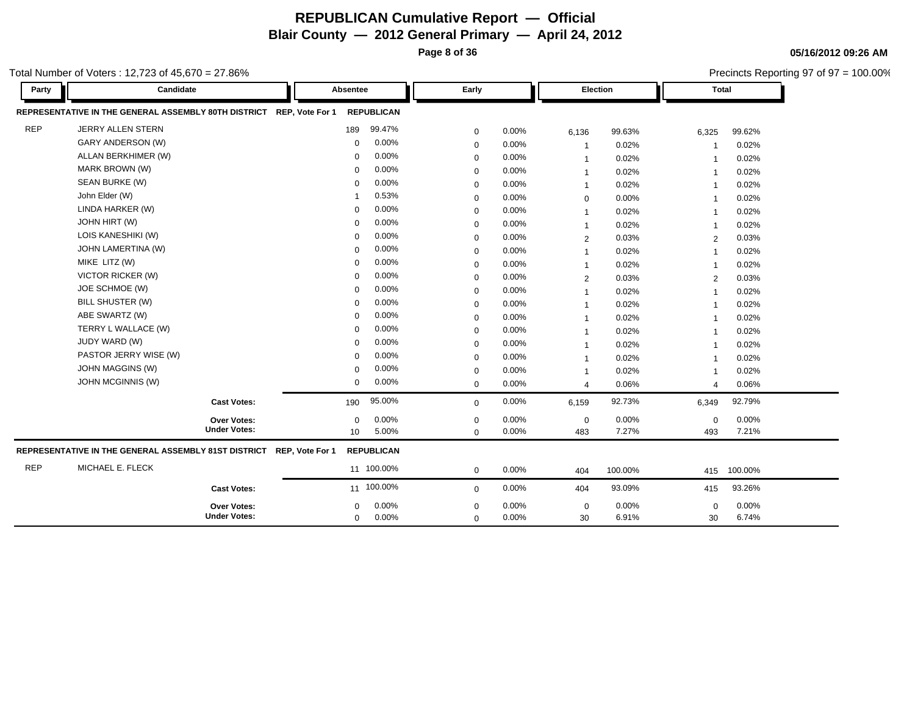**Page 8 of 36**

Precincts Reporting 97 of 97 = 100.00%

**05/16/2012 09:26 AM**

| Party      | Candidate                                                            | Absentee     |                   | Early       |          |                | Election |                         | <b>Total</b> |
|------------|----------------------------------------------------------------------|--------------|-------------------|-------------|----------|----------------|----------|-------------------------|--------------|
|            | REPRESENTATIVE IN THE GENERAL ASSEMBLY 80TH DISTRICT REP, Vote For 1 |              | <b>REPUBLICAN</b> |             |          |                |          |                         |              |
| <b>REP</b> | JERRY ALLEN STERN                                                    | 189          | 99.47%            | $\mathbf 0$ | 0.00%    | 6,136          | 99.63%   | 6,325                   | 99.62%       |
|            | GARY ANDERSON (W)                                                    | $\Omega$     | 0.00%             | $\mathbf 0$ | 0.00%    | -1             | 0.02%    | -1                      | 0.02%        |
|            | ALLAN BERKHIMER (W)                                                  | 0            | 0.00%             | $\mathbf 0$ | 0.00%    | $\mathbf{1}$   | 0.02%    | $\overline{\mathbf{1}}$ | 0.02%        |
|            | MARK BROWN (W)                                                       | 0            | 0.00%             | $\mathbf 0$ | 0.00%    | $\overline{1}$ | 0.02%    | $\overline{\mathbf{1}}$ | 0.02%        |
|            | SEAN BURKE (W)                                                       | $\Omega$     | 0.00%             | $\mathbf 0$ | 0.00%    | $\overline{1}$ | 0.02%    | $\overline{1}$          | 0.02%        |
|            | John Elder (W)                                                       |              | 0.53%             | $\mathbf 0$ | 0.00%    | $\mathbf 0$    | 0.00%    | $\overline{\mathbf{1}}$ | 0.02%        |
|            | LINDA HARKER (W)                                                     | $\mathbf 0$  | 0.00%             | $\mathbf 0$ | 0.00%    | $\mathbf{1}$   | 0.02%    | $\overline{\mathbf{1}}$ | 0.02%        |
|            | JOHN HIRT (W)                                                        | $\Omega$     | 0.00%             | $\mathbf 0$ | 0.00%    | $\overline{1}$ | 0.02%    | $\overline{\mathbf{1}}$ | 0.02%        |
|            | LOIS KANESHIKI (W)                                                   | $\mathbf 0$  | 0.00%             | $\mathbf 0$ | 0.00%    | 2              | 0.03%    | 2                       | 0.03%        |
|            | JOHN LAMERTINA (W)                                                   | $\Omega$     | 0.00%             | $\mathbf 0$ | 0.00%    | $\overline{1}$ | 0.02%    | $\overline{1}$          | 0.02%        |
|            | MIKE LITZ (W)                                                        | $\mathbf 0$  | 0.00%             | $\mathbf 0$ | $0.00\%$ | $\mathbf{1}$   | 0.02%    | $\overline{\mathbf{1}}$ | 0.02%        |
|            | <b>VICTOR RICKER (W)</b>                                             | 0            | 0.00%             | $\mathbf 0$ | 0.00%    | 2              | 0.03%    | 2                       | 0.03%        |
|            | JOE SCHMOE (W)                                                       | $\mathbf 0$  | 0.00%             | $\mathbf 0$ | 0.00%    | $\mathbf{1}$   | 0.02%    | $\overline{\mathbf{1}}$ | 0.02%        |
|            | BILL SHUSTER (W)                                                     | $\Omega$     | 0.00%             | $\mathbf 0$ | 0.00%    | $\overline{1}$ | 0.02%    | $\overline{1}$          | 0.02%        |
|            | ABE SWARTZ (W)                                                       | $\Omega$     | 0.00%             | $\mathbf 0$ | 0.00%    | $\mathbf{1}$   | 0.02%    | $\overline{\mathbf{1}}$ | 0.02%        |
|            | TERRY L WALLACE (W)                                                  | $\Omega$     | 0.00%             | $\mathbf 0$ | 0.00%    | $\mathbf{1}$   | 0.02%    | $\overline{\mathbf{1}}$ | 0.02%        |
|            | JUDY WARD (W)                                                        | $\Omega$     | 0.00%             | $\mathbf 0$ | 0.00%    | $\mathbf{1}$   | 0.02%    | $\overline{\mathbf{1}}$ | 0.02%        |
|            | PASTOR JERRY WISE (W)                                                | 0            | 0.00%             | $\mathbf 0$ | 0.00%    | $\overline{1}$ | 0.02%    | $\overline{1}$          | 0.02%        |
|            | <b>JOHN MAGGINS (W)</b>                                              | 0            | 0.00%             | $\mathbf 0$ | 0.00%    | -1             | 0.02%    | -1                      | 0.02%        |
|            | JOHN MCGINNIS (W)                                                    | $\mathbf{0}$ | 0.00%             | $\mathbf 0$ | 0.00%    | $\overline{4}$ | 0.06%    | 4                       | 0.06%        |
|            | <b>Cast Votes:</b>                                                   | 190          | 95.00%            | $\mathbf 0$ | 0.00%    | 6,159          | 92.73%   | 6,349                   | 92.79%       |
|            | Over Votes:                                                          | $\mathbf 0$  | 0.00%             | $\mathbf 0$ | 0.00%    | $\mathbf 0$    | 0.00%    | 0                       | 0.00%        |
|            | <b>Under Votes:</b>                                                  | 10           | 5.00%             | $\Omega$    | 0.00%    | 483            | 7.27%    | 493                     | 7.21%        |
|            | REPRESENTATIVE IN THE GENERAL ASSEMBLY 81ST DISTRICT REP, Vote For 1 |              | <b>REPUBLICAN</b> |             |          |                |          |                         |              |
| <b>REP</b> | MICHAEL E. FLECK                                                     |              | 11 100.00%        | $\mathbf 0$ | 0.00%    | 404            | 100.00%  | 415                     | 100.00%      |
|            | <b>Cast Votes:</b>                                                   |              | 11 100.00%        | $\mathbf 0$ | 0.00%    | 404            | 93.09%   | 415                     | 93.26%       |
|            | Over Votes:                                                          | $\mathbf 0$  | 0.00%             | $\mathbf 0$ | 0.00%    | $\mathbf 0$    | 0.00%    | $\mathbf 0$             | 0.00%        |
|            | <b>Under Votes:</b>                                                  | 0            | 0.00%             | $\mathbf 0$ | 0.00%    | 30             | 6.91%    | 30                      | 6.74%        |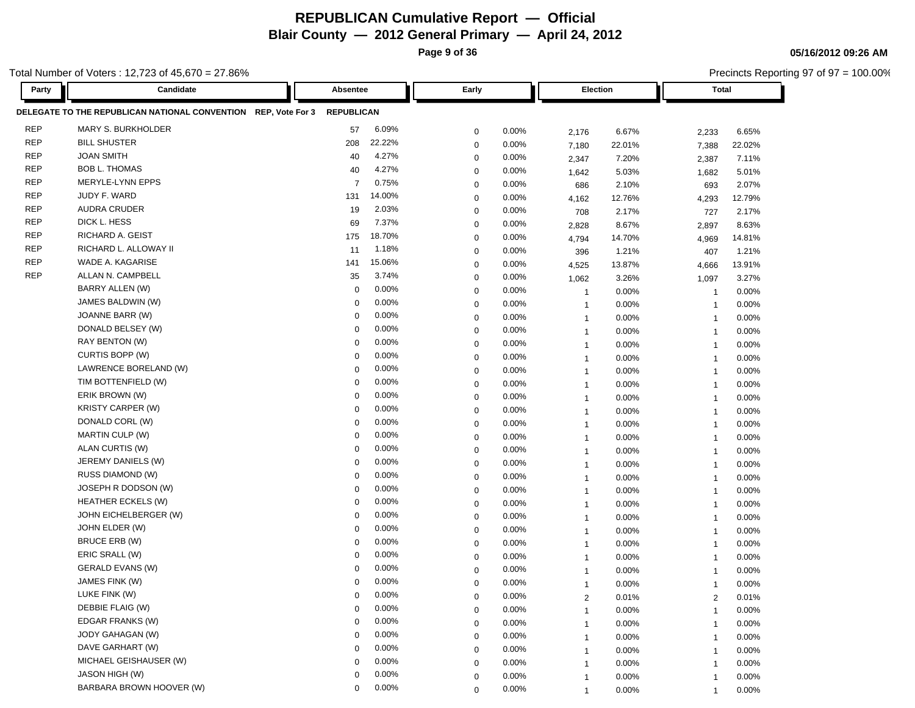**Page 9 of 36**

Precincts Reporting 97 of 97 = 100.00%

**05/16/2012 09:26 AM**

| Party      | Candidate                                                      | Absentee                | Early                   | Election                         | Total                   |
|------------|----------------------------------------------------------------|-------------------------|-------------------------|----------------------------------|-------------------------|
|            | DELEGATE TO THE REPUBLICAN NATIONAL CONVENTION REP, Vote For 3 | <b>REPUBLICAN</b>       |                         |                                  |                         |
| <b>REP</b> | MARY S. BURKHOLDER                                             | 6.09%<br>57             | 0.00%<br>$\mathbf 0$    | 6.67%<br>2,176                   | 2,233<br>6.65%          |
| <b>REP</b> | <b>BILL SHUSTER</b>                                            | 22.22%<br>208           | 0.00%<br>$\mathbf 0$    | 22.01%<br>7,180                  | 22.02%<br>7,388         |
| <b>REP</b> | <b>JOAN SMITH</b>                                              | 4.27%<br>40             | $\mathbf 0$<br>0.00%    | 7.20%<br>2,347                   | 7.11%<br>2,387          |
| <b>REP</b> | <b>BOB L. THOMAS</b>                                           | 4.27%<br>40             | $\mathbf 0$<br>$0.00\%$ | 5.03%<br>1,642                   | 5.01%<br>1,682          |
| <b>REP</b> | MERYLE-LYNN EPPS                                               | 0.75%<br>$\overline{7}$ | 0.00%<br>$\mathbf 0$    | 2.10%<br>686                     | 2.07%<br>693            |
| <b>REP</b> | JUDY F. WARD                                                   | 14.00%<br>131           | $\mathbf 0$<br>$0.00\%$ | 12.76%<br>4,162                  | 12.79%<br>4,293         |
| <b>REP</b> | <b>AUDRA CRUDER</b>                                            | 2.03%<br>19             | $\mathbf 0$<br>$0.00\%$ | 2.17%<br>708                     | 2.17%<br>727            |
| <b>REP</b> | DICK L. HESS                                                   | 7.37%<br>69             | 0.00%<br>$\mathbf 0$    | 8.67%<br>2,828                   | 8.63%<br>2,897          |
| <b>REP</b> | RICHARD A. GEIST                                               | 18.70%<br>175           | $\mathbf 0$<br>0.00%    | 14.70%<br>4,794                  | 14.81%<br>4,969         |
| <b>REP</b> | RICHARD L. ALLOWAY II                                          | 1.18%<br>11             | $\mathbf 0$<br>0.00%    | 1.21%<br>396                     | 1.21%<br>407            |
| <b>REP</b> | WADE A. KAGARISE                                               | 15.06%<br>141           | 0.00%<br>$\mathbf 0$    | 4,525<br>13.87%                  | 13.91%<br>4,666         |
| <b>REP</b> | ALLAN N. CAMPBELL                                              | 3.74%<br>35             | 0.00%<br>$\mathbf 0$    | 3.26%<br>1,062                   | 3.27%<br>1,097          |
|            | BARRY ALLEN (W)                                                | 0.00%<br>0              | $\mathbf 0$<br>$0.00\%$ | 0.00%<br>$\overline{1}$          | 0.00%<br>-1             |
|            | JAMES BALDWIN (W)                                              | 0.00%<br>$\mathbf 0$    | 0.00%<br>$\mathbf 0$    | $0.00\%$<br>$\overline{1}$       | 0.00%<br>$\overline{1}$ |
|            | JOANNE BARR (W)                                                | 0.00%<br>$\mathbf 0$    | $\mathbf 0$<br>0.00%    | 0.00%<br>$\overline{1}$          | 0.00%<br>$\overline{1}$ |
|            | DONALD BELSEY (W)                                              | 0.00%<br>$\mathbf 0$    | $\mathbf 0$<br>0.00%    | 0.00%<br>$\overline{1}$          | 0.00%<br>$\overline{1}$ |
|            | RAY BENTON (W)                                                 | 0.00%<br>$\Omega$       | 0.00%<br>$\mathbf 0$    | 0.00%<br>$\overline{1}$          | 0.00%<br>$\overline{1}$ |
|            | CURTIS BOPP (W)                                                | 0.00%<br>$\Omega$       | $\mathbf 0$<br>$0.00\%$ | 0.00%<br>$\overline{\mathbf{1}}$ | 0.00%<br>-1             |
|            | LAWRENCE BORELAND (W)                                          | 0.00%<br>$\Omega$       | $\mathbf 0$<br>$0.00\%$ | 0.00%<br>$\overline{1}$          | 0.00%<br>-1             |
|            | TIM BOTTENFIELD (W)                                            | 0.00%<br>$\Omega$       | 0.00%<br>$\mathbf 0$    | $0.00\%$<br>$\overline{1}$       | 0.00%<br>$\overline{1}$ |
|            | ERIK BROWN (W)                                                 | 0.00%<br>$\Omega$       | $\mathbf 0$<br>0.00%    | $0.00\%$<br>$\overline{1}$       | 0.00%<br>$\overline{1}$ |
|            | <b>KRISTY CARPER (W)</b>                                       | 0.00%<br>$\Omega$       | $\mathbf 0$<br>$0.00\%$ | 0.00%<br>$\overline{1}$          | 0.00%<br>$\overline{1}$ |
|            | DONALD CORL (W)                                                | 0.00%<br>$\Omega$       | 0.00%<br>$\mathbf 0$    | $0.00\%$<br>$\overline{1}$       | 0.00%<br>$\overline{1}$ |
|            | <b>MARTIN CULP (W)</b>                                         | 0.00%<br>0              | 0.00%<br>$\mathbf 0$    | 0.00%<br>$\overline{1}$          | 0.00%<br>$\overline{1}$ |
|            | ALAN CURTIS (W)                                                | 0.00%<br>$\Omega$       | $\mathbf 0$<br>$0.00\%$ | 0.00%<br>$\overline{1}$          | 0.00%<br>-1             |
|            | JEREMY DANIELS (W)                                             | 0.00%<br>$\Omega$       | 0.00%<br>0              | $0.00\%$<br>$\overline{1}$       | 0.00%<br>$\overline{1}$ |
|            | RUSS DIAMOND (W)                                               | 0.00%<br>$\mathbf 0$    | $\mathbf 0$<br>0.00%    | 0.00%<br>$\overline{1}$          | 0.00%<br>$\mathbf{1}$   |
|            | JOSEPH R DODSON (W)                                            | 0.00%<br>$\Omega$       | $\mathbf 0$<br>0.00%    | 0.00%<br>$\overline{1}$          | 0.00%<br>$\overline{1}$ |
|            | <b>HEATHER ECKELS (W)</b>                                      | 0.00%<br>$\Omega$       | 0.00%<br>$\mathbf 0$    | $0.00\%$<br>$\overline{1}$       | 0.00%<br>$\overline{1}$ |
|            | JOHN EICHELBERGER (W)                                          | 0.00%<br>$\Omega$       | $\mathbf 0$<br>$0.00\%$ | 0.00%<br>$\overline{1}$          | 0.00%<br>$\overline{1}$ |
|            | JOHN ELDER (W)                                                 | 0.00%<br>$\Omega$       | $\mathbf 0$<br>$0.00\%$ | 0.00%<br>$\overline{1}$          | 0.00%<br>-1             |
|            | BRUCE ERB (W)                                                  | 0.00%<br>$\Omega$       | 0.00%<br>$\mathbf 0$    | $0.00\%$<br>$\overline{1}$       | 0.00%<br>$\overline{1}$ |
|            | ERIC SRALL (W)                                                 | 0.00%<br>$\Omega$       | 0.00%<br>$\mathbf 0$    | 0.00%<br>$\overline{1}$          | 0.00%<br>$\overline{1}$ |
|            | GERALD EVANS (W)                                               | 0.00%<br>$\Omega$       | $\mathbf 0$<br>0.00%    | 0.00%<br>$\overline{1}$          | 0.00%<br>$\overline{1}$ |
|            | JAMES FINK (W)                                                 | 0.00%<br>$\Omega$       | 0.00%<br>$\mathbf 0$    | 0.00%<br>$\overline{1}$          | 0.00%<br>$\overline{1}$ |
|            | LUKE FINK (W)                                                  | 0.00%<br>$\Omega$       | 0.00%<br>$\Omega$       | 0.01%<br>$\overline{2}$          | 0.01%<br>$\overline{2}$ |
|            | DEBBIE FLAIG (W)                                               | 0.00%<br>$\mathbf 0$    | 0.00%<br>$\mathbf 0$    | 0.00%<br>$\overline{\mathbf{1}}$ | 0.00%<br>-1             |
|            | EDGAR FRANKS (W)                                               | 0.00%<br>$\Omega$       | 0.00%<br>$\mathbf 0$    | 0.00%<br>-1                      | 0.00%                   |
|            | JODY GAHAGAN (W)                                               | 0.00%<br>$\mathbf 0$    | 0.00%<br>$\mathbf 0$    | 0.00%<br>1                       | 0.00%<br>-1             |
|            | DAVE GARHART (W)                                               | 0.00%<br>$\Omega$       | 0.00%<br>$\mathbf 0$    | 0.00%<br>-1                      | 0.00%<br>-1             |
|            | MICHAEL GEISHAUSER (W)                                         | 0.00%<br>$\Omega$       | 0.00%<br>$\mathbf 0$    | 0.00%<br>1                       | 0.00%<br>-1             |
|            | <b>JASON HIGH (W)</b>                                          | 0.00%<br>$\Omega$       | 0.00%<br>$\mathbf 0$    | $0.00\%$<br>$\overline{1}$       | 0.00%<br>-1             |
|            | BARBARA BROWN HOOVER (W)                                       | 0.00%<br>$\mathbf 0$    | 0.00%<br>$\mathbf 0$    | 0.00%<br>1                       | 0.00%                   |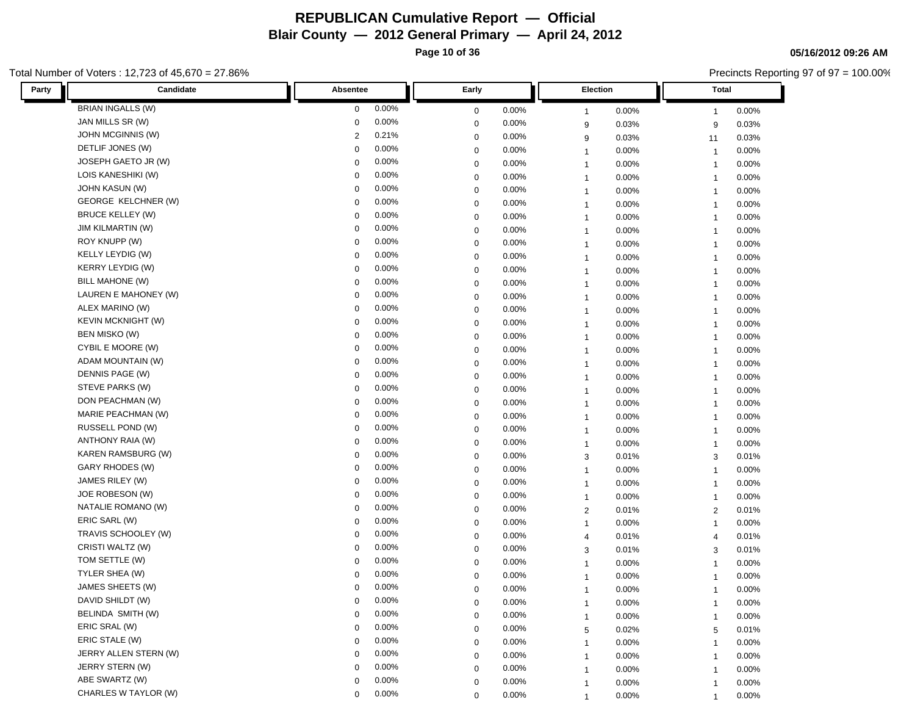**Page 10 of 36**

**05/16/2012 09:26 AM**

Precincts Reporting 97 of 97 = 100.00%

| Candidate<br>Party        | Absentee    |       | Early       |          | Election       |          | Total                   |       |
|---------------------------|-------------|-------|-------------|----------|----------------|----------|-------------------------|-------|
| <b>BRIAN INGALLS (W)</b>  | 0           | 0.00% | 0           | 0.00%    | $\overline{1}$ | 0.00%    | -1                      | 0.00% |
| JAN MILLS SR (W)          | $\Omega$    | 0.00% | 0           | 0.00%    | 9              | 0.03%    | 9                       | 0.03% |
| <b>JOHN MCGINNIS (W)</b>  | 2           | 0.21% | 0           | 0.00%    | 9              | 0.03%    | 11                      | 0.03% |
| DETLIF JONES (W)          | $\mathbf 0$ | 0.00% | $\mathbf 0$ | 0.00%    | $\mathbf{1}$   | 0.00%    | $\overline{1}$          | 0.00% |
| JOSEPH GAETO JR (W)       | $\mathbf 0$ | 0.00% | $\mathbf 0$ | 0.00%    | $\mathbf{1}$   | 0.00%    | $\overline{1}$          | 0.00% |
| LOIS KANESHIKI (W)        | 0           | 0.00% | $\mathbf 0$ | 0.00%    | $\mathbf{1}$   | 0.00%    | $\overline{1}$          | 0.00% |
| <b>JOHN KASUN (W)</b>     | $\Omega$    | 0.00% | $\mathbf 0$ | 0.00%    | $\overline{1}$ | 0.00%    | -1                      | 0.00% |
| GEORGE KELCHNER (W)       | $\Omega$    | 0.00% | $\mathbf 0$ | 0.00%    | $\mathbf{1}$   | 0.00%    | -1                      | 0.00% |
| <b>BRUCE KELLEY (W)</b>   | 0           | 0.00% | $\mathbf 0$ | 0.00%    | $\mathbf{1}$   | $0.00\%$ | $\overline{1}$          | 0.00% |
| <b>JIM KILMARTIN (W)</b>  | 0           | 0.00% | $\mathbf 0$ | 0.00%    | $\overline{1}$ | 0.00%    | $\overline{1}$          | 0.00% |
| ROY KNUPP (W)             | $\Omega$    | 0.00% | $\mathbf 0$ | 0.00%    | $\overline{1}$ | 0.00%    | $\overline{\mathbf{1}}$ | 0.00% |
| KELLY LEYDIG (W)          | 0           | 0.00% | $\mathbf 0$ | 0.00%    | $\overline{1}$ | $0.00\%$ | $\overline{\mathbf{1}}$ | 0.00% |
| <b>KERRY LEYDIG (W)</b>   | 0           | 0.00% | $\mathbf 0$ | 0.00%    | $\overline{1}$ | 0.00%    | -1                      | 0.00% |
| <b>BILL MAHONE (W)</b>    | $\mathbf 0$ | 0.00% | 0           | 0.00%    | $\mathbf{1}$   | 0.00%    | $\overline{1}$          | 0.00% |
| LAUREN E MAHONEY (W)      | 0           | 0.00% | $\mathbf 0$ | 0.00%    | $\mathbf{1}$   | $0.00\%$ | $\overline{1}$          | 0.00% |
| ALEX MARINO (W)           | 0           | 0.00% | $\mathbf 0$ | 0.00%    | $\mathbf{1}$   | 0.00%    | $\overline{1}$          | 0.00% |
| <b>KEVIN MCKNIGHT (W)</b> | $\mathbf 0$ | 0.00% | 0           | 0.00%    | $\mathbf{1}$   | 0.00%    | $\mathbf{1}$            | 0.00% |
| BEN MISKO (W)             | 0           | 0.00% | $\mathbf 0$ | 0.00%    | $\mathbf{1}$   | 0.00%    | $\overline{1}$          | 0.00% |
| CYBIL E MOORE (W)         | $\Omega$    | 0.00% | $\mathbf 0$ | 0.00%    | $\mathbf{1}$   | 0.00%    | -1                      | 0.00% |
| ADAM MOUNTAIN (W)         | $\Omega$    | 0.00% | $\mathbf 0$ | 0.00%    | $\mathbf{1}$   | 0.00%    | $\overline{1}$          | 0.00% |
| DENNIS PAGE (W)           | 0           | 0.00% | $\mathbf 0$ | 0.00%    | $\mathbf{1}$   | 0.00%    | $\overline{1}$          | 0.00% |
| STEVE PARKS (W)           | $\mathbf 0$ | 0.00% | $\mathbf 0$ | 0.00%    | $\mathbf{1}$   | 0.00%    | $\overline{1}$          | 0.00% |
| DON PEACHMAN (W)          | $\Omega$    | 0.00% | $\mathbf 0$ | 0.00%    | $\overline{1}$ | 0.00%    | $\overline{1}$          | 0.00% |
| MARIE PEACHMAN (W)        | 0           | 0.00% | $\mathbf 0$ | 0.00%    | $\overline{1}$ | 0.00%    | $\overline{\mathbf{1}}$ | 0.00% |
| RUSSELL POND (W)          | 0           | 0.00% | $\mathbf 0$ | 0.00%    | $\overline{1}$ | 0.00%    | $\overline{1}$          | 0.00% |
| ANTHONY RAIA (W)          | $\mathbf 0$ | 0.00% | $\mathbf 0$ | 0.00%    | $\mathbf{1}$   | 0.00%    | $\overline{1}$          | 0.00% |
| <b>KAREN RAMSBURG (W)</b> | 0           | 0.00% | $\mathbf 0$ | 0.00%    | 3              | 0.01%    | 3                       | 0.01% |
| GARY RHODES (W)           | $\mathbf 0$ | 0.00% | $\mathbf 0$ | 0.00%    | $\mathbf{1}$   | 0.00%    | $\overline{1}$          | 0.00% |
| JAMES RILEY (W)           | $\mathbf 0$ | 0.00% | $\mathbf 0$ | 0.00%    | $\mathbf{1}$   | 0.00%    | $\overline{1}$          | 0.00% |
| JOE ROBESON (W)           | 0           | 0.00% | $\mathbf 0$ | 0.00%    | $\overline{1}$ | 0.00%    | $\overline{1}$          | 0.00% |
| NATALIE ROMANO (W)        | $\Omega$    | 0.00% | $\mathbf 0$ | 0.00%    | $\overline{2}$ | 0.01%    | $\overline{2}$          | 0.01% |
| ERIC SARL (W)             | $\Omega$    | 0.00% | $\mathbf 0$ | 0.00%    | $\mathbf{1}$   | 0.00%    | $\overline{1}$          | 0.00% |
| TRAVIS SCHOOLEY (W)       | 0           | 0.00% | $\mathbf 0$ | 0.00%    | $\overline{4}$ | 0.01%    | $\overline{4}$          | 0.01% |
| CRISTI WALTZ (W)          | 0           | 0.00% | $\mathbf 0$ | 0.00%    | 3              | 0.01%    | 3                       | 0.01% |
| TOM SETTLE (W)            | $\Omega$    | 0.00% | $\mathbf 0$ | 0.00%    | $\overline{1}$ | 0.00%    | $\overline{\mathbf{1}}$ | 0.00% |
| TYLER SHEA (W)            | 0           | 0.00% | $\mathbf 0$ | 0.00%    | $\overline{1}$ | $0.00\%$ | $\overline{1}$          | 0.00% |
| JAMES SHEETS (W)          | $\Omega$    | 0.00% | $\mathbf 0$ | 0.00%    | $\overline{1}$ | 0.00%    | -1                      | 0.00% |
| DAVID SHILDT (W)          | 0           | 0.00% | 0           | $0.00\%$ | 1              | 0.00%    | -1                      | 0.00% |
| BELINDA SMITH (W)         | 0           | 0.00% | $\mathbf 0$ | 0.00%    | $\overline{1}$ | 0.00%    | $\overline{1}$          | 0.00% |
| ERIC SRAL (W)             | $\mathbf 0$ | 0.00% | $\mathbf 0$ | 0.00%    | 5              | 0.02%    | 5                       | 0.01% |
| ERIC STALE (W)            | $\mathbf 0$ | 0.00% | $\mathbf 0$ | 0.00%    | 1              | 0.00%    | $\mathbf 1$             | 0.00% |
| JERRY ALLEN STERN (W)     | 0           | 0.00% | $\mathbf 0$ | 0.00%    | 1              | 0.00%    | -1                      | 0.00% |
| JERRY STERN (W)           | $\Omega$    | 0.00% | $\mathbf 0$ | 0.00%    | 1              | 0.00%    | -1                      | 0.00% |
| ABE SWARTZ (W)            | $\mathbf 0$ | 0.00% | $\mathbf 0$ | 0.00%    | $\mathbf{1}$   | 0.00%    | -1                      | 0.00% |
| CHARLES W TAYLOR (W)      | 0           | 0.00% | $\mathbf 0$ | 0.00%    | 1              | 0.00%    | $\overline{1}$          | 0.00% |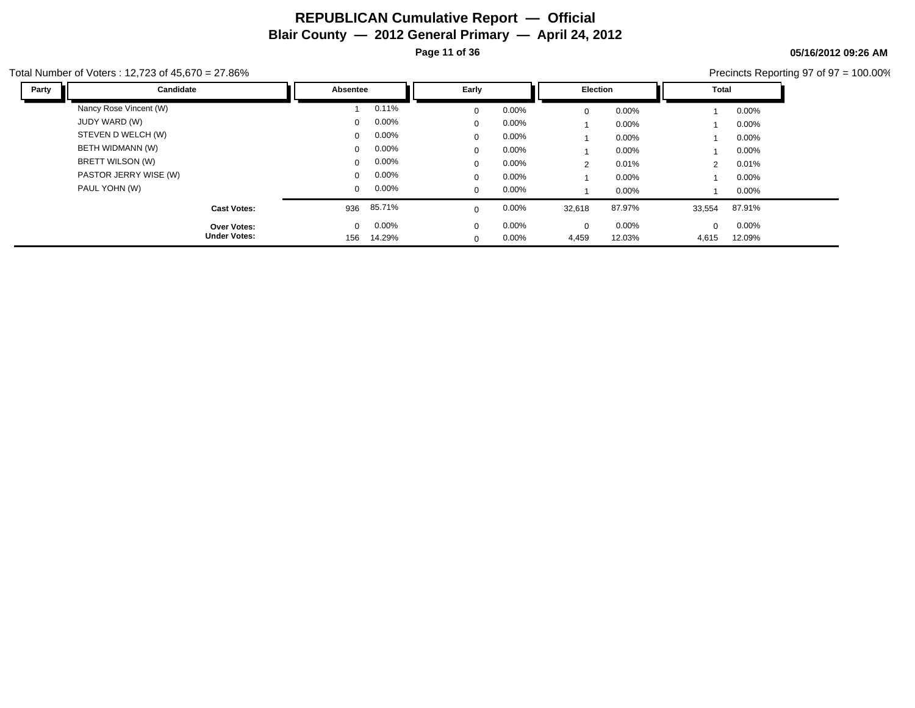**05/16/2012 09:26 AM**

Precincts Reporting 97 of 97 = 100.00%

| Party | Candidate              | <b>Absentee</b> |          | Early       |          | <b>Election</b> |          | <b>Total</b>   |          |
|-------|------------------------|-----------------|----------|-------------|----------|-----------------|----------|----------------|----------|
|       | Nancy Rose Vincent (W) |                 | 0.11%    | $\mathbf 0$ | 0.00%    | $\mathbf 0$     | 0.00%    |                | 0.00%    |
|       | JUDY WARD (W)          | $\mathbf{0}$    | $0.00\%$ | $\Omega$    | $0.00\%$ |                 | $0.00\%$ |                | 0.00%    |
|       | STEVEN D WELCH (W)     | $\mathbf{0}$    | $0.00\%$ | $\mathbf 0$ | $0.00\%$ |                 | 0.00%    |                | 0.00%    |
|       | BETH WIDMANN (W)       | $\Omega$        | $0.00\%$ | $\mathbf 0$ | $0.00\%$ |                 | $0.00\%$ |                | 0.00%    |
|       | BRETT WILSON (W)       | $\Omega$        | $0.00\%$ | $\Omega$    | $0.00\%$ | 2               | 0.01%    | $\overline{2}$ | 0.01%    |
|       | PASTOR JERRY WISE (W)  | $\mathbf{0}$    | $0.00\%$ | $\mathbf 0$ | $0.00\%$ |                 | 0.00%    |                | 0.00%    |
|       | PAUL YOHN (W)          | $\Omega$        | $0.00\%$ | $\mathbf 0$ | $0.00\%$ |                 | 0.00%    |                | 0.00%    |
|       | <b>Cast Votes:</b>     | 936             | 85.71%   | $\Omega$    | 0.00%    | 32,618          | 87.97%   | 33,554         | 87.91%   |
|       | Over Votes:            | $\Omega$        | $0.00\%$ | $\mathbf 0$ | $0.00\%$ | $\mathbf 0$     | 0.00%    | $\mathbf{0}$   | $0.00\%$ |
|       | <b>Under Votes:</b>    | 156             | 14.29%   | $\mathbf 0$ | $0.00\%$ | 4,459           | 12.03%   | 4,615          | 12.09%   |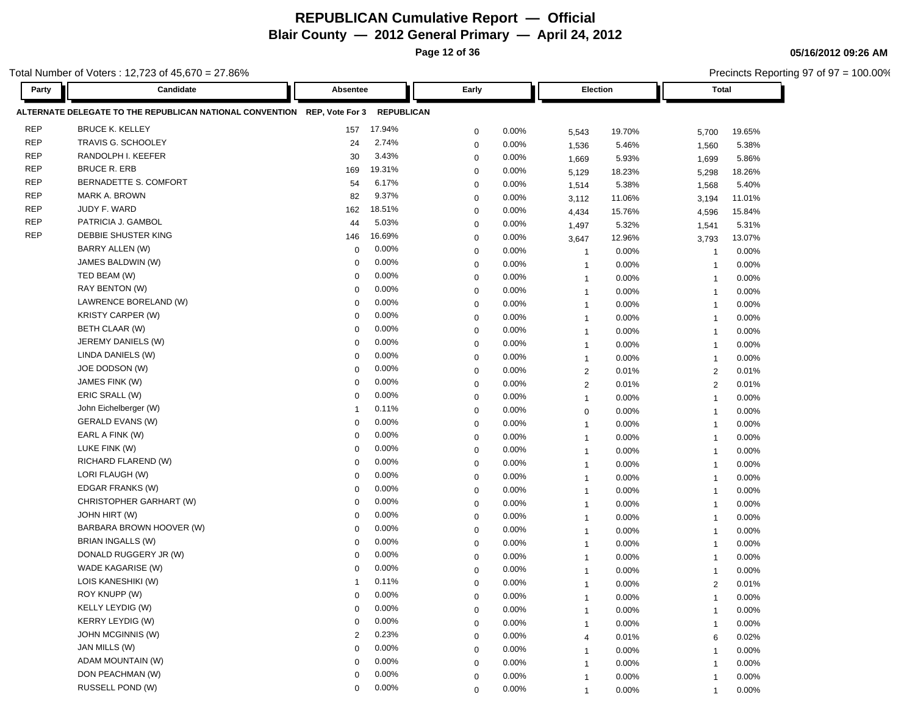**Page 12 of 36**

**05/16/2012 09:26 AM**

|            | otal Number of Voters : 12,723 of 45,670 = 27.86%                        |             |                   |             |       |                |        |                         | Precincts Reporting 97 of 97 = 100.00% |  |
|------------|--------------------------------------------------------------------------|-------------|-------------------|-------------|-------|----------------|--------|-------------------------|----------------------------------------|--|
| Party      | Candidate                                                                | Absentee    |                   | Early       |       | Election       |        | <b>Total</b>            |                                        |  |
|            | ALTERNATE DELEGATE TO THE REPUBLICAN NATIONAL CONVENTION REP, Vote For 3 |             | <b>REPUBLICAN</b> |             |       |                |        |                         |                                        |  |
| <b>REP</b> | <b>BRUCE K. KELLEY</b>                                                   | 157         | 17.94%            | $\mathbf 0$ | 0.00% | 5,543          | 19.70% | 5,700                   | 19.65%                                 |  |
| <b>REP</b> | TRAVIS G. SCHOOLEY                                                       | 24          | 2.74%             | $\mathbf 0$ | 0.00% | 1,536          | 5.46%  | 1,560                   | 5.38%                                  |  |
| <b>REP</b> | RANDOLPH I. KEEFER                                                       | 30          | 3.43%             | 0           | 0.00% | 1,669          | 5.93%  | 1,699                   | 5.86%                                  |  |
| <b>REP</b> | <b>BRUCE R. ERB</b>                                                      | 169         | 19.31%            | 0           | 0.00% | 5,129          | 18.23% | 5,298                   | 18.26%                                 |  |
| <b>REP</b> | BERNADETTE S. COMFORT                                                    | 54          | 6.17%             | 0           | 0.00% | 1,514          | 5.38%  | 1,568                   | 5.40%                                  |  |
| <b>REP</b> | MARK A. BROWN                                                            | 82          | 9.37%             | 0           | 0.00% | 3,112          | 11.06% | 3,194                   | 11.01%                                 |  |
| <b>REP</b> | JUDY F. WARD                                                             | 162         | 18.51%            | $\mathbf 0$ | 0.00% | 4,434          | 15.76% | 4,596                   | 15.84%                                 |  |
| <b>REP</b> | PATRICIA J. GAMBOL                                                       | 44          | 5.03%             | $\mathbf 0$ | 0.00% | 1,497          | 5.32%  | 1,541                   | 5.31%                                  |  |
| <b>REP</b> | DEBBIE SHUSTER KING                                                      | 146         | 16.69%            | $\mathbf 0$ | 0.00% | 3,647          | 12.96% | 3,793                   | 13.07%                                 |  |
|            | BARRY ALLEN (W)                                                          | 0           | 0.00%             | 0           | 0.00% | $\overline{1}$ | 0.00%  | $\overline{\mathbf{1}}$ | 0.00%                                  |  |
|            | JAMES BALDWIN (W)                                                        | 0           | 0.00%             | $\mathbf 0$ | 0.00% | $\overline{1}$ | 0.00%  | -1                      | 0.00%                                  |  |
|            | TED BEAM (W)                                                             | 0           | 0.00%             | 0           | 0.00% | $\overline{1}$ | 0.00%  | $\overline{\mathbf{1}}$ | 0.00%                                  |  |
|            | RAY BENTON (W)                                                           | 0           | 0.00%             | $\mathbf 0$ | 0.00% | $\overline{1}$ | 0.00%  | $\overline{\mathbf{1}}$ | 0.00%                                  |  |
|            | LAWRENCE BORELAND (W)                                                    | 0           | 0.00%             | $\mathbf 0$ | 0.00% | $\overline{1}$ | 0.00%  | $\overline{\mathbf{1}}$ | 0.00%                                  |  |
|            | KRISTY CARPER (W)                                                        | 0           | 0.00%             | 0           | 0.00% | $\overline{1}$ | 0.00%  | $\overline{\mathbf{1}}$ | 0.00%                                  |  |
|            | BETH CLAAR (W)                                                           | 0           | 0.00%             | 0           | 0.00% | $\mathbf{1}$   | 0.00%  | $\overline{1}$          | 0.00%                                  |  |
|            | JEREMY DANIELS (W)                                                       | 0           | 0.00%             | 0           | 0.00% | $\mathbf{1}$   | 0.00%  | $\overline{1}$          | 0.00%                                  |  |
|            | LINDA DANIELS (W)                                                        | $\mathbf 0$ | 0.00%             | 0           | 0.00% | $\mathbf{1}$   | 0.00%  | $\overline{1}$          | 0.00%                                  |  |
|            | JOE DODSON (W)                                                           | $\mathbf 0$ | 0.00%             | 0           | 0.00% | $\overline{2}$ | 0.01%  | $\overline{2}$          | 0.01%                                  |  |
|            | JAMES FINK (W)                                                           | 0           | 0.00%             | $\mathbf 0$ | 0.00% | 2              | 0.01%  | $\overline{2}$          | 0.01%                                  |  |
|            | ERIC SRALL (W)                                                           | $\mathbf 0$ | 0.00%             | 0           | 0.00% | $\overline{1}$ | 0.00%  | -1                      | 0.00%                                  |  |
|            | John Eichelberger (W)                                                    | -1          | 0.11%             | 0           | 0.00% | $\mathbf 0$    | 0.00%  | $\overline{\mathbf{1}}$ | 0.00%                                  |  |
|            | <b>GERALD EVANS (W)</b>                                                  | $\mathbf 0$ | 0.00%             | $\mathbf 0$ | 0.00% | $\mathbf{1}$   | 0.00%  | $\overline{\mathbf{1}}$ | 0.00%                                  |  |
|            | EARL A FINK (W)                                                          | $\mathbf 0$ | 0.00%             | 0           | 0.00% | $\overline{1}$ | 0.00%  | $\overline{\mathbf{1}}$ | 0.00%                                  |  |
|            | LUKE FINK (W)                                                            | $\Omega$    | 0.00%             | $\mathbf 0$ | 0.00% | $\overline{1}$ | 0.00%  | $\overline{1}$          | 0.00%                                  |  |
|            | RICHARD FLAREND (W)                                                      | 0           | 0.00%             | $\mathbf 0$ | 0.00% | $\overline{1}$ | 0.00%  | -1                      | 0.00%                                  |  |
|            | LORI FLAUGH (W)                                                          | 0           | 0.00%             | 0           | 0.00% | $\overline{1}$ | 0.00%  | -1                      | 0.00%                                  |  |
|            | EDGAR FRANKS (W)                                                         | 0           | 0.00%             | 0           | 0.00% | $\mathbf{1}$   | 0.00%  | $\overline{1}$          | 0.00%                                  |  |
|            | CHRISTOPHER GARHART (W)                                                  | 0           | 0.00%             | 0           | 0.00% | $\mathbf{1}$   | 0.00%  | $\overline{1}$          | 0.00%                                  |  |
|            | <b>JOHN HIRT (W)</b>                                                     | 0           | 0.00%             | 0           | 0.00% | $\mathbf{1}$   | 0.00%  | $\overline{1}$          | 0.00%                                  |  |
|            | BARBARA BROWN HOOVER (W)                                                 | 0           | 0.00%             | $\mathbf 0$ | 0.00% | $\mathbf{1}$   | 0.00%  | -1                      | 0.00%                                  |  |
|            | BRIAN INGALLS (W)                                                        | $\Omega$    | 0.00%             | $\mathbf 0$ | 0.00% | $\overline{1}$ | 0.00%  | -1                      | 0.00%                                  |  |
|            | DONALD RUGGERY JR (W)                                                    | $\Omega$    | 0.00%             | $\Omega$    | 0.00% | $\mathbf{1}$   | 0.00%  | -1                      | 0.00%                                  |  |
|            | WADE KAGARISE (W)                                                        | 0           | 0.00%             | $\mathbf 0$ | 0.00% | $\mathbf{1}$   | 0.00%  | -1                      | 0.00%                                  |  |
|            | LOIS KANESHIKI (W)                                                       |             | 0.11%             | $\Omega$    | 0.00% |                | 0.00%  | $\overline{2}$          | 0.01%                                  |  |
|            | ROY KNUPP (W)                                                            | $\mathbf 0$ | 0.00%             | $\mathbf 0$ | 0.00% | $\mathbf{1}$   | 0.00%  | $\overline{1}$          | 0.00%                                  |  |
|            | <b>KELLY LEYDIG (W)</b>                                                  | $\Omega$    | 0.00%             | $\mathbf 0$ | 0.00% | $\mathbf{1}$   | 0.00%  | $\overline{1}$          | 0.00%                                  |  |
|            | <b>KERRY LEYDIG (W)</b>                                                  | 0           | 0.00%             | $\mathbf 0$ | 0.00% | $\mathbf{1}$   | 0.00%  | -1                      | 0.00%                                  |  |
|            | <b>JOHN MCGINNIS (W)</b>                                                 | 2           | 0.23%             | 0           | 0.00% | $\overline{4}$ | 0.01%  | 6                       | 0.02%                                  |  |
|            | JAN MILLS (W)                                                            | 0           | 0.00%             | 0           | 0.00% | $\mathbf{1}$   | 0.00%  | $\overline{1}$          | 0.00%                                  |  |
|            | ADAM MOUNTAIN (W)                                                        | 0           | 0.00%             | 0           | 0.00% | $\mathbf{1}$   | 0.00%  | $\mathbf 1$             | $0.00\%$                               |  |
|            | DON PEACHMAN (W)                                                         | 0           | 0.00%             | 0           | 0.00% | $\mathbf{1}$   | 0.00%  | $\mathbf 1$             | 0.00%                                  |  |
|            | RUSSELL POND (W)                                                         | $\Omega$    | 0.00%             | $\mathbf 0$ | 0.00% | $\mathbf{1}$   | 0.00%  | $\mathbf{1}$            | 0.00%                                  |  |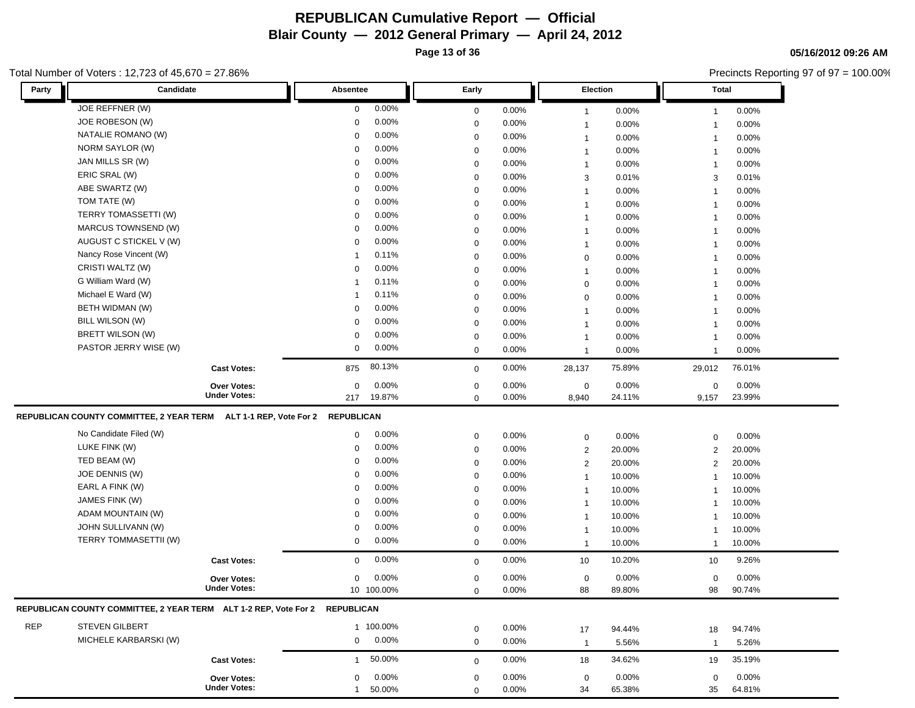**Page 13 of 36**

**05/16/2012 09:26 AM**

|            | Total Number of Voters: 12,723 of 45,670 = 27.86%                           |                     |                 |            |             |          | Precincts Reporting 97 of 97 = 100.00% |        |                |        |  |
|------------|-----------------------------------------------------------------------------|---------------------|-----------------|------------|-------------|----------|----------------------------------------|--------|----------------|--------|--|
| Party      | Candidate                                                                   |                     | <b>Absentee</b> |            | Early       |          | Election                               |        | <b>Total</b>   |        |  |
|            | JOE REFFNER (W)                                                             |                     | $\mathbf 0$     | 0.00%      | $\mathbf 0$ | 0.00%    | $\overline{1}$                         | 0.00%  | $\mathbf{1}$   | 0.00%  |  |
|            | JOE ROBESON (W)                                                             |                     | $\mathbf 0$     | 0.00%      | $\mathbf 0$ | 0.00%    | $\mathbf{1}$                           | 0.00%  | $\mathbf{1}$   | 0.00%  |  |
|            | NATALIE ROMANO (W)                                                          |                     | 0               | 0.00%      | 0           | 0.00%    | $\mathbf{1}$                           | 0.00%  | $\mathbf{1}$   | 0.00%  |  |
|            | NORM SAYLOR (W)                                                             |                     | 0               | 0.00%      | 0           | 0.00%    | $\mathbf{1}$                           | 0.00%  | $\mathbf{1}$   | 0.00%  |  |
|            | JAN MILLS SR (W)                                                            |                     | 0               | 0.00%      | $\mathbf 0$ | $0.00\%$ | $\mathbf{1}$                           | 0.00%  | $\mathbf{1}$   | 0.00%  |  |
|            | ERIC SRAL (W)                                                               |                     | 0               | 0.00%      | 0           | 0.00%    | 3                                      | 0.01%  | 3              | 0.01%  |  |
|            | ABE SWARTZ (W)                                                              |                     | 0               | 0.00%      | 0           | 0.00%    | $\mathbf{1}$                           | 0.00%  | -1             | 0.00%  |  |
|            | TOM TATE (W)                                                                |                     | $\mathbf 0$     | 0.00%      | $\mathbf 0$ | 0.00%    | 1                                      | 0.00%  | -1             | 0.00%  |  |
|            | TERRY TOMASSETTI (W)                                                        |                     | $\mathbf 0$     | 0.00%      | $\mathbf 0$ | 0.00%    | 1                                      | 0.00%  | -1             | 0.00%  |  |
|            | MARCUS TOWNSEND (W)                                                         |                     | $\mathbf 0$     | 0.00%      | 0           | 0.00%    | $\mathbf{1}$                           | 0.00%  | $\overline{1}$ | 0.00%  |  |
|            | AUGUST C STICKEL V (W)                                                      |                     | $\mathbf 0$     | 0.00%      | $\mathbf 0$ | $0.00\%$ | $\mathbf{1}$                           | 0.00%  | $\overline{1}$ | 0.00%  |  |
|            | Nancy Rose Vincent (W)                                                      |                     | -1              | 0.11%      | $\mathbf 0$ | $0.00\%$ | 0                                      | 0.00%  | $\overline{1}$ | 0.00%  |  |
|            | CRISTI WALTZ (W)                                                            |                     | $\mathbf 0$     | 0.00%      | 0           | 0.00%    | $\mathbf{1}$                           | 0.00%  | $\overline{1}$ | 0.00%  |  |
|            | G William Ward (W)                                                          |                     | $\mathbf 1$     | 0.11%      | $\mathbf 0$ | $0.00\%$ | 0                                      | 0.00%  | $\mathbf{1}$   | 0.00%  |  |
|            | Michael E Ward (W)                                                          |                     | $\mathbf 1$     | 0.11%      | $\mathbf 0$ | $0.00\%$ | 0                                      | 0.00%  | $\overline{1}$ | 0.00%  |  |
|            | BETH WIDMAN (W)                                                             |                     | 0               | 0.00%      | 0           | 0.00%    | $\mathbf{1}$                           | 0.00%  | $\overline{1}$ | 0.00%  |  |
|            | <b>BILL WILSON (W)</b>                                                      |                     | $\mathbf 0$     | 0.00%      | 0           | $0.00\%$ | 1                                      | 0.00%  | -1             | 0.00%  |  |
|            | BRETT WILSON (W)                                                            |                     | 0               | 0.00%      | 0           | $0.00\%$ | 1                                      | 0.00%  | -1             | 0.00%  |  |
|            | PASTOR JERRY WISE (W)                                                       |                     | $\mathbf 0$     | $0.00\%$   | 0           | 0.00%    | $\mathbf{1}$                           | 0.00%  | $\mathbf{1}$   | 0.00%  |  |
|            |                                                                             | <b>Cast Votes:</b>  | 875             | 80.13%     | $\mathbf 0$ | 0.00%    | 28,137                                 | 75.89% | 29,012         | 76.01% |  |
|            |                                                                             | Over Votes:         | $\mathbf 0$     | 0.00%      | 0           | 0.00%    | 0                                      | 0.00%  | $\mathbf 0$    | 0.00%  |  |
|            |                                                                             | <b>Under Votes:</b> | 217             | 19.87%     | $\mathbf 0$ | 0.00%    | 8,940                                  | 24.11% | 9,157          | 23.99% |  |
|            | REPUBLICAN COUNTY COMMITTEE, 2 YEAR TERM ALT 1-1 REP, Vote For 2            |                     | REPUBLICAN      |            |             |          |                                        |        |                |        |  |
|            | No Candidate Filed (W)                                                      |                     | 0               | 0.00%      | $\mathbf 0$ | 0.00%    | $\mathbf 0$                            | 0.00%  | 0              | 0.00%  |  |
|            | LUKE FINK (W)                                                               |                     | $\mathbf 0$     | 0.00%      | $\mathbf 0$ | $0.00\%$ | $\overline{2}$                         | 20.00% | 2              | 20.00% |  |
|            | TED BEAM (W)                                                                |                     | 0               | 0.00%      | 0           | $0.00\%$ | $\overline{c}$                         | 20.00% | 2              | 20.00% |  |
|            | JOE DENNIS (W)                                                              |                     | 0               | 0.00%      | 0           | 0.00%    | $\mathbf{1}$                           | 10.00% | -1             | 10.00% |  |
|            | EARL A FINK (W)                                                             |                     | $\mathbf 0$     | 0.00%      | $\mathbf 0$ | 0.00%    | $\mathbf{1}$                           | 10.00% | -1             | 10.00% |  |
|            | JAMES FINK (W)                                                              |                     | 0               | 0.00%      | 0           | 0.00%    | $\mathbf{1}$                           | 10.00% |                | 10.00% |  |
|            | ADAM MOUNTAIN (W)                                                           |                     | $\mathbf 0$     | 0.00%      | $\mathbf 0$ | 0.00%    | $\mathbf{1}$                           | 10.00% | -1             | 10.00% |  |
|            | JOHN SULLIVANN (W)                                                          |                     | $\mathbf 0$     | 0.00%      | $\mathbf 0$ | $0.00\%$ | $\overline{1}$                         | 10.00% | -1             | 10.00% |  |
|            | TERRY TOMMASETTII (W)                                                       |                     | $\mathbf 0$     | $0.00\%$   | 0           | $0.00\%$ | $\overline{1}$                         | 10.00% | -1             | 10.00% |  |
|            |                                                                             | <b>Cast Votes:</b>  | $\mathbf 0$     | 0.00%      | $\mathbf 0$ | $0.00\%$ | 10                                     | 10.20% | 10             | 9.26%  |  |
|            |                                                                             | Over Votes:         | 0               | 0.00%      | $\mathbf 0$ | 0.00%    | 0                                      | 0.00%  | $\mathbf 0$    | 0.00%  |  |
|            |                                                                             | <b>Under Votes:</b> |                 | 10 100.00% | 0           | 0.00%    | 88                                     | 89.80% | 98             | 90.74% |  |
|            | REPUBLICAN COUNTY COMMITTEE, 2 YEAR TERM ALT 1-2 REP, Vote For 2 REPUBLICAN |                     |                 |            |             |          |                                        |        |                |        |  |
| <b>REP</b> | STEVEN GILBERT                                                              |                     |                 | 1 100.00%  | $\mathbf 0$ | 0.00%    | 17                                     | 94.44% | 18             | 94.74% |  |
|            | MICHELE KARBARSKI (W)                                                       |                     | $\mathbf 0$     | 0.00%      | $\mathbf 0$ | 0.00%    | $\overline{1}$                         | 5.56%  | $\mathbf{1}$   | 5.26%  |  |
|            |                                                                             |                     |                 | 50.00%     |             | $0.00\%$ | 18                                     | 34.62% | 19             | 35.19% |  |
|            |                                                                             | <b>Cast Votes:</b>  | $\mathbf{1}$    |            | $\mathbf 0$ |          |                                        |        |                |        |  |
|            |                                                                             | Over Votes:         | 0               | 0.00%      | 0           | $0.00\%$ | 0                                      | 0.00%  | $\mathbf 0$    | 0.00%  |  |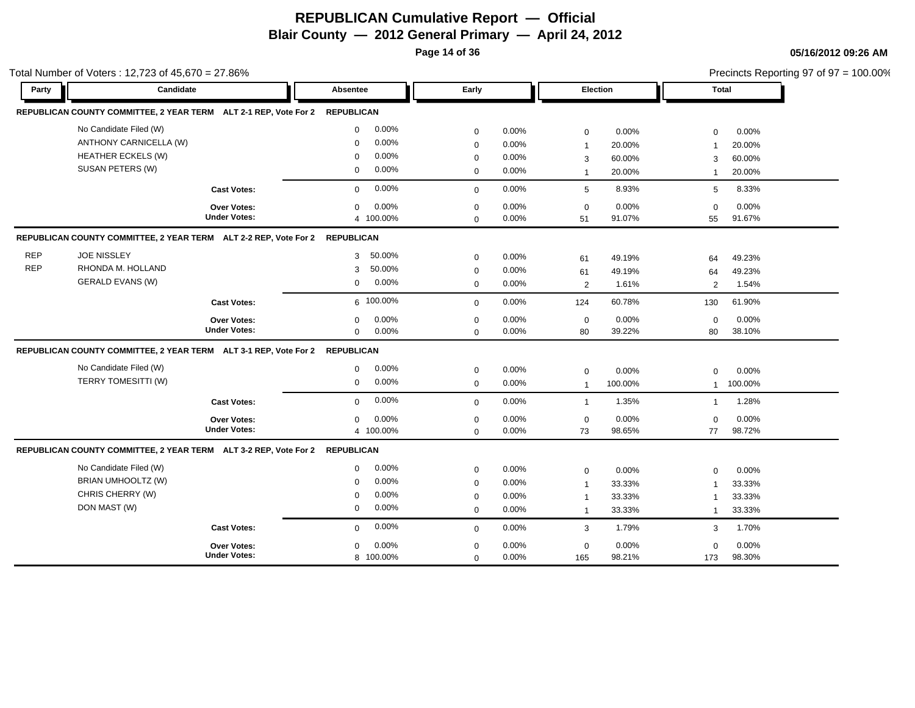**Page 14 of 36**

|            | Total Number of Voters: 12,723 of 45,670 = 27.86%                           |                     |                         |             |          |                     |         |                | Precincts Reporting 97 of 97 = 100.00% |
|------------|-----------------------------------------------------------------------------|---------------------|-------------------------|-------------|----------|---------------------|---------|----------------|----------------------------------------|
| Party      | Candidate                                                                   |                     | Absentee                | Early       |          | <b>Election</b>     |         | Total          |                                        |
|            | REPUBLICAN COUNTY COMMITTEE, 2 YEAR TERM ALT 2-1 REP, Vote For 2 REPUBLICAN |                     |                         |             |          |                     |         |                |                                        |
|            | No Candidate Filed (W)                                                      |                     | 0.00%<br>$\mathbf 0$    | $\mathbf 0$ | 0.00%    | $\mathbf 0$         | 0.00%   | $\mathbf 0$    | 0.00%                                  |
|            | ANTHONY CARNICELLA (W)                                                      |                     | 0.00%<br>$\Omega$       | $\mathbf 0$ | 0.00%    | $\mathbf{1}$        | 20.00%  |                | 20.00%                                 |
|            | <b>HEATHER ECKELS (W)</b>                                                   |                     | 0.00%<br>$\mathbf 0$    | 0           | $0.00\%$ | 3                   | 60.00%  | 3              | 60.00%                                 |
|            | SUSAN PETERS (W)                                                            |                     | $0.00\%$<br>$\mathbf 0$ | $\mathbf 0$ | 0.00%    | $\mathbf{1}$        | 20.00%  | $\overline{1}$ | 20.00%                                 |
|            |                                                                             | <b>Cast Votes:</b>  | 0.00%<br>$\mathbf 0$    | $\mathbf 0$ | 0.00%    | 5                   | 8.93%   | 5              | 8.33%                                  |
|            |                                                                             | Over Votes:         | 0.00%<br>$\mathbf 0$    | $\mathbf 0$ | 0.00%    | $\mathsf{O}\xspace$ | 0.00%   | $\mathbf 0$    | 0.00%                                  |
|            |                                                                             | <b>Under Votes:</b> | 4 100.00%               | $\mathbf 0$ | 0.00%    | 51                  | 91.07%  | 55             | 91.67%                                 |
|            | REPUBLICAN COUNTY COMMITTEE, 2 YEAR TERM ALT 2-2 REP, Vote For 2 REPUBLICAN |                     |                         |             |          |                     |         |                |                                        |
| <b>REP</b> | <b>JOE NISSLEY</b>                                                          |                     | 50.00%<br>3             | $\mathbf 0$ | 0.00%    | 61                  | 49.19%  | 64             | 49.23%                                 |
| <b>REP</b> | RHONDA M. HOLLAND                                                           |                     | 50.00%<br>3             | $\mathbf 0$ | 0.00%    | 61                  | 49.19%  | 64             | 49.23%                                 |
|            | <b>GERALD EVANS (W)</b>                                                     |                     | 0.00%<br>$\mathbf 0$    | $\mathbf 0$ | 0.00%    | 2                   | 1.61%   | 2              | 1.54%                                  |
|            |                                                                             | <b>Cast Votes:</b>  | 6 100.00%               | $\mathbf 0$ | 0.00%    | 124                 | 60.78%  | 130            | 61.90%                                 |
|            |                                                                             | <b>Over Votes:</b>  | 0.00%<br>0              | $\mathbf 0$ | 0.00%    | $\mathbf 0$         | 0.00%   | $\mathbf 0$    | 0.00%                                  |
|            |                                                                             | <b>Under Votes:</b> | 0.00%<br>$\mathbf 0$    | $\mathbf 0$ | 0.00%    | 80                  | 39.22%  | 80             | 38.10%                                 |
|            | REPUBLICAN COUNTY COMMITTEE, 2 YEAR TERM ALT 3-1 REP, Vote For 2 REPUBLICAN |                     |                         |             |          |                     |         |                |                                        |
|            | No Candidate Filed (W)                                                      |                     | 0.00%<br>0              | $\mathbf 0$ | 0.00%    | $\mathbf 0$         | 0.00%   | $\mathbf 0$    | 0.00%                                  |
|            | TERRY TOMESITTI (W)                                                         |                     | 0.00%<br>$\mathbf 0$    | $\mathbf 0$ | 0.00%    | $\mathbf{1}$        | 100.00% | $\mathbf{1}$   | 100.00%                                |
|            |                                                                             | <b>Cast Votes:</b>  | 0.00%<br>$\mathbf 0$    | $\mathbf 0$ | $0.00\%$ | $\overline{1}$      | 1.35%   | $\mathbf{1}$   | 1.28%                                  |
|            |                                                                             | Over Votes:         | 0.00%<br>$\mathbf 0$    | $\mathbf 0$ | 0.00%    | $\mathsf 0$         | 0.00%   | $\mathbf 0$    | 0.00%                                  |
|            |                                                                             | <b>Under Votes:</b> | 4 100.00%               | $\Omega$    | 0.00%    | 73                  | 98.65%  | 77             | 98.72%                                 |
|            | REPUBLICAN COUNTY COMMITTEE, 2 YEAR TERM ALT 3-2 REP, Vote For 2            |                     | <b>REPUBLICAN</b>       |             |          |                     |         |                |                                        |
|            | No Candidate Filed (W)                                                      |                     | 0.00%<br>$\mathbf 0$    | $\mathbf 0$ | 0.00%    | $\mathbf 0$         | 0.00%   | $\mathbf 0$    | 0.00%                                  |
|            | BRIAN UMHOOLTZ (W)                                                          |                     | 0.00%<br>$\mathbf 0$    | $\mathbf 0$ | 0.00%    | $\mathbf{1}$        | 33.33%  | $\overline{1}$ | 33.33%                                 |
|            | CHRIS CHERRY (W)                                                            |                     | 0.00%<br>$\Omega$       | $\mathbf 0$ | 0.00%    | $\mathbf{1}$        | 33.33%  |                | 33.33%                                 |
|            | DON MAST (W)                                                                |                     | 0.00%<br>$\mathbf 0$    | $\mathbf 0$ | 0.00%    | $\mathbf{1}$        | 33.33%  | $\overline{1}$ | 33.33%                                 |
|            |                                                                             | <b>Cast Votes:</b>  | 0.00%<br>$\mathbf 0$    | $\Omega$    | 0.00%    | 3                   | 1.79%   | 3              | 1.70%                                  |
|            |                                                                             | <b>Over Votes:</b>  | 0.00%<br>$\mathbf 0$    | $\mathbf 0$ | 0.00%    | $\mathsf 0$         | 0.00%   | $\mathbf 0$    | 0.00%                                  |
|            |                                                                             | <b>Under Votes:</b> | 8 100.00%               | $\mathbf 0$ | 0.00%    | 165                 | 98.21%  | 173            | 98.30%                                 |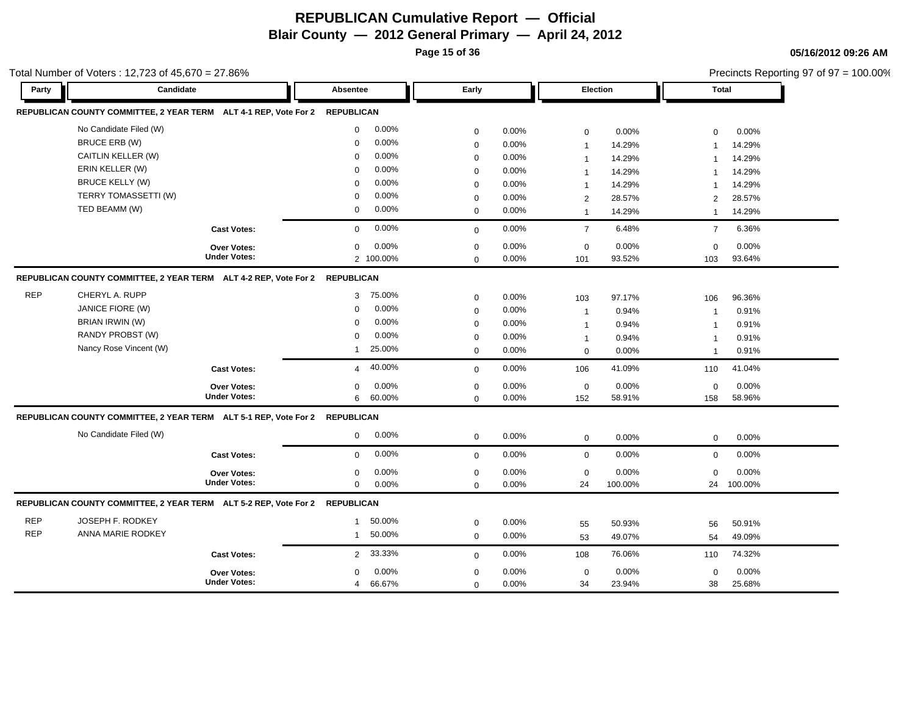**Page 15 of 36**

**05/16/2012 09:26 AM** Precincts Reporting 97 of 97 = 100.00%

| Party      |                                                                                                                                                                                                                                                                                                                                                                                                                                                                                                                                                                                                                                                                                                                                                                                                                                                                                                                                                                                                                                                                                                                                                                                                                                                                                                                                                                                                                                                                                                                                                                                                                                                                                                                                                                                                                                                                                                                                                                                                                                                                                                                                                                                                                                                                                                                                                                                                                                                                                                                                                                                                                                                                                                                                                                                                                                                                                                                                                                                                                                                                                                                                  |                     | Absentee             | Early       |       |             |        |     |        |
|------------|----------------------------------------------------------------------------------------------------------------------------------------------------------------------------------------------------------------------------------------------------------------------------------------------------------------------------------------------------------------------------------------------------------------------------------------------------------------------------------------------------------------------------------------------------------------------------------------------------------------------------------------------------------------------------------------------------------------------------------------------------------------------------------------------------------------------------------------------------------------------------------------------------------------------------------------------------------------------------------------------------------------------------------------------------------------------------------------------------------------------------------------------------------------------------------------------------------------------------------------------------------------------------------------------------------------------------------------------------------------------------------------------------------------------------------------------------------------------------------------------------------------------------------------------------------------------------------------------------------------------------------------------------------------------------------------------------------------------------------------------------------------------------------------------------------------------------------------------------------------------------------------------------------------------------------------------------------------------------------------------------------------------------------------------------------------------------------------------------------------------------------------------------------------------------------------------------------------------------------------------------------------------------------------------------------------------------------------------------------------------------------------------------------------------------------------------------------------------------------------------------------------------------------------------------------------------------------------------------------------------------------------------------------------------------------------------------------------------------------------------------------------------------------------------------------------------------------------------------------------------------------------------------------------------------------------------------------------------------------------------------------------------------------------------------------------------------------------------------------------------------------|---------------------|----------------------|-------------|-------|-------------|--------|-----|--------|
|            |                                                                                                                                                                                                                                                                                                                                                                                                                                                                                                                                                                                                                                                                                                                                                                                                                                                                                                                                                                                                                                                                                                                                                                                                                                                                                                                                                                                                                                                                                                                                                                                                                                                                                                                                                                                                                                                                                                                                                                                                                                                                                                                                                                                                                                                                                                                                                                                                                                                                                                                                                                                                                                                                                                                                                                                                                                                                                                                                                                                                                                                                                                                                  |                     | <b>REPUBLICAN</b>    |             |       |             |        |     |        |
|            | Candidate<br><b>Election</b><br><b>Total</b><br>REPUBLICAN COUNTY COMMITTEE, 2 YEAR TERM ALT 4-1 REP, Vote For 2<br>No Candidate Filed (W)<br>0.00%<br>$\mathbf 0$<br>0<br>0.00%<br>0.00%<br>0.00%<br>$\mathbf 0$<br>$\mathbf 0$<br>BRUCE ERB (W)<br>0.00%<br>$\mathbf 0$<br>0.00%<br>$\mathsf 0$<br>14.29%<br>14.29%<br>$\overline{1}$<br>1<br>CAITLIN KELLER (W)<br>0.00%<br>$\Omega$<br>0.00%<br>0<br>14.29%<br>14.29%<br>1<br>$\overline{1}$<br>ERIN KELLER (W)<br>0.00%<br>$\Omega$<br>0.00%<br>$\mathbf 0$<br>14.29%<br>14.29%<br>$\overline{1}$<br>$\mathbf 1$<br><b>BRUCE KELLY (W)</b><br>0.00%<br>$\Omega$<br>0.00%<br>$\mathbf 0$<br>14.29%<br>14.29%<br>$\mathbf 1$<br>$\overline{\mathbf{1}}$<br>TERRY TOMASSETTI (W)<br>0.00%<br>$\mathbf 0$<br>0.00%<br>0<br>28.57%<br>28.57%<br>$\overline{2}$<br>2<br>TED BEAMM (W)<br>0.00%<br>$\mathbf 0$<br>0.00%<br>$\mathbf 0$<br>14.29%<br>14.29%<br>$\mathbf{1}$<br>$\overline{1}$<br>0.00%<br><b>Cast Votes:</b><br>$\mathbf 0$<br>0.00%<br>6.48%<br>6.36%<br>$\overline{7}$<br>$\overline{7}$<br>$\mathbf 0$<br>0.00%<br>0.00%<br>0.00%<br>0.00%<br>$\mathbf 0$<br>0<br>$\mathbf 0$<br>$\mathbf 0$<br><b>Over Votes:</b><br><b>Under Votes:</b><br>2 100.00%<br>93.52%<br>93.64%<br>0.00%<br>101<br>103<br>$\mathbf 0$<br>REPUBLICAN COUNTY COMMITTEE, 2 YEAR TERM ALT 4-2 REP, Vote For 2 REPUBLICAN<br>CHERYL A. RUPP<br>75.00%<br>3<br>0.00%<br>$\mathbf 0$<br>97.17%<br>96.36%<br>103<br>106<br>JANICE FIORE (W)<br>0.00%<br>$\Omega$<br>0.00%<br>$\mathsf 0$<br>0.94%<br>0.91%<br>$\overline{1}$<br>$\mathbf{1}$<br>BRIAN IRWIN (W)<br>0.00%<br>$\mathbf 0$<br>0.00%<br>0<br>0.94%<br>0.91%<br>$\mathbf{1}$<br>$\overline{\mathbf{1}}$<br>RANDY PROBST (W)<br>0.00%<br>$\Omega$<br>$\mathbf 0$<br>$0.00\%$<br>0.94%<br>0.91%<br>$\mathbf{1}$<br>$\overline{\mathbf{1}}$<br>Nancy Rose Vincent (W)<br>25.00%<br>0.00%<br>$\mathbf{1}$<br>$\mathbf 0$<br>0.00%<br>0.91%<br>$\mathbf 0$<br>$\overline{1}$<br>40.00%<br>41.09%<br>41.04%<br>$0.00\%$<br><b>Cast Votes:</b><br>106<br>110<br>$\overline{4}$<br>0<br>0.00%<br>0.00%<br>0.00%<br>0.00%<br>$\mathsf 0$<br>$\mathbf 0$<br><b>Over Votes:</b><br>$\mathbf 0$<br>$\mathbf 0$<br><b>Under Votes:</b><br>60.00%<br>58.96%<br>6<br>0.00%<br>58.91%<br>158<br>$\mathbf 0$<br>152<br>REPUBLICAN COUNTY COMMITTEE, 2 YEAR TERM ALT 5-1 REP, Vote For 2<br><b>REPUBLICAN</b><br>No Candidate Filed (W)<br>0.00%<br>$\mathbf 0$<br>0.00%<br>0<br>0.00%<br>0.00%<br>$\mathbf 0$<br>0<br>0.00%<br>0.00%<br>0.00%<br>0.00%<br>$\mathbf 0$<br>$\mathbf 0$<br><b>Cast Votes:</b><br>$\mathbf 0$<br>$\mathbf 0$<br>0.00%<br>0.00%<br>0.00%<br>0.00%<br>Over Votes:<br>$\mathsf 0$<br>$\mathbf 0$<br>$\mathbf 0$<br>$\mathbf 0$<br><b>Under Votes:</b><br>0.00%<br>0.00%<br>24<br>100.00%<br>100.00%<br>$\mathbf{0}$<br>$\mathbf 0$<br>24<br>REPUBLICAN COUNTY COMMITTEE, 2 YEAR TERM ALT 5-2 REP, Vote For 2 REPUBLICAN<br>JOSEPH F. RODKEY<br>50.00%<br>$\mathbf{1}$<br>0.00%<br>$\mathsf 0$<br>50.93%<br>50.91%<br>55<br>56<br>ANNA MARIE RODKEY<br>50.00%<br>$\mathbf{1}$<br>0.00%<br>0<br>49.07%<br>49.09%<br>53<br>54 |                     |                      |             |       |             |        |     |        |
|            |                                                                                                                                                                                                                                                                                                                                                                                                                                                                                                                                                                                                                                                                                                                                                                                                                                                                                                                                                                                                                                                                                                                                                                                                                                                                                                                                                                                                                                                                                                                                                                                                                                                                                                                                                                                                                                                                                                                                                                                                                                                                                                                                                                                                                                                                                                                                                                                                                                                                                                                                                                                                                                                                                                                                                                                                                                                                                                                                                                                                                                                                                                                                  |                     |                      |             |       |             |        |     |        |
|            |                                                                                                                                                                                                                                                                                                                                                                                                                                                                                                                                                                                                                                                                                                                                                                                                                                                                                                                                                                                                                                                                                                                                                                                                                                                                                                                                                                                                                                                                                                                                                                                                                                                                                                                                                                                                                                                                                                                                                                                                                                                                                                                                                                                                                                                                                                                                                                                                                                                                                                                                                                                                                                                                                                                                                                                                                                                                                                                                                                                                                                                                                                                                  |                     |                      |             |       |             |        |     |        |
|            |                                                                                                                                                                                                                                                                                                                                                                                                                                                                                                                                                                                                                                                                                                                                                                                                                                                                                                                                                                                                                                                                                                                                                                                                                                                                                                                                                                                                                                                                                                                                                                                                                                                                                                                                                                                                                                                                                                                                                                                                                                                                                                                                                                                                                                                                                                                                                                                                                                                                                                                                                                                                                                                                                                                                                                                                                                                                                                                                                                                                                                                                                                                                  |                     |                      |             |       |             |        |     |        |
|            |                                                                                                                                                                                                                                                                                                                                                                                                                                                                                                                                                                                                                                                                                                                                                                                                                                                                                                                                                                                                                                                                                                                                                                                                                                                                                                                                                                                                                                                                                                                                                                                                                                                                                                                                                                                                                                                                                                                                                                                                                                                                                                                                                                                                                                                                                                                                                                                                                                                                                                                                                                                                                                                                                                                                                                                                                                                                                                                                                                                                                                                                                                                                  |                     |                      |             |       |             |        |     |        |
|            |                                                                                                                                                                                                                                                                                                                                                                                                                                                                                                                                                                                                                                                                                                                                                                                                                                                                                                                                                                                                                                                                                                                                                                                                                                                                                                                                                                                                                                                                                                                                                                                                                                                                                                                                                                                                                                                                                                                                                                                                                                                                                                                                                                                                                                                                                                                                                                                                                                                                                                                                                                                                                                                                                                                                                                                                                                                                                                                                                                                                                                                                                                                                  |                     |                      |             |       |             |        |     |        |
|            |                                                                                                                                                                                                                                                                                                                                                                                                                                                                                                                                                                                                                                                                                                                                                                                                                                                                                                                                                                                                                                                                                                                                                                                                                                                                                                                                                                                                                                                                                                                                                                                                                                                                                                                                                                                                                                                                                                                                                                                                                                                                                                                                                                                                                                                                                                                                                                                                                                                                                                                                                                                                                                                                                                                                                                                                                                                                                                                                                                                                                                                                                                                                  |                     |                      |             |       |             |        |     |        |
|            |                                                                                                                                                                                                                                                                                                                                                                                                                                                                                                                                                                                                                                                                                                                                                                                                                                                                                                                                                                                                                                                                                                                                                                                                                                                                                                                                                                                                                                                                                                                                                                                                                                                                                                                                                                                                                                                                                                                                                                                                                                                                                                                                                                                                                                                                                                                                                                                                                                                                                                                                                                                                                                                                                                                                                                                                                                                                                                                                                                                                                                                                                                                                  |                     |                      |             |       |             |        |     |        |
|            |                                                                                                                                                                                                                                                                                                                                                                                                                                                                                                                                                                                                                                                                                                                                                                                                                                                                                                                                                                                                                                                                                                                                                                                                                                                                                                                                                                                                                                                                                                                                                                                                                                                                                                                                                                                                                                                                                                                                                                                                                                                                                                                                                                                                                                                                                                                                                                                                                                                                                                                                                                                                                                                                                                                                                                                                                                                                                                                                                                                                                                                                                                                                  |                     |                      |             |       |             |        |     |        |
|            |                                                                                                                                                                                                                                                                                                                                                                                                                                                                                                                                                                                                                                                                                                                                                                                                                                                                                                                                                                                                                                                                                                                                                                                                                                                                                                                                                                                                                                                                                                                                                                                                                                                                                                                                                                                                                                                                                                                                                                                                                                                                                                                                                                                                                                                                                                                                                                                                                                                                                                                                                                                                                                                                                                                                                                                                                                                                                                                                                                                                                                                                                                                                  |                     |                      |             |       |             |        |     |        |
|            |                                                                                                                                                                                                                                                                                                                                                                                                                                                                                                                                                                                                                                                                                                                                                                                                                                                                                                                                                                                                                                                                                                                                                                                                                                                                                                                                                                                                                                                                                                                                                                                                                                                                                                                                                                                                                                                                                                                                                                                                                                                                                                                                                                                                                                                                                                                                                                                                                                                                                                                                                                                                                                                                                                                                                                                                                                                                                                                                                                                                                                                                                                                                  |                     |                      |             |       |             |        |     |        |
| <b>REP</b> |                                                                                                                                                                                                                                                                                                                                                                                                                                                                                                                                                                                                                                                                                                                                                                                                                                                                                                                                                                                                                                                                                                                                                                                                                                                                                                                                                                                                                                                                                                                                                                                                                                                                                                                                                                                                                                                                                                                                                                                                                                                                                                                                                                                                                                                                                                                                                                                                                                                                                                                                                                                                                                                                                                                                                                                                                                                                                                                                                                                                                                                                                                                                  |                     |                      |             |       |             |        |     |        |
|            |                                                                                                                                                                                                                                                                                                                                                                                                                                                                                                                                                                                                                                                                                                                                                                                                                                                                                                                                                                                                                                                                                                                                                                                                                                                                                                                                                                                                                                                                                                                                                                                                                                                                                                                                                                                                                                                                                                                                                                                                                                                                                                                                                                                                                                                                                                                                                                                                                                                                                                                                                                                                                                                                                                                                                                                                                                                                                                                                                                                                                                                                                                                                  |                     |                      |             |       |             |        |     |        |
|            |                                                                                                                                                                                                                                                                                                                                                                                                                                                                                                                                                                                                                                                                                                                                                                                                                                                                                                                                                                                                                                                                                                                                                                                                                                                                                                                                                                                                                                                                                                                                                                                                                                                                                                                                                                                                                                                                                                                                                                                                                                                                                                                                                                                                                                                                                                                                                                                                                                                                                                                                                                                                                                                                                                                                                                                                                                                                                                                                                                                                                                                                                                                                  |                     |                      |             |       |             |        |     |        |
|            |                                                                                                                                                                                                                                                                                                                                                                                                                                                                                                                                                                                                                                                                                                                                                                                                                                                                                                                                                                                                                                                                                                                                                                                                                                                                                                                                                                                                                                                                                                                                                                                                                                                                                                                                                                                                                                                                                                                                                                                                                                                                                                                                                                                                                                                                                                                                                                                                                                                                                                                                                                                                                                                                                                                                                                                                                                                                                                                                                                                                                                                                                                                                  |                     |                      |             |       |             |        |     |        |
|            |                                                                                                                                                                                                                                                                                                                                                                                                                                                                                                                                                                                                                                                                                                                                                                                                                                                                                                                                                                                                                                                                                                                                                                                                                                                                                                                                                                                                                                                                                                                                                                                                                                                                                                                                                                                                                                                                                                                                                                                                                                                                                                                                                                                                                                                                                                                                                                                                                                                                                                                                                                                                                                                                                                                                                                                                                                                                                                                                                                                                                                                                                                                                  |                     |                      |             |       |             |        |     |        |
|            |                                                                                                                                                                                                                                                                                                                                                                                                                                                                                                                                                                                                                                                                                                                                                                                                                                                                                                                                                                                                                                                                                                                                                                                                                                                                                                                                                                                                                                                                                                                                                                                                                                                                                                                                                                                                                                                                                                                                                                                                                                                                                                                                                                                                                                                                                                                                                                                                                                                                                                                                                                                                                                                                                                                                                                                                                                                                                                                                                                                                                                                                                                                                  |                     |                      |             |       |             |        |     |        |
|            |                                                                                                                                                                                                                                                                                                                                                                                                                                                                                                                                                                                                                                                                                                                                                                                                                                                                                                                                                                                                                                                                                                                                                                                                                                                                                                                                                                                                                                                                                                                                                                                                                                                                                                                                                                                                                                                                                                                                                                                                                                                                                                                                                                                                                                                                                                                                                                                                                                                                                                                                                                                                                                                                                                                                                                                                                                                                                                                                                                                                                                                                                                                                  |                     |                      |             |       |             |        |     |        |
|            |                                                                                                                                                                                                                                                                                                                                                                                                                                                                                                                                                                                                                                                                                                                                                                                                                                                                                                                                                                                                                                                                                                                                                                                                                                                                                                                                                                                                                                                                                                                                                                                                                                                                                                                                                                                                                                                                                                                                                                                                                                                                                                                                                                                                                                                                                                                                                                                                                                                                                                                                                                                                                                                                                                                                                                                                                                                                                                                                                                                                                                                                                                                                  |                     |                      |             |       |             |        |     |        |
|            |                                                                                                                                                                                                                                                                                                                                                                                                                                                                                                                                                                                                                                                                                                                                                                                                                                                                                                                                                                                                                                                                                                                                                                                                                                                                                                                                                                                                                                                                                                                                                                                                                                                                                                                                                                                                                                                                                                                                                                                                                                                                                                                                                                                                                                                                                                                                                                                                                                                                                                                                                                                                                                                                                                                                                                                                                                                                                                                                                                                                                                                                                                                                  |                     |                      |             |       |             |        |     |        |
|            |                                                                                                                                                                                                                                                                                                                                                                                                                                                                                                                                                                                                                                                                                                                                                                                                                                                                                                                                                                                                                                                                                                                                                                                                                                                                                                                                                                                                                                                                                                                                                                                                                                                                                                                                                                                                                                                                                                                                                                                                                                                                                                                                                                                                                                                                                                                                                                                                                                                                                                                                                                                                                                                                                                                                                                                                                                                                                                                                                                                                                                                                                                                                  |                     |                      |             |       |             |        |     |        |
|            |                                                                                                                                                                                                                                                                                                                                                                                                                                                                                                                                                                                                                                                                                                                                                                                                                                                                                                                                                                                                                                                                                                                                                                                                                                                                                                                                                                                                                                                                                                                                                                                                                                                                                                                                                                                                                                                                                                                                                                                                                                                                                                                                                                                                                                                                                                                                                                                                                                                                                                                                                                                                                                                                                                                                                                                                                                                                                                                                                                                                                                                                                                                                  |                     |                      |             |       |             |        |     |        |
|            |                                                                                                                                                                                                                                                                                                                                                                                                                                                                                                                                                                                                                                                                                                                                                                                                                                                                                                                                                                                                                                                                                                                                                                                                                                                                                                                                                                                                                                                                                                                                                                                                                                                                                                                                                                                                                                                                                                                                                                                                                                                                                                                                                                                                                                                                                                                                                                                                                                                                                                                                                                                                                                                                                                                                                                                                                                                                                                                                                                                                                                                                                                                                  |                     |                      |             |       |             |        |     |        |
|            |                                                                                                                                                                                                                                                                                                                                                                                                                                                                                                                                                                                                                                                                                                                                                                                                                                                                                                                                                                                                                                                                                                                                                                                                                                                                                                                                                                                                                                                                                                                                                                                                                                                                                                                                                                                                                                                                                                                                                                                                                                                                                                                                                                                                                                                                                                                                                                                                                                                                                                                                                                                                                                                                                                                                                                                                                                                                                                                                                                                                                                                                                                                                  |                     |                      |             |       |             |        |     |        |
|            |                                                                                                                                                                                                                                                                                                                                                                                                                                                                                                                                                                                                                                                                                                                                                                                                                                                                                                                                                                                                                                                                                                                                                                                                                                                                                                                                                                                                                                                                                                                                                                                                                                                                                                                                                                                                                                                                                                                                                                                                                                                                                                                                                                                                                                                                                                                                                                                                                                                                                                                                                                                                                                                                                                                                                                                                                                                                                                                                                                                                                                                                                                                                  |                     |                      |             |       |             |        |     |        |
| <b>REP</b> |                                                                                                                                                                                                                                                                                                                                                                                                                                                                                                                                                                                                                                                                                                                                                                                                                                                                                                                                                                                                                                                                                                                                                                                                                                                                                                                                                                                                                                                                                                                                                                                                                                                                                                                                                                                                                                                                                                                                                                                                                                                                                                                                                                                                                                                                                                                                                                                                                                                                                                                                                                                                                                                                                                                                                                                                                                                                                                                                                                                                                                                                                                                                  |                     |                      |             |       |             |        |     |        |
| <b>REP</b> |                                                                                                                                                                                                                                                                                                                                                                                                                                                                                                                                                                                                                                                                                                                                                                                                                                                                                                                                                                                                                                                                                                                                                                                                                                                                                                                                                                                                                                                                                                                                                                                                                                                                                                                                                                                                                                                                                                                                                                                                                                                                                                                                                                                                                                                                                                                                                                                                                                                                                                                                                                                                                                                                                                                                                                                                                                                                                                                                                                                                                                                                                                                                  |                     |                      |             |       |             |        |     |        |
|            |                                                                                                                                                                                                                                                                                                                                                                                                                                                                                                                                                                                                                                                                                                                                                                                                                                                                                                                                                                                                                                                                                                                                                                                                                                                                                                                                                                                                                                                                                                                                                                                                                                                                                                                                                                                                                                                                                                                                                                                                                                                                                                                                                                                                                                                                                                                                                                                                                                                                                                                                                                                                                                                                                                                                                                                                                                                                                                                                                                                                                                                                                                                                  | <b>Cast Votes:</b>  | 33.33%<br>2          | $\mathbf 0$ | 0.00% | 108         | 76.06% | 110 | 74.32% |
|            |                                                                                                                                                                                                                                                                                                                                                                                                                                                                                                                                                                                                                                                                                                                                                                                                                                                                                                                                                                                                                                                                                                                                                                                                                                                                                                                                                                                                                                                                                                                                                                                                                                                                                                                                                                                                                                                                                                                                                                                                                                                                                                                                                                                                                                                                                                                                                                                                                                                                                                                                                                                                                                                                                                                                                                                                                                                                                                                                                                                                                                                                                                                                  | <b>Over Votes:</b>  | 0.00%<br>$\mathbf 0$ | 0           | 0.00% | $\mathbf 0$ | 0.00%  | 0   | 0.00%  |
|            |                                                                                                                                                                                                                                                                                                                                                                                                                                                                                                                                                                                                                                                                                                                                                                                                                                                                                                                                                                                                                                                                                                                                                                                                                                                                                                                                                                                                                                                                                                                                                                                                                                                                                                                                                                                                                                                                                                                                                                                                                                                                                                                                                                                                                                                                                                                                                                                                                                                                                                                                                                                                                                                                                                                                                                                                                                                                                                                                                                                                                                                                                                                                  | <b>Under Votes:</b> | 66.67%<br>4          | $\mathbf 0$ | 0.00% | 34          | 23.94% | 38  | 25.68% |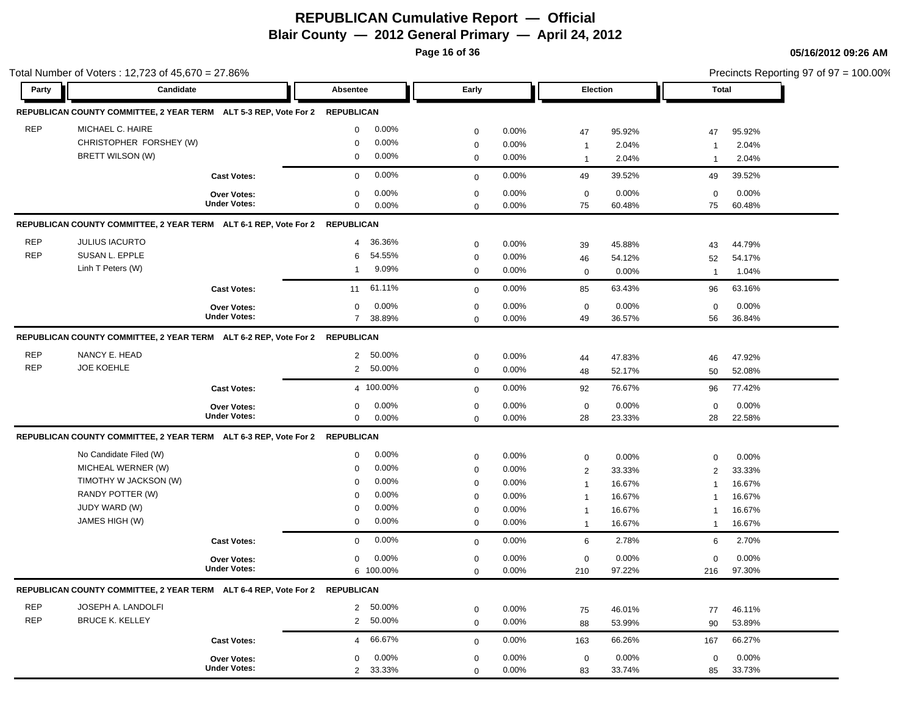**Page 16 of 36**

|                          | Total Number of Voters: 12,723 of 45,670 = 27.86%                                                          |                                           |                                       |                                                    |                                                                         |                                                 |                                                                               |                                               |                                                             | Precincts Reporting 97 of 97 = 100.00%        |
|--------------------------|------------------------------------------------------------------------------------------------------------|-------------------------------------------|---------------------------------------|----------------------------------------------------|-------------------------------------------------------------------------|-------------------------------------------------|-------------------------------------------------------------------------------|-----------------------------------------------|-------------------------------------------------------------|-----------------------------------------------|
| Party                    | Candidate                                                                                                  |                                           | Absentee                              |                                                    | Early                                                                   |                                                 | Election                                                                      |                                               | Total                                                       |                                               |
|                          | REPUBLICAN COUNTY COMMITTEE, 2 YEAR TERM ALT 5-3 REP, Vote For 2                                           |                                           | <b>REPUBLICAN</b>                     |                                                    |                                                                         |                                                 |                                                                               |                                               |                                                             |                                               |
| <b>REP</b>               | MICHAEL C. HAIRE<br>CHRISTOPHER FORSHEY (W)<br>BRETT WILSON (W)                                            |                                           | $\mathbf 0$<br>0<br>0                 | $0.00\%$<br>$0.00\%$<br>$0.00\%$                   | $\mathbf 0$<br>$\mathbf 0$<br>$\mathbf 0$                               | 0.00%<br>0.00%<br>$0.00\%$                      | 47<br>$\mathbf{1}$<br>$\mathbf{1}$                                            | 95.92%<br>2.04%<br>2.04%                      | 47<br>$\mathbf 1$<br>$\overline{1}$                         | 95.92%<br>2.04%<br>2.04%                      |
|                          |                                                                                                            | <b>Cast Votes:</b>                        | $\mathbf 0$                           | 0.00%                                              | $\mathbf 0$                                                             | 0.00%                                           | 49                                                                            | 39.52%                                        | 49                                                          | 39.52%                                        |
|                          |                                                                                                            | <b>Over Votes:</b><br><b>Under Votes:</b> | $\mathbf 0$<br>0                      | $0.00\%$<br>$0.00\%$                               | $\mathbf 0$<br>$\mathbf 0$                                              | 0.00%<br>0.00%                                  | $\mathbf 0$<br>75                                                             | 0.00%<br>60.48%                               | $\mathbf 0$<br>75                                           | 0.00%<br>60.48%                               |
|                          | REPUBLICAN COUNTY COMMITTEE, 2 YEAR TERM ALT 6-1 REP, Vote For 2 REPUBLICAN                                |                                           |                                       |                                                    |                                                                         |                                                 |                                                                               |                                               |                                                             |                                               |
| <b>REP</b><br><b>REP</b> | <b>JULIUS IACURTO</b><br>SUSAN L. EPPLE<br>Linh T Peters (W)                                               |                                           | $\overline{4}$<br>6<br>$\overline{1}$ | 36.36%<br>54.55%<br>9.09%                          | $\mathbf 0$<br>$\mathbf 0$<br>$\mathbf 0$                               | 0.00%<br>0.00%<br>$0.00\%$                      | 39<br>46<br>$\mathbf 0$                                                       | 45.88%<br>54.12%<br>0.00%                     | 43<br>52<br>$\overline{1}$                                  | 44.79%<br>54.17%<br>1.04%                     |
|                          |                                                                                                            | <b>Cast Votes:</b><br><b>Over Votes:</b>  | 11<br>0                               | 61.11%<br>0.00%                                    | $\mathbf 0$<br>$\mathbf 0$                                              | 0.00%<br>0.00%                                  | 85<br>$\mathbf 0$                                                             | 63.43%<br>0.00%                               | 96<br>$\mathbf 0$                                           | 63.16%<br>0.00%                               |
|                          |                                                                                                            | <b>Under Votes:</b>                       | $7^{\circ}$                           | 38.89%                                             | $\mathbf 0$                                                             | 0.00%                                           | 49                                                                            | 36.57%                                        | 56                                                          | 36.84%                                        |
| <b>REP</b>               | REPUBLICAN COUNTY COMMITTEE, 2 YEAR TERM ALT 6-2 REP, Vote For 2 REPUBLICAN<br>NANCY E. HEAD               |                                           |                                       |                                                    |                                                                         |                                                 |                                                                               |                                               |                                                             |                                               |
| <b>REP</b>               | <b>JOE KOEHLE</b>                                                                                          |                                           | $2^{\circ}$<br>$\overline{2}$         | 50.00%<br>50.00%                                   | 0<br>$\mathbf 0$                                                        | $0.00\%$<br>0.00%                               | 44<br>48                                                                      | 47.83%<br>52.17%                              | 46<br>50                                                    | 47.92%<br>52.08%                              |
|                          |                                                                                                            | <b>Cast Votes:</b>                        |                                       | 4 100.00%                                          | $\mathbf 0$                                                             | 0.00%                                           | 92                                                                            | 76.67%                                        | 96                                                          | 77.42%                                        |
|                          |                                                                                                            | <b>Over Votes:</b><br><b>Under Votes:</b> | 0<br>0                                | 0.00%<br>0.00%                                     | $\mathbf 0$<br>$\mathbf 0$                                              | 0.00%<br>0.00%                                  | $\mathbf 0$<br>28                                                             | 0.00%<br>23.33%                               | $\mathbf 0$<br>28                                           | 0.00%<br>22.58%                               |
|                          | REPUBLICAN COUNTY COMMITTEE, 2 YEAR TERM ALT 6-3 REP, Vote For 2 REPUBLICAN                                |                                           |                                       |                                                    |                                                                         |                                                 |                                                                               |                                               |                                                             |                                               |
|                          | No Candidate Filed (W)<br>MICHEAL WERNER (W)<br>TIMOTHY W JACKSON (W)<br>RANDY POTTER (W)<br>JUDY WARD (W) |                                           | 0<br>$\mathbf 0$<br>0<br>0<br>0       | $0.00\%$<br>$0.00\%$<br>$0.00\%$<br>0.00%<br>0.00% | $\mathbf 0$<br>$\mathbf 0$<br>$\mathbf 0$<br>$\mathbf 0$<br>$\mathbf 0$ | 0.00%<br>0.00%<br>0.00%<br>$0.00\%$<br>$0.00\%$ | $\mathbf 0$<br>$\overline{2}$<br>$\mathbf{1}$<br>$\mathbf{1}$<br>$\mathbf{1}$ | 0.00%<br>33.33%<br>16.67%<br>16.67%<br>16.67% | $\mathbf 0$<br>$\overline{2}$<br>$\overline{1}$<br>-1<br>-1 | 0.00%<br>33.33%<br>16.67%<br>16.67%<br>16.67% |
|                          | JAMES HIGH (W)                                                                                             |                                           | 0                                     | $0.00\%$                                           | $\mathbf 0$                                                             | 0.00%                                           | $\mathbf{1}$                                                                  | 16.67%                                        | $\overline{1}$                                              | 16.67%                                        |
|                          |                                                                                                            | <b>Cast Votes:</b>                        | $\mathbf 0$                           | 0.00%                                              | $\mathbf 0$                                                             | 0.00%                                           | 6                                                                             | 2.78%                                         | 6                                                           | 2.70%                                         |
|                          |                                                                                                            | <b>Over Votes:</b><br><b>Under Votes:</b> | $\mathbf 0$                           | 0.00%<br>6 100.00%                                 | $\mathbf 0$<br>$\mathbf 0$                                              | $0.00\%$<br>0.00%                               | $\mathbf 0$<br>210                                                            | 0.00%<br>97.22%                               | $\mathbf 0$<br>216                                          | 0.00%<br>97.30%                               |
|                          | REPUBLICAN COUNTY COMMITTEE, 2 YEAR TERM ALT 6-4 REP, Vote For 2 REPUBLICAN                                |                                           |                                       |                                                    |                                                                         |                                                 |                                                                               |                                               |                                                             |                                               |
| <b>REP</b><br><b>REP</b> | JOSEPH A. LANDOLFI<br><b>BRUCE K. KELLEY</b>                                                               |                                           |                                       | 2 50.00%<br>2 50.00%                               | $\mathbf 0$<br>$\mathbf 0$                                              | 0.00%<br>0.00%                                  | 75<br>88                                                                      | 46.01%<br>53.99%                              | 77<br>90                                                    | 46.11%<br>53.89%                              |
|                          |                                                                                                            | <b>Cast Votes:</b>                        | $\overline{4}$                        | 66.67%                                             | $\mathbf 0$                                                             | $0.00\%$                                        | 163                                                                           | 66.26%                                        | 167                                                         | 66.27%                                        |
|                          |                                                                                                            | Over Votes:<br><b>Under Votes:</b>        | 0                                     | 0.00%<br>2 33.33%                                  | 0<br>$\mathbf 0$                                                        | 0.00%<br>0.00%                                  | $\mathbf 0$<br>83                                                             | 0.00%<br>33.74%                               | 0<br>85                                                     | 0.00%<br>33.73%                               |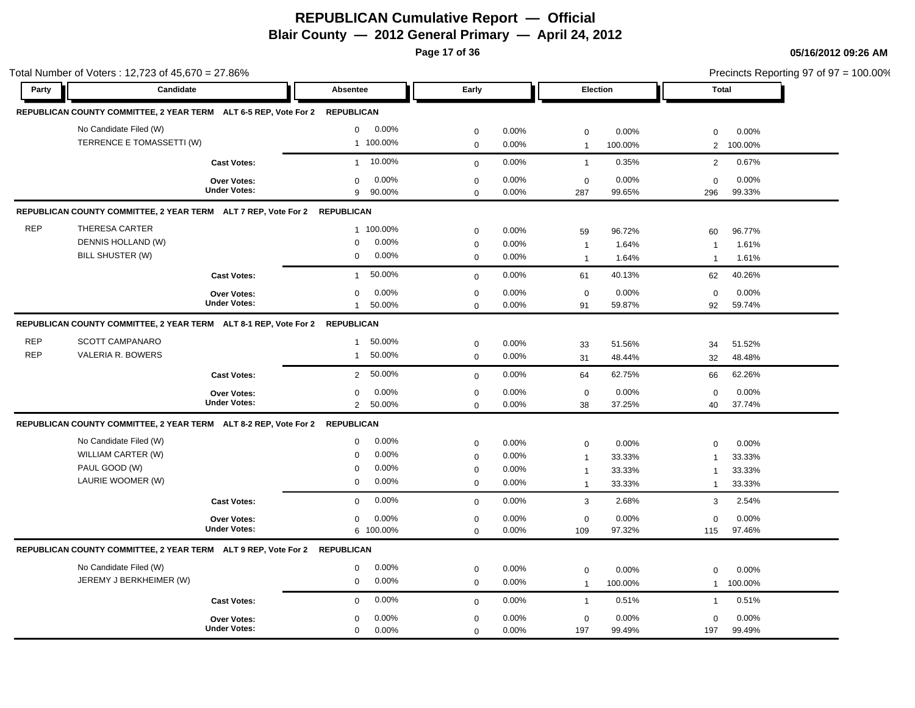**Page 17 of 36**

|            | Total Number of Voters: 12,723 of 45,670 = 27.86%                           |                     |                   |           |             |          |              |          |                | Precincts Reporting 97 of 97 = 100.00% |  |
|------------|-----------------------------------------------------------------------------|---------------------|-------------------|-----------|-------------|----------|--------------|----------|----------------|----------------------------------------|--|
| Party      | Candidate                                                                   |                     | Absentee          |           | Early       |          |              | Election | Total          |                                        |  |
|            | REPUBLICAN COUNTY COMMITTEE, 2 YEAR TERM ALT 6-5 REP, Vote For 2            |                     | <b>REPUBLICAN</b> |           |             |          |              |          |                |                                        |  |
|            | No Candidate Filed (W)                                                      |                     | $\mathbf 0$       | 0.00%     | $\mathbf 0$ | 0.00%    | $\mathbf 0$  | 0.00%    | $\mathbf 0$    | 0.00%                                  |  |
|            | TERRENCE E TOMASSETTI (W)                                                   |                     |                   | 1 100.00% | $\mathbf 0$ | 0.00%    | $\mathbf{1}$ | 100.00%  | 2              | 100.00%                                |  |
|            |                                                                             | <b>Cast Votes:</b>  | $\mathbf{1}$      | 10.00%    | $\mathbf 0$ | 0.00%    | $\mathbf{1}$ | 0.35%    | $\overline{2}$ | 0.67%                                  |  |
|            |                                                                             | Over Votes:         | $\mathbf 0$       | 0.00%     | $\mathbf 0$ | 0.00%    | $\mathbf 0$  | 0.00%    | $\mathbf 0$    | 0.00%                                  |  |
|            |                                                                             | <b>Under Votes:</b> | 9                 | 90.00%    | $\Omega$    | 0.00%    | 287          | 99.65%   | 296            | 99.33%                                 |  |
|            | REPUBLICAN COUNTY COMMITTEE, 2 YEAR TERM ALT 7 REP, Vote For 2 REPUBLICAN   |                     |                   |           |             |          |              |          |                |                                        |  |
| <b>REP</b> | THERESA CARTER                                                              |                     |                   | 1 100.00% | $\mathbf 0$ | 0.00%    | 59           | 96.72%   | 60             | 96.77%                                 |  |
|            | DENNIS HOLLAND (W)                                                          |                     | $\mathbf 0$       | 0.00%     | $\mathbf 0$ | 0.00%    | $\mathbf{1}$ | 1.64%    | $\overline{1}$ | 1.61%                                  |  |
|            | BILL SHUSTER (W)                                                            |                     | $\mathbf 0$       | 0.00%     | $\mathbf 0$ | 0.00%    | $\mathbf{1}$ | 1.64%    | $\overline{1}$ | 1.61%                                  |  |
|            |                                                                             | <b>Cast Votes:</b>  | $\mathbf{1}$      | 50.00%    | $\mathbf 0$ | 0.00%    | 61           | 40.13%   | 62             | 40.26%                                 |  |
|            |                                                                             | Over Votes:         | 0                 | 0.00%     | $\mathbf 0$ | 0.00%    | $\mathbf 0$  | 0.00%    | $\mathbf 0$    | 0.00%                                  |  |
|            |                                                                             | <b>Under Votes:</b> | $\mathbf{1}$      | 50.00%    | $\mathbf 0$ | 0.00%    | 91           | 59.87%   | 92             | 59.74%                                 |  |
|            | REPUBLICAN COUNTY COMMITTEE, 2 YEAR TERM ALT 8-1 REP, Vote For 2 REPUBLICAN |                     |                   |           |             |          |              |          |                |                                        |  |
| <b>REP</b> | <b>SCOTT CAMPANARO</b>                                                      |                     | $\mathbf{1}$      | 50.00%    | $\mathbf 0$ | 0.00%    | 33           | 51.56%   | 34             | 51.52%                                 |  |
| <b>REP</b> | <b>VALERIA R. BOWERS</b>                                                    |                     | $\mathbf{1}$      | 50.00%    | $\mathbf 0$ | $0.00\%$ | 31           | 48.44%   | 32             | 48.48%                                 |  |
|            |                                                                             | <b>Cast Votes:</b>  | $\overline{2}$    | 50.00%    | $\mathbf 0$ | 0.00%    | 64           | 62.75%   | 66             | 62.26%                                 |  |
|            |                                                                             | <b>Over Votes:</b>  | $\mathbf 0$       | 0.00%     | $\mathbf 0$ | 0.00%    | $\mathbf 0$  | 0.00%    | $\mathbf 0$    | 0.00%                                  |  |
|            |                                                                             | <b>Under Votes:</b> | $\overline{2}$    | 50.00%    | $\Omega$    | $0.00\%$ | 38           | 37.25%   | 40             | 37.74%                                 |  |
|            | REPUBLICAN COUNTY COMMITTEE, 2 YEAR TERM ALT 8-2 REP, Vote For 2 REPUBLICAN |                     |                   |           |             |          |              |          |                |                                        |  |
|            | No Candidate Filed (W)                                                      |                     | 0                 | 0.00%     | $\mathbf 0$ | 0.00%    | $\mathbf 0$  | 0.00%    | $\mathbf 0$    | 0.00%                                  |  |
|            | WILLIAM CARTER (W)                                                          |                     | 0                 | $0.00\%$  | $\mathbf 0$ | 0.00%    | $\mathbf{1}$ | 33.33%   | $\overline{1}$ | 33.33%                                 |  |
|            | PAUL GOOD (W)                                                               |                     | 0                 | $0.00\%$  | $\mathbf 0$ | 0.00%    | $\mathbf{1}$ | 33.33%   | $\mathbf{1}$   | 33.33%                                 |  |
|            | LAURIE WOOMER (W)                                                           |                     | 0                 | $0.00\%$  | $\mathbf 0$ | 0.00%    | $\mathbf{1}$ | 33.33%   | $\mathbf{1}$   | 33.33%                                 |  |
|            |                                                                             | <b>Cast Votes:</b>  | $\mathbf 0$       | 0.00%     | $\mathbf 0$ | 0.00%    | 3            | 2.68%    | 3              | 2.54%                                  |  |
|            |                                                                             | Over Votes:         | $\mathbf 0$       | 0.00%     | $\mathbf 0$ | 0.00%    | $\mathbf 0$  | 0.00%    | $\mathbf 0$    | 0.00%                                  |  |
|            |                                                                             | <b>Under Votes:</b> |                   | 6 100.00% | $\Omega$    | 0.00%    | 109          | 97.32%   | 115            | 97.46%                                 |  |
|            | REPUBLICAN COUNTY COMMITTEE, 2 YEAR TERM ALT 9 REP, Vote For 2 REPUBLICAN   |                     |                   |           |             |          |              |          |                |                                        |  |
|            | No Candidate Filed (W)                                                      |                     | 0                 | $0.00\%$  | $\mathbf 0$ | 0.00%    | $\mathbf 0$  | 0.00%    | $\mathbf 0$    | 0.00%                                  |  |
|            | JEREMY J BERKHEIMER (W)                                                     |                     | 0                 | $0.00\%$  | $\mathbf 0$ | 0.00%    | $\mathbf{1}$ | 100.00%  | $\mathbf{1}$   | 100.00%                                |  |
|            |                                                                             | <b>Cast Votes:</b>  | $\mathbf 0$       | 0.00%     | $\mathbf 0$ | 0.00%    | $\mathbf{1}$ | 0.51%    | $\mathbf{1}$   | 0.51%                                  |  |
|            |                                                                             | <b>Over Votes:</b>  | $\mathbf 0$       | 0.00%     | $\mathbf 0$ | 0.00%    | $\mathbf 0$  | 0.00%    | $\mathbf 0$    | 0.00%                                  |  |
|            |                                                                             | <b>Under Votes:</b> | $\mathbf 0$       | 0.00%     | $\Omega$    | 0.00%    | 197          | 99.49%   | 197            | 99.49%                                 |  |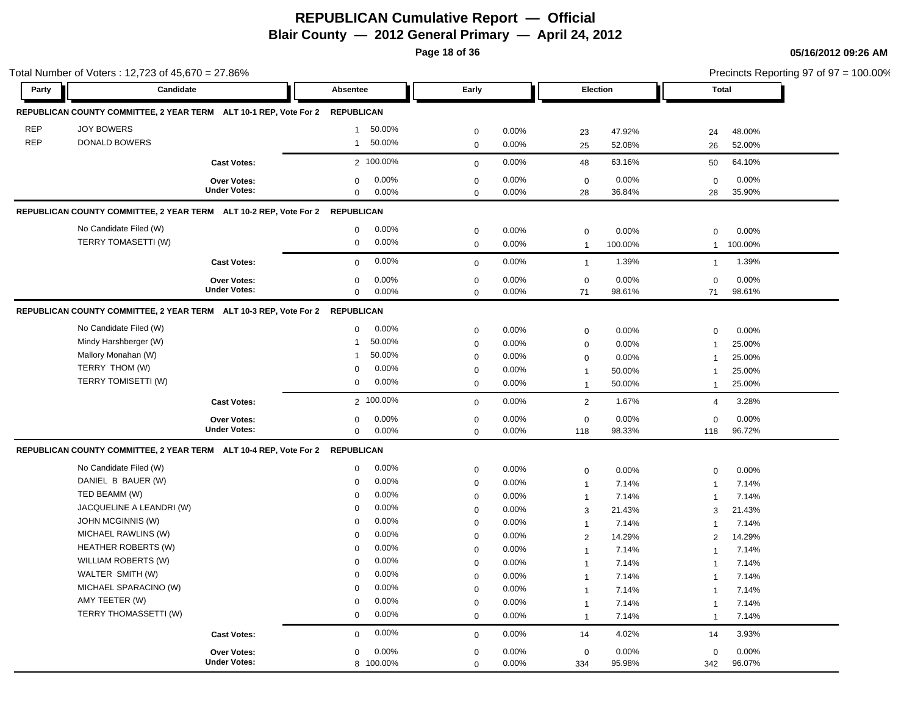**Page 18 of 36**

|            | Total Number of Voters: 12,723 of 45,670 = 27.86%                            |                     |                        |             |       |                |         |                         | Precincts Reporting 97 of 97 = 100.00% |
|------------|------------------------------------------------------------------------------|---------------------|------------------------|-------------|-------|----------------|---------|-------------------------|----------------------------------------|
| Party      | Candidate                                                                    |                     | <b>Absentee</b>        | Early       |       | Election       |         | Total                   |                                        |
|            | REPUBLICAN COUNTY COMMITTEE, 2 YEAR TERM ALT 10-1 REP, Vote For 2 REPUBLICAN |                     |                        |             |       |                |         |                         |                                        |
| <b>REP</b> | <b>JOY BOWERS</b>                                                            |                     | 50.00%<br>$\mathbf{1}$ | $\mathbf 0$ | 0.00% | 23             | 47.92%  | 24                      | 48.00%                                 |
| <b>REP</b> | <b>DONALD BOWERS</b>                                                         |                     | 50.00%<br>$\mathbf{1}$ | $\mathbf 0$ | 0.00% | 25             | 52.08%  | 26                      | 52.00%                                 |
|            |                                                                              | <b>Cast Votes:</b>  | 2 100.00%              | $\mathbf 0$ | 0.00% | 48             | 63.16%  | 50                      | 64.10%                                 |
|            |                                                                              | Over Votes:         | 0.00%<br>$\mathbf 0$   | $\mathbf 0$ | 0.00% | $\mathbf 0$    | 0.00%   | $\mathbf 0$             | 0.00%                                  |
|            |                                                                              | <b>Under Votes:</b> | 0.00%<br>$\mathbf 0$   | $\mathbf 0$ | 0.00% | 28             | 36.84%  | 28                      | 35.90%                                 |
|            | REPUBLICAN COUNTY COMMITTEE, 2 YEAR TERM ALT 10-2 REP, Vote For 2 REPUBLICAN |                     |                        |             |       |                |         |                         |                                        |
|            | No Candidate Filed (W)                                                       |                     | 0.00%<br>0             | $\mathbf 0$ | 0.00% | $\mathbf 0$    | 0.00%   | $\mathbf 0$             | 0.00%                                  |
|            | TERRY TOMASETTI (W)                                                          |                     | 0.00%<br>$\mathbf 0$   | $\mathbf 0$ | 0.00% | $\overline{1}$ | 100.00% | $\mathbf{1}$            | 100.00%                                |
|            |                                                                              | <b>Cast Votes:</b>  | 0.00%<br>$\mathbf 0$   | $\mathbf 0$ | 0.00% | $\mathbf{1}$   | 1.39%   | $\mathbf{1}$            | 1.39%                                  |
|            |                                                                              | <b>Over Votes:</b>  | 0.00%<br>$\mathbf 0$   | $\mathbf 0$ | 0.00% | $\mathbf 0$    | 0.00%   | 0                       | 0.00%                                  |
|            |                                                                              | <b>Under Votes:</b> | 0.00%<br>$\mathbf 0$   | $\mathbf 0$ | 0.00% | 71             | 98.61%  | 71                      | 98.61%                                 |
|            | REPUBLICAN COUNTY COMMITTEE, 2 YEAR TERM ALT 10-3 REP, Vote For 2 REPUBLICAN |                     |                        |             |       |                |         |                         |                                        |
|            | No Candidate Filed (W)                                                       |                     | 0.00%<br>0             | $\pmb{0}$   | 0.00% | $\mathbf 0$    | 0.00%   | 0                       | 0.00%                                  |
|            | Mindy Harshberger (W)                                                        |                     | 50.00%<br>$\mathbf 1$  | $\mathbf 0$ | 0.00% | $\mathbf 0$    | 0.00%   | $\mathbf{1}$            | 25.00%                                 |
|            | Mallory Monahan (W)                                                          |                     | 50.00%<br>$\mathbf{1}$ | $\mathbf 0$ | 0.00% | $\mathbf 0$    | 0.00%   | $\mathbf{1}$            | 25.00%                                 |
|            | TERRY THOM (W)                                                               |                     | 0.00%<br>0             | $\mathbf 0$ | 0.00% | $\mathbf{1}$   | 50.00%  | -1                      | 25.00%                                 |
|            | TERRY TOMISETTI (W)                                                          |                     | 0.00%<br>0             | $\mathbf 0$ | 0.00% | $\mathbf 1$    | 50.00%  | $\mathbf{1}$            | 25.00%                                 |
|            |                                                                              | <b>Cast Votes:</b>  | 2 100.00%              | $\mathbf 0$ | 0.00% | 2              | 1.67%   | 4                       | 3.28%                                  |
|            |                                                                              | <b>Over Votes:</b>  | 0.00%<br>0             | $\mathbf 0$ | 0.00% | $\mathbf 0$    | 0.00%   | 0                       | 0.00%                                  |
|            |                                                                              | <b>Under Votes:</b> | $\mathbf 0$<br>0.00%   | $\mathbf 0$ | 0.00% | 118            | 98.33%  | 118                     | 96.72%                                 |
|            | REPUBLICAN COUNTY COMMITTEE, 2 YEAR TERM ALT 10-4 REP, Vote For 2 REPUBLICAN |                     |                        |             |       |                |         |                         |                                        |
|            | No Candidate Filed (W)                                                       |                     | 0.00%<br>$\mathbf 0$   | $\mathbf 0$ | 0.00% | $\mathbf 0$    | 0.00%   | 0                       | 0.00%                                  |
|            | DANIEL B BAUER (W)                                                           |                     | 0.00%<br>$\mathbf 0$   | $\mathbf 0$ | 0.00% | $\mathbf{1}$   | 7.14%   | 1                       | 7.14%                                  |
|            | TED BEAMM (W)                                                                |                     | 0.00%<br>$\Omega$      | $\mathbf 0$ | 0.00% | $\overline{1}$ | 7.14%   | $\overline{1}$          | 7.14%                                  |
|            | JACQUELINE A LEANDRI (W)                                                     |                     | 0.00%<br>$\Omega$      | $\mathbf 0$ | 0.00% | 3              | 21.43%  | 3                       | 21.43%                                 |
|            | JOHN MCGINNIS (W)                                                            |                     | 0.00%<br>$\mathbf 0$   | $\mathbf 0$ | 0.00% | $\mathbf{1}$   | 7.14%   | $\overline{\mathbf{1}}$ | 7.14%                                  |
|            | MICHAEL RAWLINS (W)                                                          |                     | 0.00%<br>0             | $\mathbf 0$ | 0.00% | 2              | 14.29%  | 2                       | 14.29%                                 |
|            | <b>HEATHER ROBERTS (W)</b>                                                   |                     | 0.00%<br>$\Omega$      | $\mathbf 0$ | 0.00% | 1              | 7.14%   | -1                      | 7.14%                                  |
|            | WILLIAM ROBERTS (W)                                                          |                     | 0.00%<br>$\Omega$      | $\mathbf 0$ | 0.00% | -1             | 7.14%   | -1                      | 7.14%                                  |
|            | WALTER SMITH (W)                                                             |                     | 0.00%<br>0             | $\mathbf 0$ | 0.00% | -1             | 7.14%   | $\mathbf 1$             | 7.14%                                  |
|            | MICHAEL SPARACINO (W)                                                        |                     | 0.00%<br>$\mathbf 0$   | $\mathbf 0$ | 0.00% | $\mathbf 1$    | 7.14%   | -1                      | 7.14%                                  |
|            | AMY TEETER (W)                                                               |                     | 0.00%<br>$\mathbf 0$   | $\mathbf 0$ | 0.00% |                | 7.14%   |                         | 7.14%                                  |
|            | TERRY THOMASSETTI (W)                                                        |                     | 0.00%<br>0             | $\mathbf 0$ | 0.00% | $\mathbf 1$    | 7.14%   | $\mathbf{1}$            | 7.14%                                  |
|            |                                                                              | <b>Cast Votes:</b>  | 0.00%<br>$\mathbf 0$   | $\mathbf 0$ | 0.00% | 14             | 4.02%   | 14                      | 3.93%                                  |
|            |                                                                              | Over Votes:         | 0.00%<br>0             | $\mathbf 0$ | 0.00% | $\mathbf 0$    | 0.00%   | 0                       | 0.00%                                  |
|            |                                                                              | <b>Under Votes:</b> | 8 100.00%              | $\mathbf 0$ | 0.00% | 334            | 95.98%  | 342                     | 96.07%                                 |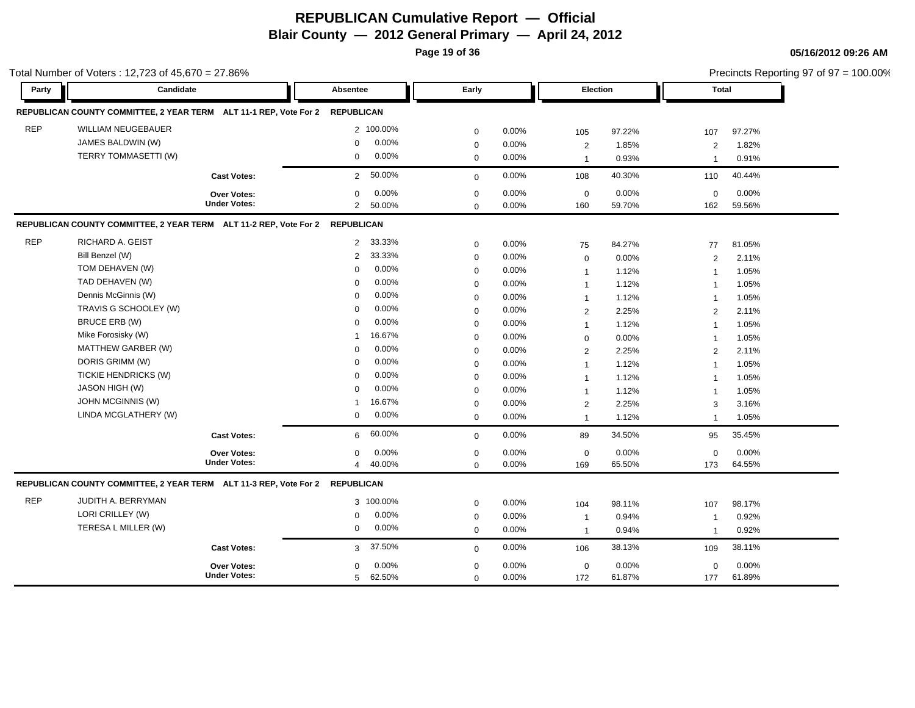**Page 19 of 36**

Precincts Reporting 97 of 97 = 100.00%

|            | Total Number of Voters: 12,723 of 45,670 = 27.86%                            |                     |                          |             |          |                |        |                         | Precincts Reporting 97 of 97 = 100.00% |
|------------|------------------------------------------------------------------------------|---------------------|--------------------------|-------------|----------|----------------|--------|-------------------------|----------------------------------------|
| Party      | Candidate                                                                    |                     | Absentee                 | Early       |          | Election       |        | Total                   |                                        |
|            | REPUBLICAN COUNTY COMMITTEE, 2 YEAR TERM ALT 11-1 REP, Vote For 2            |                     | <b>REPUBLICAN</b>        |             |          |                |        |                         |                                        |
| <b>REP</b> | <b>WILLIAM NEUGEBAUER</b>                                                    |                     | 2 100.00%                | $\mathbf 0$ | 0.00%    | 105            | 97.22% | 107                     | 97.27%                                 |
|            | JAMES BALDWIN (W)                                                            |                     | 0.00%<br>$\Omega$        | $\mathbf 0$ | 0.00%    | 2              | 1.85%  | $\overline{2}$          | 1.82%                                  |
|            | TERRY TOMMASETTI (W)                                                         |                     | 0.00%<br>0               | $\mathbf 0$ | 0.00%    | $\mathbf{1}$   | 0.93%  | $\overline{1}$          | 0.91%                                  |
|            |                                                                              | <b>Cast Votes:</b>  | 50.00%<br>$\overline{2}$ | $\mathbf 0$ | 0.00%    | 108            | 40.30% | 110                     | 40.44%                                 |
|            |                                                                              | <b>Over Votes:</b>  | 0.00%<br>0               | $\mathbf 0$ | 0.00%    | $\mathbf 0$    | 0.00%  | $\mathbf 0$             | 0.00%                                  |
|            |                                                                              | <b>Under Votes:</b> | $\overline{2}$<br>50.00% | $\mathbf 0$ | 0.00%    | 160            | 59.70% | 162                     | 59.56%                                 |
|            | REPUBLICAN COUNTY COMMITTEE, 2 YEAR TERM ALT 11-2 REP, Vote For 2 REPUBLICAN |                     |                          |             |          |                |        |                         |                                        |
| <b>REP</b> | RICHARD A. GEIST                                                             |                     | 33.33%<br>$\overline{2}$ | $\mathbf 0$ | 0.00%    | 75             | 84.27% | 77                      | 81.05%                                 |
|            | Bill Benzel (W)                                                              |                     | 33.33%<br>2              | $\mathbf 0$ | 0.00%    | $\mathbf 0$    | 0.00%  | 2                       | 2.11%                                  |
|            | TOM DEHAVEN (W)                                                              |                     | 0.00%<br>$\Omega$        | $\mathbf 0$ | $0.00\%$ | $\mathbf{1}$   | 1.12%  | $\overline{1}$          | 1.05%                                  |
|            | TAD DEHAVEN (W)                                                              |                     | 0.00%<br>0               | $\mathbf 0$ | 0.00%    | $\mathbf{1}$   | 1.12%  | $\overline{1}$          | 1.05%                                  |
|            | Dennis McGinnis (W)                                                          |                     | 0.00%<br>$\Omega$        | $\mathbf 0$ | 0.00%    | $\mathbf{1}$   | 1.12%  | $\overline{1}$          | 1.05%                                  |
|            | TRAVIS G SCHOOLEY (W)                                                        |                     | 0.00%<br>$\Omega$        | $\mathbf 0$ | 0.00%    | 2              | 2.25%  | 2                       | 2.11%                                  |
|            | BRUCE ERB (W)                                                                |                     | 0.00%<br>$\Omega$        | $\mathbf 0$ | 0.00%    | $\mathbf{1}$   | 1.12%  | $\overline{1}$          | 1.05%                                  |
|            | Mike Forosisky (W)                                                           |                     | 16.67%<br>-1             | $\mathbf 0$ | 0.00%    | $\mathbf 0$    | 0.00%  | $\overline{1}$          | 1.05%                                  |
|            | MATTHEW GARBER (W)                                                           |                     | 0.00%<br>$\Omega$        | 0           | 0.00%    | $\overline{2}$ | 2.25%  | 2                       | 2.11%                                  |
|            | DORIS GRIMM (W)                                                              |                     | 0.00%<br>$\Omega$        | $\mathbf 0$ | 0.00%    | $\mathbf{1}$   | 1.12%  | $\overline{1}$          | 1.05%                                  |
|            | TICKIE HENDRICKS (W)                                                         |                     | 0.00%<br>$\Omega$        | $\mathbf 0$ | 0.00%    | $\mathbf{1}$   | 1.12%  | $\overline{1}$          | 1.05%                                  |
|            | JASON HIGH (W)                                                               |                     | 0.00%<br>$\Omega$        | $\mathbf 0$ | 0.00%    | $\mathbf{1}$   | 1.12%  | $\mathbf{1}$            | 1.05%                                  |
|            | JOHN MCGINNIS (W)                                                            |                     | 16.67%<br>$\mathbf{1}$   | $\mathbf 0$ | 0.00%    | $\overline{2}$ | 2.25%  | 3                       | 3.16%                                  |
|            | LINDA MCGLATHERY (W)                                                         |                     | 0.00%<br>0               | $\mathbf 0$ | 0.00%    | $\mathbf{1}$   | 1.12%  | $\mathbf{1}$            | 1.05%                                  |
|            |                                                                              | <b>Cast Votes:</b>  | 60.00%<br>6              | $\mathbf 0$ | 0.00%    | 89             | 34.50% | 95                      | 35.45%                                 |
|            |                                                                              | <b>Over Votes:</b>  | $0.00\%$<br>$\mathbf 0$  | $\mathbf 0$ | 0.00%    | $\mathbf 0$    | 0.00%  | $\mathbf 0$             | 0.00%                                  |
|            |                                                                              | <b>Under Votes:</b> | 40.00%<br>4              | $\mathbf 0$ | 0.00%    | 169            | 65.50% | 173                     | 64.55%                                 |
|            | REPUBLICAN COUNTY COMMITTEE, 2 YEAR TERM ALT 11-3 REP, Vote For 2 REPUBLICAN |                     |                          |             |          |                |        |                         |                                        |
| <b>REP</b> | JUDITH A. BERRYMAN                                                           |                     | 3 100.00%                | $\mathbf 0$ | 0.00%    | 104            | 98.11% | 107                     | 98.17%                                 |
|            | LORI CRILLEY (W)                                                             |                     | 0.00%<br>$\mathbf 0$     | $\mathbf 0$ | 0.00%    | $\mathbf{1}$   | 0.94%  | $\overline{\mathbf{1}}$ | 0.92%                                  |
|            | TERESA L MILLER (W)                                                          |                     | 0.00%<br>$\mathbf 0$     | $\mathbf 0$ | 0.00%    | $\mathbf{1}$   | 0.94%  | $\overline{1}$          | 0.92%                                  |
|            |                                                                              | <b>Cast Votes:</b>  | 37.50%<br>3              | $\mathbf 0$ | 0.00%    | 106            | 38.13% | 109                     | 38.11%                                 |
|            |                                                                              | <b>Over Votes:</b>  | 0.00%<br>0               | $\mathbf 0$ | 0.00%    | $\mathbf 0$    | 0.00%  | $\mathbf 0$             | 0.00%                                  |
|            |                                                                              | <b>Under Votes:</b> | 62.50%<br>5              | $\mathbf 0$ | 0.00%    | 172            | 61.87% | 177                     | 61.89%                                 |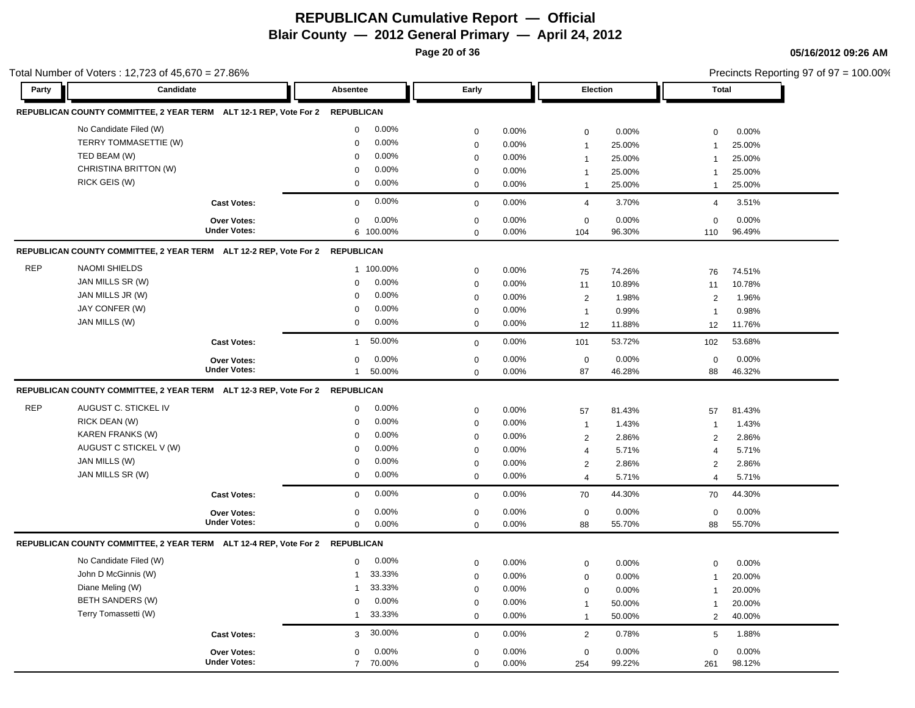**Page 20 of 36**

|            | Total Number of Voters: 12,723 of 45,670 = 27.86%                            |                     |                          |             |       |                 | Precincts Reporting 97 of 97 = 100.00% |                |        |
|------------|------------------------------------------------------------------------------|---------------------|--------------------------|-------------|-------|-----------------|----------------------------------------|----------------|--------|
| Party      | Candidate                                                                    |                     | Absentee                 | Early       |       | <b>Election</b> |                                        | Total          |        |
|            | REPUBLICAN COUNTY COMMITTEE, 2 YEAR TERM ALT 12-1 REP, Vote For 2 REPUBLICAN |                     |                          |             |       |                 |                                        |                |        |
|            | No Candidate Filed (W)                                                       |                     | 0.00%<br>$\mathbf 0$     | $\mathbf 0$ | 0.00% | $\mathbf 0$     | 0.00%                                  | $\mathbf 0$    | 0.00%  |
|            | TERRY TOMMASETTIE (W)                                                        |                     | 0.00%<br>$\mathbf 0$     | $\mathbf 0$ | 0.00% | $\mathbf{1}$    | 25.00%                                 |                | 25.00% |
|            | TED BEAM (W)                                                                 |                     | 0.00%<br>$\Omega$        | $\mathbf 0$ | 0.00% | $\overline{1}$  | 25.00%                                 | $\overline{1}$ | 25.00% |
|            | CHRISTINA BRITTON (W)                                                        |                     | 0.00%<br>$\Omega$        | $\mathbf 0$ | 0.00% | $\mathbf{1}$    | 25.00%                                 | $\mathbf 1$    | 25.00% |
|            | RICK GEIS (W)                                                                |                     | 0.00%<br>$\mathbf 0$     | $\Omega$    | 0.00% | $\mathbf{1}$    | 25.00%                                 | $\overline{1}$ | 25.00% |
|            |                                                                              | <b>Cast Votes:</b>  | 0.00%<br>$\Omega$        | $\mathbf 0$ | 0.00% | $\overline{4}$  | 3.70%                                  | $\overline{4}$ | 3.51%  |
|            |                                                                              | <b>Over Votes:</b>  | 0.00%<br>$\mathbf 0$     | $\mathbf 0$ | 0.00% | $\mathsf 0$     | 0.00%                                  | $\mathbf 0$    | 0.00%  |
|            |                                                                              | <b>Under Votes:</b> | 6 100.00%                | $\mathbf 0$ | 0.00% | 104             | 96.30%                                 | 110            | 96.49% |
|            | REPUBLICAN COUNTY COMMITTEE, 2 YEAR TERM ALT 12-2 REP, Vote For 2 REPUBLICAN |                     |                          |             |       |                 |                                        |                |        |
| <b>REP</b> | <b>NAOMI SHIELDS</b>                                                         |                     | 1 100.00%                | $\mathbf 0$ | 0.00% | 75              | 74.26%                                 | 76             | 74.51% |
|            | JAN MILLS SR (W)                                                             |                     | 0.00%<br>0               | $\mathbf 0$ | 0.00% | 11              | 10.89%                                 | 11             | 10.78% |
|            | JAN MILLS JR (W)                                                             |                     | 0.00%<br>$\Omega$        | $\Omega$    | 0.00% | 2               | 1.98%                                  | $\overline{2}$ | 1.96%  |
|            | JAY CONFER (W)                                                               |                     | 0.00%<br>$\Omega$        | $\mathbf 0$ | 0.00% | $\mathbf{1}$    | 0.99%                                  | $\overline{1}$ | 0.98%  |
|            | JAN MILLS (W)                                                                |                     | 0.00%<br>0               | $\mathbf 0$ | 0.00% | 12              | 11.88%                                 | 12             | 11.76% |
|            |                                                                              | <b>Cast Votes:</b>  | 50.00%<br>$\mathbf{1}$   | $\mathbf 0$ | 0.00% | 101             | 53.72%                                 | 102            | 53.68% |
|            |                                                                              | Over Votes:         | 0.00%<br>0               | $\mathbf 0$ | 0.00% | $\mathsf 0$     | 0.00%                                  | $\pmb{0}$      | 0.00%  |
|            |                                                                              | <b>Under Votes:</b> | 50.00%<br>$\mathbf{1}$   | $\Omega$    | 0.00% | 87              | 46.28%                                 | 88             | 46.32% |
|            | REPUBLICAN COUNTY COMMITTEE, 2 YEAR TERM ALT 12-3 REP, Vote For 2 REPUBLICAN |                     |                          |             |       |                 |                                        |                |        |
| <b>REP</b> | AUGUST C. STICKEL IV                                                         |                     | 0.00%<br>0               | $\mathbf 0$ | 0.00% | 57              | 81.43%                                 | 57             | 81.43% |
|            | RICK DEAN (W)                                                                |                     | 0.00%<br>$\Omega$        | $\mathbf 0$ | 0.00% | $\mathbf{1}$    | 1.43%                                  | $\overline{1}$ | 1.43%  |
|            | <b>KAREN FRANKS (W)</b>                                                      |                     | 0.00%<br>0               | $\mathbf 0$ | 0.00% | $\overline{2}$  | 2.86%                                  | 2              | 2.86%  |
|            | AUGUST C STICKEL V (W)                                                       |                     | 0.00%<br>$\Omega$        | $\mathbf 0$ | 0.00% | 4               | 5.71%                                  | $\overline{4}$ | 5.71%  |
|            | JAN MILLS (W)                                                                |                     | 0.00%<br>$\Omega$        | $\mathbf 0$ | 0.00% | $\sqrt{2}$      | 2.86%                                  | $\overline{2}$ | 2.86%  |
|            | JAN MILLS SR (W)                                                             |                     | 0.00%<br>$\mathbf 0$     | $\mathbf 0$ | 0.00% | $\overline{4}$  | 5.71%                                  | $\overline{4}$ | 5.71%  |
|            |                                                                              | <b>Cast Votes:</b>  | 0.00%<br>$\mathbf 0$     | $\mathbf 0$ | 0.00% | 70              | 44.30%                                 | 70             | 44.30% |
|            |                                                                              | Over Votes:         | 0.00%<br>0               | $\mathbf 0$ | 0.00% | $\mathsf 0$     | 0.00%                                  | $\mathbf 0$    | 0.00%  |
|            |                                                                              | <b>Under Votes:</b> | 0.00%<br>$\mathbf 0$     | $\Omega$    | 0.00% | 88              | 55.70%                                 | 88             | 55.70% |
|            | REPUBLICAN COUNTY COMMITTEE, 2 YEAR TERM ALT 12-4 REP, Vote For 2 REPUBLICAN |                     |                          |             |       |                 |                                        |                |        |
|            | No Candidate Filed (W)                                                       |                     | 0.00%<br>0               | $\mathbf 0$ | 0.00% | $\mathbf 0$     | 0.00%                                  | $\mathbf 0$    | 0.00%  |
|            | John D McGinnis (W)                                                          |                     | 33.33%<br>$\mathbf{1}$   | $\mathbf 0$ | 0.00% | $\mathbf 0$     | 0.00%                                  | $\overline{1}$ | 20.00% |
|            | Diane Meling (W)                                                             |                     | 33.33%<br>-1             | $\mathbf 0$ | 0.00% | $\mathbf 0$     | 0.00%                                  | $\mathbf 1$    | 20.00% |
|            | <b>BETH SANDERS (W)</b>                                                      |                     | 0.00%<br>0               | $\mathbf 0$ | 0.00% | $\mathbf{1}$    | 50.00%                                 | $\overline{1}$ | 20.00% |
|            | Terry Tomassetti (W)                                                         |                     | 33.33%<br>$\mathbf{1}$   | $\mathbf 0$ | 0.00% | $\mathbf{1}$    | 50.00%                                 | 2              | 40.00% |
|            |                                                                              | <b>Cast Votes:</b>  | 30.00%<br>3              | $\mathbf 0$ | 0.00% | 2               | 0.78%                                  | 5              | 1.88%  |
|            |                                                                              | <b>Over Votes:</b>  | 0<br>0.00%               | $\mathbf 0$ | 0.00% | $\mathsf 0$     | 0.00%                                  | $\mathbf 0$    | 0.00%  |
|            |                                                                              | <b>Under Votes:</b> | 70.00%<br>$\overline{7}$ | $\Omega$    | 0.00% | 254             | 99.22%                                 | 261            | 98.12% |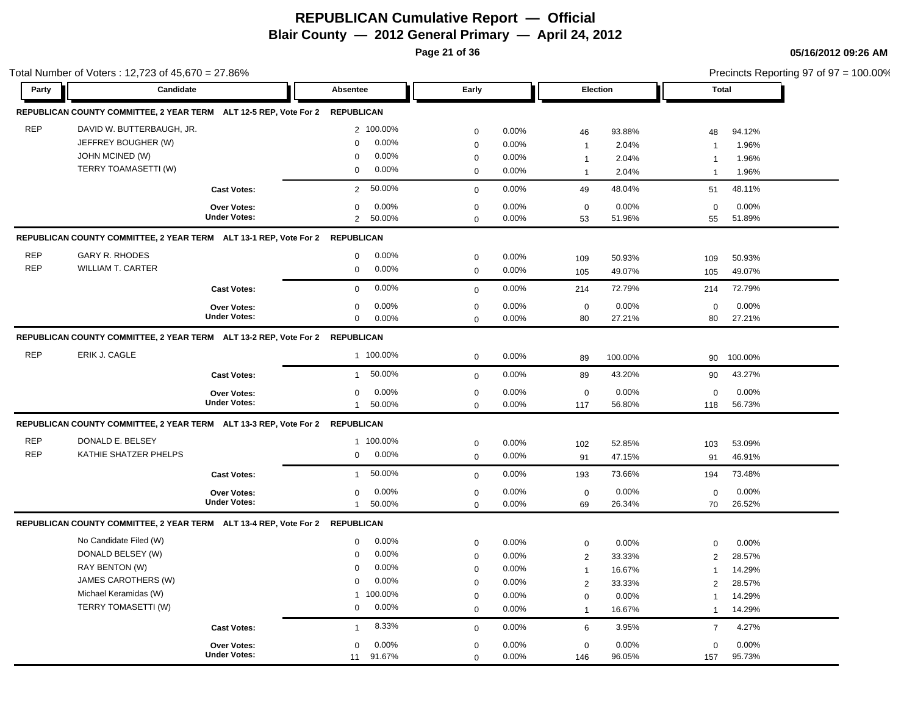**Page 21 of 36**

|            | Total Number of Voters: 12,723 of 45,670 = 27.86%                            |                     |                          |             |       |                     |         |                | Precincts Reporting 97 of 97 = 100.00% |
|------------|------------------------------------------------------------------------------|---------------------|--------------------------|-------------|-------|---------------------|---------|----------------|----------------------------------------|
| Party      | Candidate                                                                    |                     | <b>Absentee</b>          | Early       |       | <b>Election</b>     |         |                | <b>Total</b>                           |
|            | REPUBLICAN COUNTY COMMITTEE, 2 YEAR TERM ALT 12-5 REP, Vote For 2 REPUBLICAN |                     |                          |             |       |                     |         |                |                                        |
| <b>REP</b> | DAVID W. BUTTERBAUGH, JR.                                                    |                     | 2 100.00%                | $\mathbf 0$ | 0.00% | 46                  | 93.88%  | 48             | 94.12%                                 |
|            | JEFFREY BOUGHER (W)                                                          |                     | 0.00%<br>$\mathbf 0$     | $\mathbf 0$ | 0.00% | $\mathbf{1}$        | 2.04%   | $\overline{1}$ | 1.96%                                  |
|            | JOHN MCINED (W)                                                              |                     | 0.00%<br>$\Omega$        | $\mathbf 0$ | 0.00% | $\overline{1}$      | 2.04%   | $\mathbf 1$    | 1.96%                                  |
|            | TERRY TOAMASETTI (W)                                                         |                     | 0.00%<br>$\mathbf 0$     | $\mathbf 0$ | 0.00% | $\mathbf{1}$        | 2.04%   | $\overline{1}$ | 1.96%                                  |
|            |                                                                              | <b>Cast Votes:</b>  | 50.00%<br>$\overline{2}$ | $\mathbf 0$ | 0.00% | 49                  | 48.04%  | 51             | 48.11%                                 |
|            |                                                                              | Over Votes:         | $0.00\%$<br>$\mathbf 0$  | $\mathbf 0$ | 0.00% | $\mathbf 0$         | 0.00%   | $\mathbf 0$    | 0.00%                                  |
|            |                                                                              | <b>Under Votes:</b> | $\overline{2}$<br>50.00% | $\mathbf 0$ | 0.00% | 53                  | 51.96%  | 55             | 51.89%                                 |
|            | REPUBLICAN COUNTY COMMITTEE, 2 YEAR TERM ALT 13-1 REP, Vote For 2 REPUBLICAN |                     |                          |             |       |                     |         |                |                                        |
| <b>REP</b> | <b>GARY R. RHODES</b>                                                        |                     | 0.00%<br>$\mathbf 0$     | $\mathbf 0$ | 0.00% | 109                 | 50.93%  | 109            | 50.93%                                 |
| <b>REP</b> | <b>WILLIAM T. CARTER</b>                                                     |                     | 0.00%<br>$\mathbf 0$     | $\mathbf 0$ | 0.00% | 105                 | 49.07%  | 105            | 49.07%                                 |
|            |                                                                              | <b>Cast Votes:</b>  | 0.00%<br>$\Omega$        | $\mathbf 0$ | 0.00% | 214                 | 72.79%  | 214            | 72.79%                                 |
|            |                                                                              | <b>Over Votes:</b>  | 0.00%<br>0               | $\mathbf 0$ | 0.00% | $\mathsf 0$         | 0.00%   | $\mathbf 0$    | 0.00%                                  |
|            |                                                                              | <b>Under Votes:</b> | 0.00%<br>$\mathbf 0$     | $\mathbf 0$ | 0.00% | 80                  | 27.21%  | 80             | 27.21%                                 |
|            | REPUBLICAN COUNTY COMMITTEE, 2 YEAR TERM ALT 13-2 REP, Vote For 2 REPUBLICAN |                     |                          |             |       |                     |         |                |                                        |
| <b>REP</b> | ERIK J. CAGLE                                                                |                     | 1 100.00%                | $\mathbf 0$ | 0.00% | 89                  | 100.00% | 90             | 100.00%                                |
|            |                                                                              | <b>Cast Votes:</b>  | 50.00%<br>$\mathbf{1}$   | $\mathbf 0$ | 0.00% | 89                  | 43.20%  | 90             | 43.27%                                 |
|            |                                                                              | <b>Over Votes:</b>  | 0.00%<br>0               | $\mathbf 0$ | 0.00% | $\mathbf 0$         | 0.00%   | $\mathbf 0$    | 0.00%                                  |
|            |                                                                              | <b>Under Votes:</b> | 50.00%<br>$\mathbf{1}$   | $\mathbf 0$ | 0.00% | 117                 | 56.80%  | 118            | 56.73%                                 |
|            | REPUBLICAN COUNTY COMMITTEE, 2 YEAR TERM ALT 13-3 REP, Vote For 2 REPUBLICAN |                     |                          |             |       |                     |         |                |                                        |
| <b>REP</b> | DONALD E. BELSEY                                                             |                     | 1 100.00%                | $\mathbf 0$ | 0.00% | 102                 | 52.85%  | 103            | 53.09%                                 |
| <b>REP</b> | KATHIE SHATZER PHELPS                                                        |                     | 0.00%<br>0               | $\mathbf 0$ | 0.00% | 91                  | 47.15%  | 91             | 46.91%                                 |
|            |                                                                              | <b>Cast Votes:</b>  | 50.00%<br>$\mathbf{1}$   | $\mathbf 0$ | 0.00% | 193                 | 73.66%  | 194            | 73.48%                                 |
|            |                                                                              | <b>Over Votes:</b>  | 0.00%<br>0               | $\mathbf 0$ | 0.00% | $\mathbf 0$         | 0.00%   | $\mathbf 0$    | 0.00%                                  |
|            |                                                                              | <b>Under Votes:</b> | 50.00%<br>$\mathbf{1}$   | $\Omega$    | 0.00% | 69                  | 26.34%  | 70             | 26.52%                                 |
|            | REPUBLICAN COUNTY COMMITTEE, 2 YEAR TERM ALT 13-4 REP, Vote For 2 REPUBLICAN |                     |                          |             |       |                     |         |                |                                        |
|            | No Candidate Filed (W)                                                       |                     | 0.00%<br>0               | $\mathbf 0$ | 0.00% | $\mathsf 0$         | 0.00%   | $\mathbf 0$    | 0.00%                                  |
|            | DONALD BELSEY (W)                                                            |                     | 0.00%<br>0               | $\mathbf 0$ | 0.00% | $\overline{2}$      | 33.33%  | 2              | 28.57%                                 |
|            | RAY BENTON (W)                                                               |                     | 0.00%<br>$\Omega$        | $\mathbf 0$ | 0.00% | $\mathbf{1}$        | 16.67%  | $\overline{1}$ | 14.29%                                 |
|            | JAMES CAROTHERS (W)                                                          |                     | 0.00%<br>$\Omega$        | $\mathbf 0$ | 0.00% | $\overline{2}$      | 33.33%  | 2              | 28.57%                                 |
|            | Michael Keramidas (W)                                                        |                     | 100.00%<br>$\mathbf{1}$  | $\mathbf 0$ | 0.00% | $\mathsf{O}\xspace$ | 0.00%   | $\mathbf{1}$   | 14.29%                                 |
|            | TERRY TOMASETTI (W)                                                          |                     | 0.00%<br>0               | $\mathbf 0$ | 0.00% | $\mathbf{1}$        | 16.67%  | $\overline{1}$ | 14.29%                                 |
|            |                                                                              | <b>Cast Votes:</b>  | 8.33%<br>$\overline{1}$  | $\mathbf 0$ | 0.00% | 6                   | 3.95%   | $\overline{7}$ | 4.27%                                  |
|            |                                                                              | Over Votes:         | $0.00\%$<br>$\Omega$     | $\mathbf 0$ | 0.00% | $\mathsf 0$         | 0.00%   | $\mathbf 0$    | 0.00%                                  |
|            |                                                                              | <b>Under Votes:</b> | 91.67%<br>11             | $\mathbf 0$ | 0.00% | 146                 | 96.05%  | 157            | 95.73%                                 |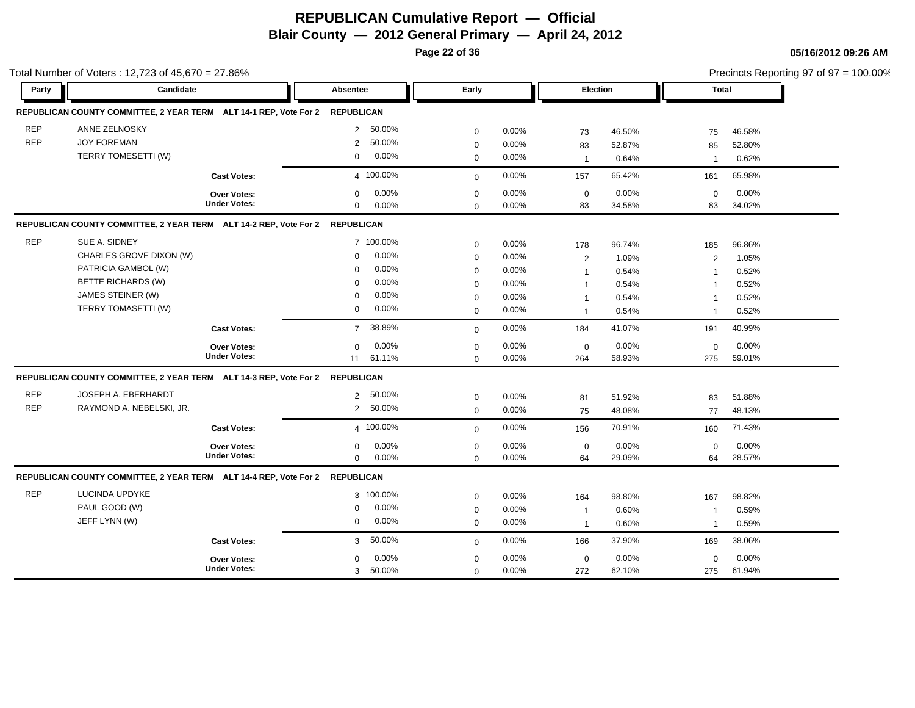**Page 22 of 36**

Precincts Reporting 97 of 97 = 100.00%

|            | Total Number of Voters: 12,723 of 45,670 = 27.86%                            |                     |                   |          |             |          |                 |        |                | Precincts Reporting 97 of 97 = 100.00% |
|------------|------------------------------------------------------------------------------|---------------------|-------------------|----------|-------------|----------|-----------------|--------|----------------|----------------------------------------|
| Party      | Candidate                                                                    |                     | Absentee          |          | Early       |          | <b>Election</b> |        | <b>Total</b>   |                                        |
|            | REPUBLICAN COUNTY COMMITTEE, 2 YEAR TERM ALT 14-1 REP, Vote For 2            |                     | <b>REPUBLICAN</b> |          |             |          |                 |        |                |                                        |
| <b>REP</b> | ANNE ZELNOSKY                                                                |                     | $\overline{2}$    | 50.00%   | $\mathbf 0$ | 0.00%    | 73              | 46.50% | 75             | 46.58%                                 |
| <b>REP</b> | <b>JOY FOREMAN</b>                                                           |                     | $\overline{2}$    | 50.00%   | $\mathbf 0$ | 0.00%    | 83              | 52.87% | 85             | 52.80%                                 |
|            | TERRY TOMESETTI (W)                                                          |                     | $\mathbf 0$       | 0.00%    | $\mathbf 0$ | 0.00%    | $\mathbf{1}$    | 0.64%  | $\overline{1}$ | 0.62%                                  |
|            |                                                                              | <b>Cast Votes:</b>  | 4 100.00%         |          | $\Omega$    | $0.00\%$ | 157             | 65.42% | 161            | 65.98%                                 |
|            |                                                                              | <b>Over Votes:</b>  | $\mathbf 0$       | 0.00%    | $\mathbf 0$ | 0.00%    | $\mathsf 0$     | 0.00%  | $\mathbf 0$    | 0.00%                                  |
|            |                                                                              | <b>Under Votes:</b> | $\mathbf 0$       | 0.00%    | $\mathbf 0$ | 0.00%    | 83              | 34.58% | 83             | 34.02%                                 |
|            | REPUBLICAN COUNTY COMMITTEE, 2 YEAR TERM ALT 14-2 REP, Vote For 2 REPUBLICAN |                     |                   |          |             |          |                 |        |                |                                        |
| <b>REP</b> | SUE A. SIDNEY                                                                |                     | 7 100.00%         |          | $\mathbf 0$ | 0.00%    | 178             | 96.74% | 185            | 96.86%                                 |
|            | CHARLES GROVE DIXON (W)                                                      |                     | $\mathbf 0$       | 0.00%    | $\mathbf 0$ | 0.00%    | $\overline{2}$  | 1.09%  | $\overline{2}$ | 1.05%                                  |
|            | PATRICIA GAMBOL (W)                                                          |                     | $\Omega$          | 0.00%    | $\mathbf 0$ | 0.00%    | $\mathbf{1}$    | 0.54%  | $\overline{1}$ | 0.52%                                  |
|            | <b>BETTE RICHARDS (W)</b>                                                    |                     | $\mathbf 0$       | 0.00%    | $\mathbf 0$ | 0.00%    | $\mathbf{1}$    | 0.54%  | -1             | 0.52%                                  |
|            | JAMES STEINER (W)                                                            |                     | $\Omega$          | 0.00%    | $\mathbf 0$ | 0.00%    | $\mathbf{1}$    | 0.54%  | -1             | 0.52%                                  |
|            | TERRY TOMASETTI (W)                                                          |                     | $\Omega$          | 0.00%    | $\Omega$    | 0.00%    | $\mathbf{1}$    | 0.54%  | -1             | 0.52%                                  |
|            |                                                                              | <b>Cast Votes:</b>  | $\overline{7}$    | 38.89%   | $\mathbf 0$ | 0.00%    | 184             | 41.07% | 191            | 40.99%                                 |
|            |                                                                              | Over Votes:         | $\Omega$          | 0.00%    | $\mathbf 0$ | 0.00%    | $\mathbf 0$     | 0.00%  | $\mathbf 0$    | 0.00%                                  |
|            |                                                                              | <b>Under Votes:</b> | 11                | 61.11%   | $\Omega$    | 0.00%    | 264             | 58.93% | 275            | 59.01%                                 |
|            | REPUBLICAN COUNTY COMMITTEE, 2 YEAR TERM ALT 14-3 REP, Vote For 2 REPUBLICAN |                     |                   |          |             |          |                 |        |                |                                        |
| <b>REP</b> | JOSEPH A. EBERHARDT                                                          |                     | $\overline{2}$    | 50.00%   | $\mathbf 0$ | 0.00%    | 81              | 51.92% | 83             | 51.88%                                 |
| <b>REP</b> | RAYMOND A. NEBELSKI, JR.                                                     |                     | $\overline{2}$    | 50.00%   | $\mathbf 0$ | 0.00%    | 75              | 48.08% | 77             | 48.13%                                 |
|            |                                                                              | <b>Cast Votes:</b>  | 4 100.00%         |          | $\mathbf 0$ | 0.00%    | 156             | 70.91% | 160            | 71.43%                                 |
|            |                                                                              | <b>Over Votes:</b>  | $\mathbf 0$       | $0.00\%$ | $\mathbf 0$ | 0.00%    | $\mathbf 0$     | 0.00%  | $\mathbf 0$    | $0.00\%$                               |
|            |                                                                              | <b>Under Votes:</b> | $\mathbf 0$       | $0.00\%$ | $\mathbf 0$ | 0.00%    | 64              | 29.09% | 64             | 28.57%                                 |
|            | REPUBLICAN COUNTY COMMITTEE, 2 YEAR TERM ALT 14-4 REP, Vote For 2 REPUBLICAN |                     |                   |          |             |          |                 |        |                |                                        |
| <b>REP</b> | LUCINDA UPDYKE                                                               |                     | 3 100.00%         |          | $\mathbf 0$ | 0.00%    | 164             | 98.80% | 167            | 98.82%                                 |
|            | PAUL GOOD (W)                                                                |                     | $\mathbf 0$       | 0.00%    | 0           | $0.00\%$ | $\mathbf{1}$    | 0.60%  | $\mathbf{1}$   | 0.59%                                  |
|            | JEFF LYNN (W)                                                                |                     | 0                 | 0.00%    | $\mathbf 0$ | 0.00%    | $\mathbf{1}$    | 0.60%  | $\overline{1}$ | 0.59%                                  |
|            |                                                                              | <b>Cast Votes:</b>  | 3                 | 50.00%   | $\mathbf 0$ | 0.00%    | 166             | 37.90% | 169            | 38.06%                                 |
|            |                                                                              | <b>Over Votes:</b>  | $\Omega$          | 0.00%    | $\mathbf 0$ | 0.00%    | $\mathbf 0$     | 0.00%  | $\mathbf 0$    | 0.00%                                  |
|            |                                                                              | <b>Under Votes:</b> | 3                 | 50.00%   | $\mathbf 0$ | 0.00%    | 272             | 62.10% | 275            | 61.94%                                 |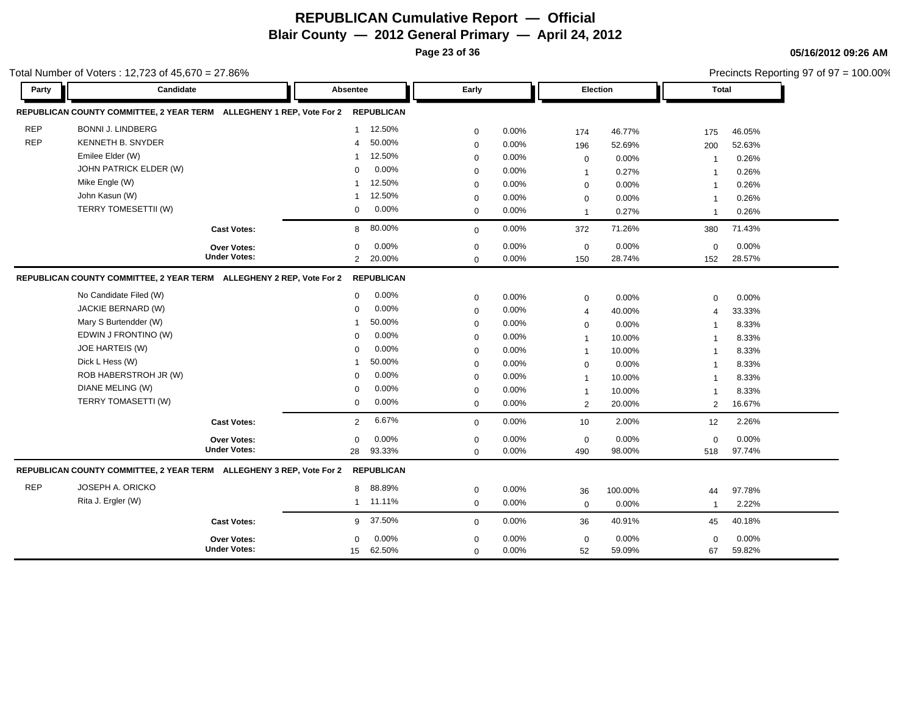**Page 23 of 36**

**05/16/2012 09:26 AM**

|            | otal Number of Voters: 12,723 of $45,670 = 27.86\%$                  |                          |             |          |                |         |                         | Precincts Reporting 97 of 97 = 100.00% |
|------------|----------------------------------------------------------------------|--------------------------|-------------|----------|----------------|---------|-------------------------|----------------------------------------|
| Party      | Candidate                                                            | Absentee                 | Early       |          | Election       |         | <b>Total</b>            |                                        |
|            | REPUBLICAN COUNTY COMMITTEE, 2 YEAR TERM ALLEGHENY 1 REP, Vote For 2 | <b>REPUBLICAN</b>        |             |          |                |         |                         |                                        |
| <b>REP</b> | <b>BONNI J. LINDBERG</b>                                             | 12.50%<br>$\mathbf{1}$   | 0           | $0.00\%$ | 174            | 46.77%  | 175                     | 46.05%                                 |
| <b>REP</b> | <b>KENNETH B. SNYDER</b>                                             | 50.00%<br>$\overline{4}$ | $\mathbf 0$ | 0.00%    | 196            | 52.69%  | 200                     | 52.63%                                 |
|            | Emilee Elder (W)                                                     | 12.50%                   | $\mathbf 0$ | 0.00%    | $\mathbf 0$    | 0.00%   | -1                      | 0.26%                                  |
|            | JOHN PATRICK ELDER (W)                                               | 0.00%<br>$\mathbf 0$     | 0           | $0.00\%$ | $\mathbf{1}$   | 0.27%   | -1                      | 0.26%                                  |
|            | Mike Engle (W)                                                       | 12.50%                   | 0           | 0.00%    | 0              | 0.00%   | -1                      | 0.26%                                  |
|            | John Kasun (W)                                                       | 12.50%                   | 0           | $0.00\%$ | 0              | 0.00%   | -1                      | 0.26%                                  |
|            | TERRY TOMESETTII (W)                                                 | 0.00%<br>$\mathbf 0$     | 0           | 0.00%    | $\mathbf{1}$   | 0.27%   | $\overline{\mathbf{1}}$ | 0.26%                                  |
|            | <b>Cast Votes:</b>                                                   | 8 80.00%                 | 0           | $0.00\%$ | 372            | 71.26%  | 380                     | 71.43%                                 |
|            | Over Votes:                                                          | 0.00%<br>$\Omega$        | 0           | 0.00%    | $\mathbf 0$    | 0.00%   | $\mathbf 0$             | 0.00%                                  |
|            | <b>Under Votes:</b>                                                  | 20.00%<br>$\overline{2}$ | $\mathbf 0$ | $0.00\%$ | 150            | 28.74%  | 152                     | 28.57%                                 |
|            | REPUBLICAN COUNTY COMMITTEE, 2 YEAR TERM ALLEGHENY 2 REP, Vote For 2 | <b>REPUBLICAN</b>        |             |          |                |         |                         |                                        |
|            | No Candidate Filed (W)                                               | 0.00%<br>$\mathbf{0}$    | 0           | 0.00%    | $\mathbf 0$    | 0.00%   | $\mathbf 0$             | 0.00%                                  |
|            | JACKIE BERNARD (W)                                                   | 0.00%<br>$\Omega$        | 0           | 0.00%    | $\overline{4}$ | 40.00%  | $\overline{4}$          | 33.33%                                 |
|            | Mary S Burtendder (W)                                                | 50.00%                   | $\mathbf 0$ | 0.00%    | $\mathbf 0$    | 0.00%   | $\overline{\mathbf{1}}$ | 8.33%                                  |
|            | EDWIN J FRONTINO (W)                                                 | 0.00%<br>$\Omega$        | 0           | 0.00%    | $\mathbf{1}$   | 10.00%  | $\overline{\mathbf{1}}$ | 8.33%                                  |
|            | JOE HARTEIS (W)                                                      | 0.00%<br>$\Omega$        | $\mathbf 0$ | 0.00%    | $\mathbf{1}$   | 10.00%  | $\overline{\mathbf{1}}$ | 8.33%                                  |
|            | Dick L Hess (W)                                                      | 50.00%                   | $\mathbf 0$ | 0.00%    | $\mathbf 0$    | 0.00%   | $\overline{1}$          | 8.33%                                  |
|            | ROB HABERSTROH JR (W)                                                | 0.00%<br>$\Omega$        | 0           | 0.00%    | $\overline{1}$ | 10.00%  | $\overline{\mathbf{1}}$ | 8.33%                                  |
|            | DIANE MELING (W)                                                     | 0.00%<br>$\Omega$        | 0           | 0.00%    | $\mathbf{1}$   | 10.00%  | $\overline{1}$          | 8.33%                                  |
|            | TERRY TOMASETTI (W)                                                  | 0.00%<br>0               | 0           | 0.00%    | 2              | 20.00%  | 2                       | 16.67%                                 |
|            | <b>Cast Votes:</b>                                                   | 6.67%<br>$\overline{2}$  | $\mathbf 0$ | 0.00%    | 10             | 2.00%   | 12                      | 2.26%                                  |
|            | Over Votes:                                                          | 0.00%<br>$\mathbf 0$     | 0           | 0.00%    | $\mathbf 0$    | 0.00%   | $\mathbf 0$             | 0.00%                                  |
|            | <b>Under Votes:</b>                                                  | 93.33%<br>28             | $\Omega$    | 0.00%    | 490            | 98.00%  | 518                     | 97.74%                                 |
|            | REPUBLICAN COUNTY COMMITTEE, 2 YEAR TERM ALLEGHENY 3 REP, Vote For 2 | <b>REPUBLICAN</b>        |             |          |                |         |                         |                                        |
| <b>REP</b> | <b>JOSEPH A. ORICKO</b>                                              | 88.89%<br>8              | 0           | 0.00%    | 36             | 100.00% | 44                      | 97.78%                                 |
|            | Rita J. Ergler (W)                                                   | 11.11%<br>$\mathbf{1}$   | $\mathbf 0$ | 0.00%    | $\mathbf 0$    | 0.00%   | $\overline{\mathbf{1}}$ | 2.22%                                  |
|            | <b>Cast Votes:</b>                                                   | 37.50%<br>9              | 0           | 0.00%    | 36             | 40.91%  | 45                      | 40.18%                                 |
|            | <b>Over Votes:</b>                                                   | 0.00%<br>0               | $\mathbf 0$ | 0.00%    | $\mathbf 0$    | 0.00%   | $\mathbf 0$             | 0.00%                                  |
|            | <b>Under Votes:</b>                                                  | 62.50%<br>15             | $\mathbf 0$ | 0.00%    | 52             | 59.09%  | 67                      | 59.82%                                 |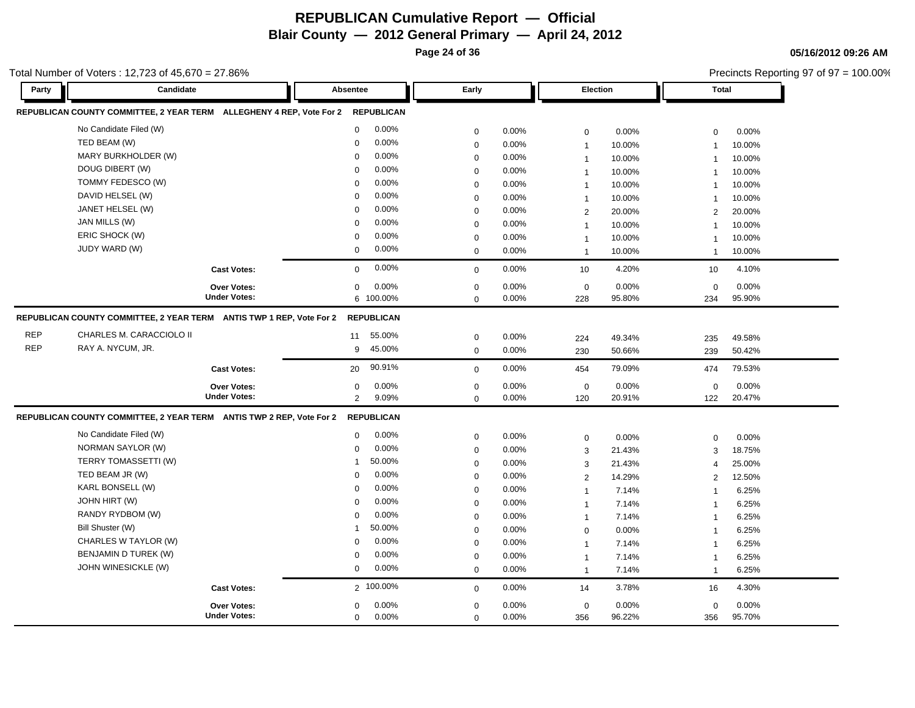**Page 24 of 36**

**05/16/2012 09:26 AM**

|            | otal Number of Voters: 12,723 of $45,670 = 27.86\%$                  |                                    |             |                   |             |          |                 | Precincts Reporting 97 of 97 = 100.00% |                         |        |  |
|------------|----------------------------------------------------------------------|------------------------------------|-------------|-------------------|-------------|----------|-----------------|----------------------------------------|-------------------------|--------|--|
| Party      | Candidate                                                            |                                    | Absentee    |                   | Early       |          | <b>Election</b> |                                        | <b>Total</b>            |        |  |
|            | REPUBLICAN COUNTY COMMITTEE, 2 YEAR TERM ALLEGHENY 4 REP, Vote For 2 |                                    |             | <b>REPUBLICAN</b> |             |          |                 |                                        |                         |        |  |
|            | No Candidate Filed (W)                                               |                                    | $\mathbf 0$ | 0.00%             | 0           | 0.00%    | $\mathbf 0$     | 0.00%                                  | 0                       | 0.00%  |  |
|            | TED BEAM (W)                                                         |                                    | $\mathbf 0$ | 0.00%             | 0           | 0.00%    | $\mathbf{1}$    | 10.00%                                 | $\overline{1}$          | 10.00% |  |
|            | MARY BURKHOLDER (W)                                                  |                                    | $\mathbf 0$ | 0.00%             | 0           | 0.00%    | $\overline{1}$  | 10.00%                                 | $\overline{1}$          | 10.00% |  |
|            | DOUG DIBERT (W)                                                      |                                    | $\Omega$    | 0.00%             | 0           | 0.00%    | $\mathbf 1$     | 10.00%                                 | -1                      | 10.00% |  |
|            | TOMMY FEDESCO (W)                                                    |                                    | $\Omega$    | 0.00%             | 0           | 0.00%    | 1               | 10.00%                                 | -1                      | 10.00% |  |
|            | DAVID HELSEL (W)                                                     |                                    | $\Omega$    | 0.00%             | 0           | $0.00\%$ | $\overline{1}$  | 10.00%                                 | $\overline{1}$          | 10.00% |  |
|            | JANET HELSEL (W)                                                     |                                    | 0           | 0.00%             | 0           | 0.00%    | 2               | 20.00%                                 | 2                       | 20.00% |  |
|            | JAN MILLS (W)                                                        |                                    | $\mathbf 0$ | 0.00%             | 0           | 0.00%    | $\overline{1}$  | 10.00%                                 | $\overline{1}$          | 10.00% |  |
|            | ERIC SHOCK (W)                                                       |                                    | 0           | 0.00%             | 0           | 0.00%    | $\mathbf{1}$    | 10.00%                                 | $\overline{1}$          | 10.00% |  |
|            | JUDY WARD (W)                                                        |                                    | $\mathbf 0$ | 0.00%             | 0           | 0.00%    | $\mathbf{1}$    | 10.00%                                 | $\overline{\mathbf{1}}$ | 10.00% |  |
|            |                                                                      | <b>Cast Votes:</b>                 | $\mathbf 0$ | 0.00%             | 0           | 0.00%    | 10              | 4.20%                                  | 10                      | 4.10%  |  |
|            |                                                                      | Over Votes:                        | $\mathbf 0$ | 0.00%             | 0           | 0.00%    | $\mathbf 0$     | 0.00%                                  | $\mathbf 0$             | 0.00%  |  |
|            |                                                                      | <b>Under Votes:</b>                |             | 6 100.00%         | $\mathbf 0$ | 0.00%    | 228             | 95.80%                                 | 234                     | 95.90% |  |
|            | REPUBLICAN COUNTY COMMITTEE, 2 YEAR TERM ANTIS TWP 1 REP, Vote For 2 |                                    |             | <b>REPUBLICAN</b> |             |          |                 |                                        |                         |        |  |
| <b>REP</b> | CHARLES M. CARACCIOLO II                                             |                                    | 11          | 55.00%            | 0           | $0.00\%$ | 224             | 49.34%                                 | 235                     | 49.58% |  |
| <b>REP</b> | RAY A. NYCUM, JR.                                                    |                                    | 9           | 45.00%            | 0           | 0.00%    | 230             | 50.66%                                 | 239                     | 50.42% |  |
|            |                                                                      | <b>Cast Votes:</b>                 | 20          | 90.91%            |             | $0.00\%$ | 454             | 79.09%                                 | 474                     | 79.53% |  |
|            |                                                                      |                                    |             |                   | 0           |          |                 |                                        |                         |        |  |
|            |                                                                      | Over Votes:<br><b>Under Votes:</b> | $\mathbf 0$ | 0.00%             | 0           | 0.00%    | $\mathbf 0$     | 0.00%                                  | $\mathbf 0$             | 0.00%  |  |
|            |                                                                      |                                    | 2           | 9.09%             | 0           | $0.00\%$ | 120             | 20.91%                                 | 122                     | 20.47% |  |
|            | REPUBLICAN COUNTY COMMITTEE, 2 YEAR TERM ANTIS TWP 2 REP, Vote For 2 |                                    |             | <b>REPUBLICAN</b> |             |          |                 |                                        |                         |        |  |
|            | No Candidate Filed (W)                                               |                                    | $\mathbf 0$ | 0.00%             | 0           | 0.00%    | 0               | 0.00%                                  | $\mathbf 0$             | 0.00%  |  |
|            | NORMAN SAYLOR (W)                                                    |                                    | $\mathbf 0$ | 0.00%             | 0           | 0.00%    | 3               | 21.43%                                 | 3                       | 18.75% |  |
|            | TERRY TOMASSETTI (W)                                                 |                                    |             | 50.00%            | 0           | 0.00%    | 3               | 21.43%                                 | 4                       | 25.00% |  |
|            | TED BEAM JR (W)                                                      |                                    | $\mathbf 0$ | 0.00%             | 0           | 0.00%    | $\overline{2}$  | 14.29%                                 | $\overline{2}$          | 12.50% |  |
|            | KARL BONSELL (W)                                                     |                                    | $\Omega$    | 0.00%             | 0           | 0.00%    | $\mathbf{1}$    | 7.14%                                  | $\overline{1}$          | 6.25%  |  |
|            | JOHN HIRT (W)                                                        |                                    | 0           | 0.00%             | 0           | $0.00\%$ | $\mathbf{1}$    | 7.14%                                  | $\overline{1}$          | 6.25%  |  |
|            | RANDY RYDBOM (W)                                                     |                                    | $\mathbf 0$ | 0.00%             | 0           | $0.00\%$ | $\mathbf{1}$    | 7.14%                                  | $\overline{1}$          | 6.25%  |  |
|            | Bill Shuster (W)                                                     |                                    |             | 50.00%            | 0           | 0.00%    | $\mathbf 0$     | 0.00%                                  | $\overline{1}$          | 6.25%  |  |
|            | CHARLES W TAYLOR (W)                                                 |                                    | $\mathbf 0$ | 0.00%             | $\mathbf 0$ | 0.00%    | $\mathbf 1$     | 7.14%                                  | -1                      | 6.25%  |  |
|            | BENJAMIN D TUREK (W)                                                 |                                    | $\Omega$    | 0.00%             | 0           | 0.00%    | $\mathbf{1}$    | 7.14%                                  | $\overline{1}$          | 6.25%  |  |
|            | JOHN WINESICKLE (W)                                                  |                                    | 0           | 0.00%             | 0           | 0.00%    | $\mathbf{1}$    | 7.14%                                  | $\overline{1}$          | 6.25%  |  |
|            |                                                                      | <b>Cast Votes:</b>                 |             | 2 100.00%         | 0           | $0.00\%$ | 14              | 3.78%                                  | 16                      | 4.30%  |  |
|            |                                                                      | Over Votes:                        | 0           | 0.00%             | 0           | $0.00\%$ | 0               | 0.00%                                  | 0                       | 0.00%  |  |
|            |                                                                      | <b>Under Votes:</b>                | 0           | 0.00%             | $\mathbf 0$ | $0.00\%$ | 356             | 96.22%                                 | 356                     | 95.70% |  |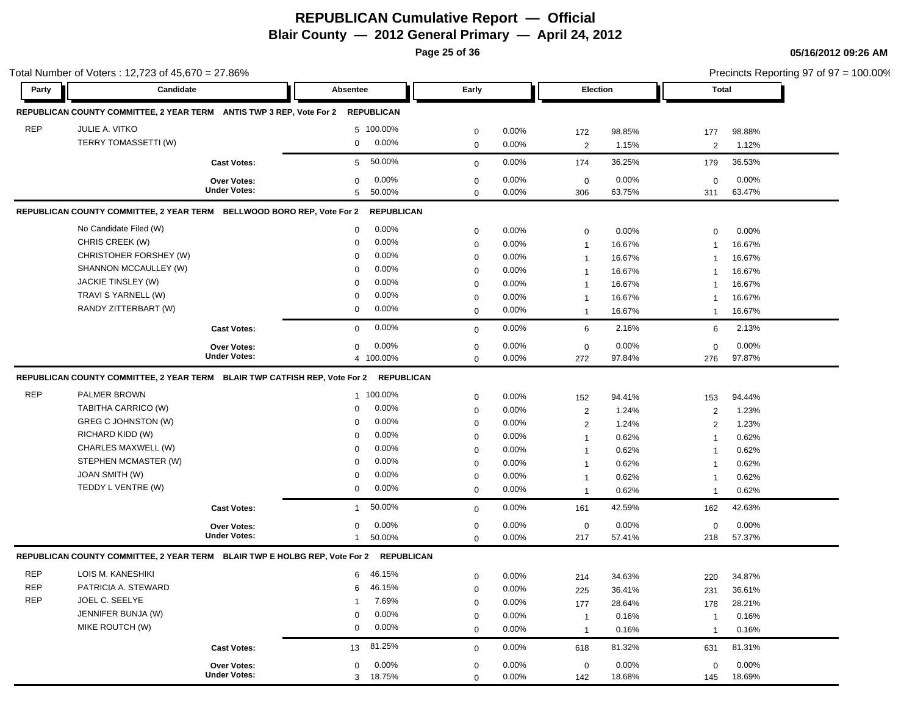**Page 25 of 36**

|            | Total Number of Voters: 12,723 of 45,670 = 27.86%                          |                     |              |                   |             |          |                              |        |                | Precincts Reporting 97 of 97 = 100.00% |  |
|------------|----------------------------------------------------------------------------|---------------------|--------------|-------------------|-------------|----------|------------------------------|--------|----------------|----------------------------------------|--|
| Party      | Candidate                                                                  |                     | Absentee     |                   | Early       |          | Election                     |        | <b>Total</b>   |                                        |  |
|            | REPUBLICAN COUNTY COMMITTEE, 2 YEAR TERM ANTIS TWP 3 REP, Vote For 2       |                     |              | <b>REPUBLICAN</b> |             |          |                              |        |                |                                        |  |
| <b>REP</b> | JULIE A. VITKO                                                             |                     |              | 5 100.00%         | 0           | 0.00%    | 172                          | 98.85% | 177            | 98.88%                                 |  |
|            | <b>TERRY TOMASSETTI (W)</b>                                                |                     | 0            | 0.00%             | $\mathbf 0$ | 0.00%    | $\overline{2}$               | 1.15%  | 2              | 1.12%                                  |  |
|            |                                                                            | <b>Cast Votes:</b>  | 5            | 50.00%            | $\mathbf 0$ | 0.00%    | 174                          | 36.25% | 179            | 36.53%                                 |  |
|            |                                                                            | <b>Over Votes:</b>  | $\mathbf 0$  | $0.00\%$          | $\mathbf 0$ | $0.00\%$ | $\mathbf 0$                  | 0.00%  | $\mathbf 0$    | 0.00%                                  |  |
|            |                                                                            | <b>Under Votes:</b> | 5            | 50.00%            | $\mathbf 0$ | 0.00%    | 306                          | 63.75% | 311            | 63.47%                                 |  |
|            | REPUBLICAN COUNTY COMMITTEE, 2 YEAR TERM BELLWOOD BORO REP, Vote For 2     |                     |              | <b>REPUBLICAN</b> |             |          |                              |        |                |                                        |  |
|            | No Candidate Filed (W)                                                     |                     | 0            | $0.00\%$          | $\mathbf 0$ | 0.00%    | $\mathbf 0$                  | 0.00%  | $\mathbf 0$    | 0.00%                                  |  |
|            | CHRIS CREEK (W)                                                            |                     | 0            | $0.00\%$          | $\mathbf 0$ | 0.00%    | $\mathbf{1}$                 | 16.67% | $\mathbf 1$    | 16.67%                                 |  |
|            | CHRISTOHER FORSHEY (W)                                                     |                     | $\mathbf 0$  | 0.00%             | $\mathbf 0$ | 0.00%    | $\mathbf{1}$                 | 16.67% | -1             | 16.67%                                 |  |
|            | SHANNON MCCAULLEY (W)                                                      |                     | $\mathbf 0$  | 0.00%             | $\mathbf 0$ | 0.00%    | $\mathbf{1}$                 | 16.67% | -1             | 16.67%                                 |  |
|            | JACKIE TINSLEY (W)                                                         |                     | $\mathbf 0$  | 0.00%             | 0           | 0.00%    | $\mathbf{1}$                 | 16.67% |                | 16.67%                                 |  |
|            | TRAVI S YARNELL (W)                                                        |                     | 0            | 0.00%             | $\mathbf 0$ | 0.00%    | $\mathbf{1}$                 | 16.67% | -1             | 16.67%                                 |  |
|            | RANDY ZITTERBART (W)                                                       |                     | 0            | $0.00\%$          | $\mathbf 0$ | $0.00\%$ | $\mathbf{1}$                 | 16.67% | $\mathbf 1$    | 16.67%                                 |  |
|            |                                                                            | <b>Cast Votes:</b>  | $\mathbf 0$  | 0.00%             | $\mathbf 0$ | 0.00%    | 6                            | 2.16%  | 6              | 2.13%                                  |  |
|            |                                                                            | <b>Over Votes:</b>  | $\mathbf 0$  | 0.00%             | $\mathbf 0$ | 0.00%    | $\mathbf 0$                  | 0.00%  | $\mathbf 0$    | 0.00%                                  |  |
|            |                                                                            | <b>Under Votes:</b> |              | 4 100.00%         | $\mathbf 0$ | 0.00%    | 272                          | 97.84% | 276            | 97.87%                                 |  |
|            | REPUBLICAN COUNTY COMMITTEE, 2 YEAR TERM BLAIR TWP CATFISH REP, Vote For 2 |                     |              | <b>REPUBLICAN</b> |             |          |                              |        |                |                                        |  |
| <b>REP</b> | PALMER BROWN                                                               |                     |              | 1 100.00%         | $\mathbf 0$ | 0.00%    | 152                          | 94.41% | 153            | 94.44%                                 |  |
|            | TABITHA CARRICO (W)                                                        |                     | 0            | $0.00\%$          | $\mathbf 0$ | 0.00%    | $\overline{\mathbf{c}}$      | 1.24%  | $\overline{2}$ | 1.23%                                  |  |
|            | GREG C JOHNSTON (W)                                                        |                     | $\mathbf 0$  | 0.00%             | $\mathbf 0$ | 0.00%    | $\overline{2}$               | 1.24%  | $\overline{2}$ | 1.23%                                  |  |
|            | RICHARD KIDD (W)                                                           |                     | $\mathbf 0$  | 0.00%             | $\mathbf 0$ | 0.00%    | $\mathbf{1}$                 | 0.62%  | -1             | 0.62%                                  |  |
|            | CHARLES MAXWELL (W)                                                        |                     | $\mathbf 0$  | 0.00%             | $\mathbf 0$ | 0.00%    | $\mathbf{1}$                 | 0.62%  | -1             | 0.62%                                  |  |
|            | STEPHEN MCMASTER (W)                                                       |                     | $\Omega$     | 0.00%             | $\mathbf 0$ | 0.00%    | $\mathbf{1}$                 | 0.62%  | -1             | 0.62%                                  |  |
|            | <b>JOAN SMITH (W)</b>                                                      |                     | 0            | 0.00%             | $\mathbf 0$ | 0.00%    | $\mathbf{1}$                 | 0.62%  | $\mathbf 1$    | 0.62%                                  |  |
|            | TEDDY L VENTRE (W)                                                         |                     | 0            | 0.00%             | $\mathbf 0$ | $0.00\%$ | $\mathbf{1}$                 | 0.62%  | $\mathbf 1$    | 0.62%                                  |  |
|            |                                                                            | <b>Cast Votes:</b>  | $\mathbf{1}$ | 50.00%            | $\mathbf 0$ | 0.00%    | 161                          | 42.59% | 162            | 42.63%                                 |  |
|            |                                                                            | Over Votes:         | 0            | 0.00%             | $\mathbf 0$ | 0.00%    | $\mathbf 0$                  | 0.00%  | $\mathbf 0$    | 0.00%                                  |  |
|            |                                                                            | <b>Under Votes:</b> | $\mathbf{1}$ | 50.00%            | $\mathbf 0$ | 0.00%    | 217                          | 57.41% | 218            | 57.37%                                 |  |
|            | REPUBLICAN COUNTY COMMITTEE, 2 YEAR TERM BLAIR TWP E HOLBG REP, Vote For 2 |                     |              | <b>REPUBLICAN</b> |             |          |                              |        |                |                                        |  |
| <b>REP</b> | LOIS M. KANESHIKI                                                          |                     | 6            | 46.15%            | $\mathbf 0$ | 0.00%    | 214                          | 34.63% | 220            | 34.87%                                 |  |
| <b>REP</b> | PATRICIA A. STEWARD                                                        |                     | 6            | 46.15%            | $\mathbf 0$ | 0.00%    | 225                          | 36.41% | 231            | 36.61%                                 |  |
| <b>REP</b> | JOEL C. SEELYE                                                             |                     | 1            | 7.69%             | $\Omega$    | 0.00%    | 177                          | 28.64% | 178            | 28.21%                                 |  |
|            | JENNIFER BUNJA (W)                                                         |                     | $\mathbf 0$  | 0.00%             | $\mathbf 0$ | 0.00%    |                              | 0.16%  | $\overline{1}$ | 0.16%                                  |  |
|            | MIKE ROUTCH (W)                                                            |                     | 0            | $0.00\%$          | $\mathbf 0$ | 0.00%    | $\mathbf{1}$<br>$\mathbf{1}$ | 0.16%  | $\overline{1}$ | 0.16%                                  |  |
|            |                                                                            |                     |              |                   |             |          |                              |        |                |                                        |  |
|            |                                                                            | <b>Cast Votes:</b>  | 13           | 81.25%            | $\mathbf 0$ | 0.00%    | 618                          | 81.32% | 631            | 81.31%                                 |  |
|            |                                                                            | Over Votes:         | 0            | 0.00%             | $\mathbf 0$ | 0.00%    | 0                            | 0.00%  | 0              | 0.00%                                  |  |
|            |                                                                            | <b>Under Votes:</b> |              | 3 18.75%          | $\mathbf 0$ | 0.00%    | 142                          | 18.68% | 145            | 18.69%                                 |  |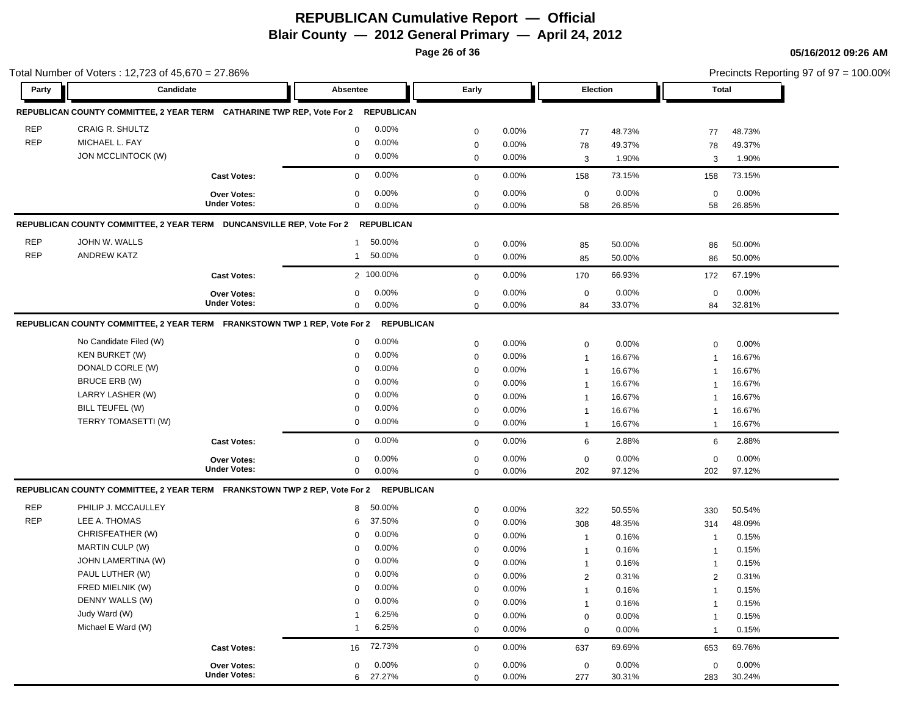**Page 26 of 36**

|            | Total Number of Voters: 12,723 of 45,670 = 27.86%                                 |                                    |                          |                  |                   |                   |                 |                         | Precincts Reporting 97 of 97 = 100.00% |
|------------|-----------------------------------------------------------------------------------|------------------------------------|--------------------------|------------------|-------------------|-------------------|-----------------|-------------------------|----------------------------------------|
| Party      | Candidate                                                                         |                                    | Absentee                 | Early            |                   | Election          |                 | Total                   |                                        |
|            | REPUBLICAN COUNTY COMMITTEE, 2 YEAR TERM CATHARINE TWP REP, Vote For 2 REPUBLICAN |                                    |                          |                  |                   |                   |                 |                         |                                        |
| <b>REP</b> | <b>CRAIG R. SHULTZ</b>                                                            |                                    | $0.00\%$<br>$\mathbf 0$  | $\mathbf 0$      | 0.00%             | 77                | 48.73%          | 77                      | 48.73%                                 |
| <b>REP</b> | MICHAEL L. FAY                                                                    |                                    | 0.00%<br>0               | 0                | $0.00\%$          | 78                | 49.37%          | 78                      | 49.37%                                 |
|            | JON MCCLINTOCK (W)                                                                |                                    | 0.00%<br>0               | 0                | 0.00%             | 3                 | 1.90%           | 3                       | 1.90%                                  |
|            |                                                                                   | <b>Cast Votes:</b>                 | 0.00%<br>$\mathbf 0$     | $\mathbf 0$      | 0.00%             | 158               | 73.15%          | 158                     | 73.15%                                 |
|            |                                                                                   |                                    |                          |                  |                   |                   |                 |                         |                                        |
|            |                                                                                   | Over Votes:<br><b>Under Votes:</b> | 0.00%<br>0<br>0.00%<br>0 | 0<br>$\mathbf 0$ | 0.00%<br>$0.00\%$ | $\mathbf 0$<br>58 | 0.00%<br>26.85% | $\mathbf 0$<br>58       | 0.00%<br>26.85%                        |
|            | REPUBLICAN COUNTY COMMITTEE, 2 YEAR TERM DUNCANSVILLE REP, Vote For 2 REPUBLICAN  |                                    |                          |                  |                   |                   |                 |                         |                                        |
| <b>REP</b> | JOHN W. WALLS                                                                     |                                    |                          |                  |                   |                   |                 |                         |                                        |
| <b>REP</b> |                                                                                   |                                    | 50.00%<br>$\mathbf{1}$   | $\mathbf 0$      | 0.00%             | 85                | 50.00%          | 86                      | 50.00%                                 |
|            | <b>ANDREW KATZ</b>                                                                |                                    | 50.00%<br>$\mathbf{1}$   | $\mathbf 0$      | $0.00\%$          | 85                | 50.00%          | 86                      | 50.00%                                 |
|            |                                                                                   | <b>Cast Votes:</b>                 | 2 100.00%                | $\mathbf 0$      | 0.00%             | 170               | 66.93%          | 172                     | 67.19%                                 |
|            |                                                                                   | <b>Over Votes:</b>                 | 0.00%<br>0               | $\mathbf 0$      | 0.00%             | $\mathbf 0$       | 0.00%           | $\mathbf 0$             | 0.00%                                  |
|            |                                                                                   | <b>Under Votes:</b>                | 0.00%<br>0               | $\mathbf 0$      | 0.00%             | 84                | 33.07%          | 84                      | 32.81%                                 |
|            | REPUBLICAN COUNTY COMMITTEE, 2 YEAR TERM FRANKSTOWN TWP 1 REP, Vote For 2         |                                    | <b>REPUBLICAN</b>        |                  |                   |                   |                 |                         |                                        |
|            | No Candidate Filed (W)                                                            |                                    | $0.00\%$<br>$\mathbf 0$  | 0                | 0.00%             | 0                 | 0.00%           | $\mathbf 0$             | 0.00%                                  |
|            | <b>KEN BURKET (W)</b>                                                             |                                    | $0.00\%$<br>0            | $\mathbf 0$      | 0.00%             | $\mathbf{1}$      | 16.67%          | -1                      | 16.67%                                 |
|            | DONALD CORLE (W)                                                                  |                                    | 0.00%<br>$\mathbf 0$     | $\mathbf 0$      | $0.00\%$          | $\mathbf{1}$      | 16.67%          |                         | 16.67%                                 |
|            | <b>BRUCE ERB (W)</b>                                                              |                                    | 0.00%<br>$\mathbf 0$     | 0                | 0.00%             | $\mathbf{1}$      | 16.67%          |                         | 16.67%                                 |
|            | LARRY LASHER (W)                                                                  |                                    | 0.00%<br>$\mathbf 0$     | $\mathbf 0$      | 0.00%             | $\mathbf{1}$      | 16.67%          |                         | 16.67%                                 |
|            | BILL TEUFEL (W)                                                                   |                                    | 0.00%<br>$\mathbf 0$     | $\mathbf 0$      | 0.00%             | $\mathbf{1}$      | 16.67%          | $\mathbf 1$             | 16.67%                                 |
|            | TERRY TOMASETTI (W)                                                               |                                    | $0.00\%$<br>0            | $\mathbf 0$      | 0.00%             | $\mathbf{1}$      | 16.67%          | $\overline{1}$          | 16.67%                                 |
|            |                                                                                   | <b>Cast Votes:</b>                 | 0.00%<br>$\mathbf 0$     | $\mathbf 0$      | 0.00%             | 6                 | 2.88%           | 6                       | 2.88%                                  |
|            |                                                                                   | <b>Over Votes:</b>                 | 0.00%<br>0               | $\mathbf 0$      | 0.00%             | $\mathbf 0$       | 0.00%           | $\mathbf 0$             | 0.00%                                  |
|            |                                                                                   | <b>Under Votes:</b>                | $0.00\%$<br>0            | $\mathbf 0$      | 0.00%             | 202               | 97.12%          | 202                     | 97.12%                                 |
|            | REPUBLICAN COUNTY COMMITTEE, 2 YEAR TERM FRANKSTOWN TWP 2 REP, Vote For 2         |                                    | <b>REPUBLICAN</b>        |                  |                   |                   |                 |                         |                                        |
| <b>REP</b> | PHILIP J. MCCAULLEY                                                               |                                    | 50.00%<br>8              | $\mathbf 0$      | $0.00\%$          | 322               | 50.55%          | 330                     | 50.54%                                 |
| <b>REP</b> | LEE A. THOMAS                                                                     |                                    | 37.50%<br>6              | $\mathbf 0$      | $0.00\%$          | 308               | 48.35%          | 314                     | 48.09%                                 |
|            | CHRISFEATHER (W)                                                                  |                                    | 0.00%<br>$\mathbf 0$     | 0                | $0.00\%$          | $\mathbf{1}$      | 0.16%           | -1                      | 0.15%                                  |
|            | <b>MARTIN CULP (W)</b>                                                            |                                    | 0.00%<br>0               | $\mathbf 0$      | 0.00%             | $\mathbf{1}$      | 0.16%           | -1                      | 0.15%                                  |
|            | JOHN LAMERTINA (W)                                                                |                                    | 0.00%<br>$\Omega$        | $\mathbf 0$      | 0.00%             | $\mathbf{1}$      | 0.16%           | -1                      | 0.15%                                  |
|            | PAUL LUTHER (W)                                                                   |                                    | $0.00\%$<br>$\mathbf 0$  | $\mathbf 0$      | 0.00%             | $\overline{2}$    | 0.31%           | $\overline{2}$          | 0.31%                                  |
|            | FRED MIELNIK (W)                                                                  |                                    | 0<br>$0.00\%$            | $\boldsymbol{0}$ | 0.00%             | $\mathbf{1}$      | 0.16%           | $\overline{1}$          | 0.15%                                  |
|            | DENNY WALLS (W)                                                                   |                                    | 0.00%<br>$\mathbf 0$     | $\mathbf 0$      | 0.00%             | $\mathbf{1}$      | 0.16%           | $\overline{\mathbf{1}}$ | 0.15%                                  |
|            | Judy Ward (W)                                                                     |                                    | 6.25%<br>1               | 0                | 0.00%             | 0                 | 0.00%           | -1                      | 0.15%                                  |
|            | Michael E Ward (W)                                                                |                                    | 6.25%<br>$\overline{1}$  | $\mathbf 0$      | 0.00%             | $\mathbf 0$       | 0.00%           | $\mathbf 1$             | 0.15%                                  |
|            |                                                                                   | <b>Cast Votes:</b>                 | 72.73%<br>16             | $\mathbf 0$      | 0.00%             | 637               | 69.69%          | 653                     | 69.76%                                 |
|            |                                                                                   | Over Votes:                        | 0.00%<br>0               | 0                | 0.00%             | $\mathbf 0$       | 0.00%           | $\pmb{0}$               | 0.00%                                  |
|            |                                                                                   | <b>Under Votes:</b>                | 27.27%<br>6              | $\mathbf 0$      | 0.00%             | 277               | 30.31%          | 283                     | 30.24%                                 |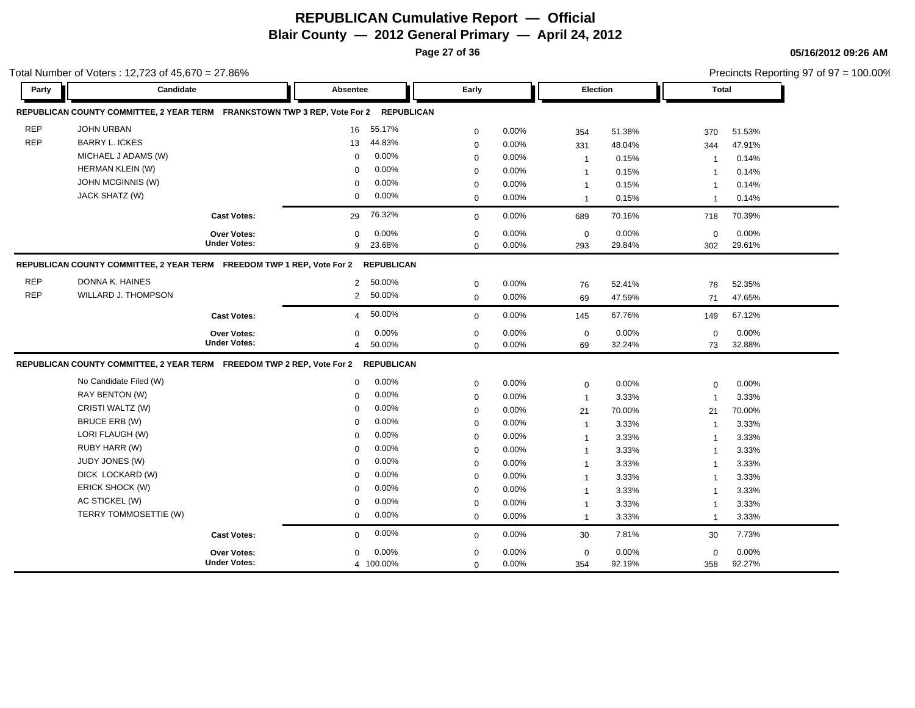**Page 27 of 36**

|            | Total Number of Voters: 12,723 of 45,670 = 27.86%                         |                     |                 |                   |             |       |                |        |                | Precincts Reporting 97 of 97 = 100.00% |  |
|------------|---------------------------------------------------------------------------|---------------------|-----------------|-------------------|-------------|-------|----------------|--------|----------------|----------------------------------------|--|
| Party      | Candidate                                                                 |                     | <b>Absentee</b> |                   | Early       |       | Election       |        | <b>Total</b>   |                                        |  |
|            | REPUBLICAN COUNTY COMMITTEE, 2 YEAR TERM FRANKSTOWN TWP 3 REP, Vote For 2 |                     |                 | <b>REPUBLICAN</b> |             |       |                |        |                |                                        |  |
| <b>REP</b> | JOHN URBAN                                                                |                     | 16              | 55.17%            | $\mathbf 0$ | 0.00% | 354            | 51.38% | 370            | 51.53%                                 |  |
| <b>REP</b> | <b>BARRY L. ICKES</b>                                                     |                     | 13              | 44.83%            | $\mathbf 0$ | 0.00% | 331            | 48.04% | 344            | 47.91%                                 |  |
|            | MICHAEL J ADAMS (W)                                                       |                     | $\mathbf 0$     | 0.00%             | $\mathbf 0$ | 0.00% | $\mathbf{1}$   | 0.15%  | -1             | 0.14%                                  |  |
|            | HERMAN KLEIN (W)                                                          |                     | $\mathbf 0$     | 0.00%             | $\mathbf 0$ | 0.00% | $\mathbf{1}$   | 0.15%  | -1             | 0.14%                                  |  |
|            | JOHN MCGINNIS (W)                                                         |                     | $\mathbf 0$     | 0.00%             | $\mathbf 0$ | 0.00% | $\mathbf{1}$   | 0.15%  | $\mathbf 1$    | 0.14%                                  |  |
|            | JACK SHATZ (W)                                                            |                     | $\Omega$        | 0.00%             | $\mathbf 0$ | 0.00% | $\mathbf{1}$   | 0.15%  | $\mathbf{1}$   | 0.14%                                  |  |
|            |                                                                           | <b>Cast Votes:</b>  | 29              | 76.32%            | $\mathbf 0$ | 0.00% | 689            | 70.16% | 718            | 70.39%                                 |  |
|            |                                                                           | <b>Over Votes:</b>  | $\mathbf 0$     | 0.00%             | $\mathbf 0$ | 0.00% | $\mathbf 0$    | 0.00%  | $\mathbf 0$    | 0.00%                                  |  |
|            |                                                                           | <b>Under Votes:</b> | 9               | 23.68%            | $\Omega$    | 0.00% | 293            | 29.84% | 302            | 29.61%                                 |  |
|            | REPUBLICAN COUNTY COMMITTEE, 2 YEAR TERM FREEDOM TWP 1 REP, Vote For 2    |                     |                 | <b>REPUBLICAN</b> |             |       |                |        |                |                                        |  |
| <b>REP</b> | DONNA K. HAINES                                                           |                     | 2               | 50.00%            | $\mathbf 0$ | 0.00% | 76             | 52.41% | 78             | 52.35%                                 |  |
| <b>REP</b> | WILLARD J. THOMPSON                                                       |                     | $\overline{2}$  | 50.00%            | $\mathbf 0$ | 0.00% | 69             | 47.59% | 71             | 47.65%                                 |  |
|            |                                                                           | <b>Cast Votes:</b>  | $\overline{4}$  | 50.00%            | $\mathbf 0$ | 0.00% | 145            | 67.76% | 149            | 67.12%                                 |  |
|            |                                                                           | <b>Over Votes:</b>  | $\mathbf 0$     | 0.00%             | $\mathbf 0$ | 0.00% | $\mathbf 0$    | 0.00%  | $\mathbf 0$    | 0.00%                                  |  |
|            |                                                                           | <b>Under Votes:</b> | $\overline{4}$  | 50.00%            | $\mathbf 0$ | 0.00% | 69             | 32.24% | 73             | 32.88%                                 |  |
|            | REPUBLICAN COUNTY COMMITTEE, 2 YEAR TERM FREEDOM TWP 2 REP, Vote For 2    |                     |                 | <b>REPUBLICAN</b> |             |       |                |        |                |                                        |  |
|            | No Candidate Filed (W)                                                    |                     | $\Omega$        | 0.00%             | $\mathbf 0$ | 0.00% | $\mathbf 0$    | 0.00%  | $\mathbf 0$    | 0.00%                                  |  |
|            | RAY BENTON (W)                                                            |                     | 0               | 0.00%             | $\mathbf 0$ | 0.00% | $\mathbf{1}$   | 3.33%  | $\overline{1}$ | 3.33%                                  |  |
|            | CRISTI WALTZ (W)                                                          |                     | $\Omega$        | 0.00%             | $\mathbf 0$ | 0.00% | 21             | 70.00% | 21             | 70.00%                                 |  |
|            | <b>BRUCE ERB (W)</b>                                                      |                     | $\mathbf 0$     | 0.00%             | $\mathbf 0$ | 0.00% | $\mathbf{1}$   | 3.33%  | $\overline{1}$ | 3.33%                                  |  |
|            | LORI FLAUGH (W)                                                           |                     | $\mathbf 0$     | 0.00%             | $\mathbf 0$ | 0.00% | $\mathbf{1}$   | 3.33%  | $\overline{1}$ | 3.33%                                  |  |
|            | RUBY HARR (W)                                                             |                     | $\Omega$        | 0.00%             | $\mathbf 0$ | 0.00% | $\mathbf{1}$   | 3.33%  | $\mathbf 1$    | 3.33%                                  |  |
|            | <b>JUDY JONES (W)</b>                                                     |                     | $\mathbf 0$     | 0.00%             | 0           | 0.00% | $\mathbf{1}$   | 3.33%  | $\overline{1}$ | 3.33%                                  |  |
|            | DICK LOCKARD (W)                                                          |                     | $\mathbf 0$     | 0.00%             | $\mathbf 0$ | 0.00% | $\mathbf{1}$   | 3.33%  | $\overline{1}$ | 3.33%                                  |  |
|            | ERICK SHOCK (W)                                                           |                     | $\mathbf 0$     | 0.00%             | $\mathbf 0$ | 0.00% | $\mathbf{1}$   | 3.33%  |                | 3.33%                                  |  |
|            | AC STICKEL (W)                                                            |                     | $\mathbf 0$     | 0.00%             | 0           | 0.00% | -1             | 3.33%  | -1             | 3.33%                                  |  |
|            | TERRY TOMMOSETTIE (W)                                                     |                     | $\mathbf 0$     | 0.00%             | $\Omega$    | 0.00% | $\overline{1}$ | 3.33%  | $\mathbf{1}$   | 3.33%                                  |  |
|            |                                                                           | <b>Cast Votes:</b>  | $\mathbf 0$     | 0.00%             | $\Omega$    | 0.00% | 30             | 7.81%  | 30             | 7.73%                                  |  |
|            |                                                                           | <b>Over Votes:</b>  | $\Omega$        | 0.00%             | $\mathbf 0$ | 0.00% | $\mathbf 0$    | 0.00%  | $\mathbf 0$    | 0.00%                                  |  |
|            |                                                                           | <b>Under Votes:</b> |                 | 4 100.00%         | $\mathbf 0$ | 0.00% | 354            | 92.19% | 358            | 92.27%                                 |  |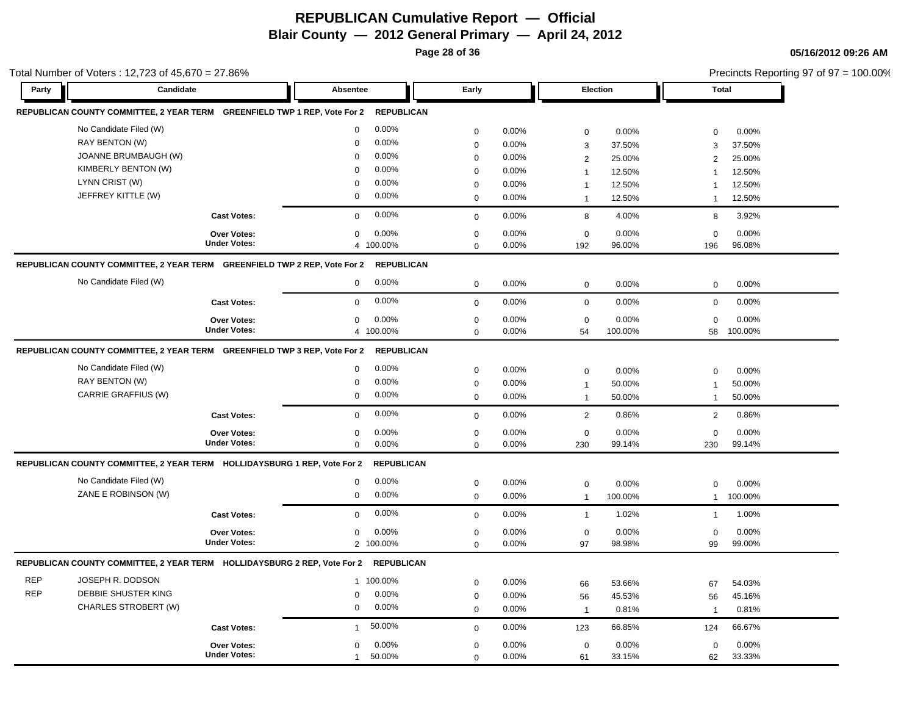**Page 28 of 36**

|            | Total Number of Voters: 12,723 of 45,670 = 27.86%                         |                     |                         |                   |             |       |                 |         |                |              | Precincts Reporting 97 of 97 = 100.00% |
|------------|---------------------------------------------------------------------------|---------------------|-------------------------|-------------------|-------------|-------|-----------------|---------|----------------|--------------|----------------------------------------|
| Party      | Candidate                                                                 |                     | Absentee                |                   | Early       |       | <b>Election</b> |         |                | <b>Total</b> |                                        |
|            | REPUBLICAN COUNTY COMMITTEE, 2 YEAR TERM GREENFIELD TWP 1 REP, Vote For 2 |                     |                         | <b>REPUBLICAN</b> |             |       |                 |         |                |              |                                        |
|            | No Candidate Filed (W)                                                    |                     | 0.00%<br>0              |                   | $\mathbf 0$ | 0.00% | $\mathsf 0$     | 0.00%   | $\mathbf 0$    | 0.00%        |                                        |
|            | RAY BENTON (W)                                                            |                     | 0.00%<br>$\Omega$       |                   | $\mathbf 0$ | 0.00% | 3               | 37.50%  | 3              | 37.50%       |                                        |
|            | JOANNE BRUMBAUGH (W)                                                      |                     | 0.00%<br>$\Omega$       |                   | $\mathbf 0$ | 0.00% | $\overline{2}$  | 25.00%  | 2              | 25.00%       |                                        |
|            | KIMBERLY BENTON (W)                                                       |                     | 0.00%<br>$\Omega$       |                   | $\mathbf 0$ | 0.00% | $\mathbf{1}$    | 12.50%  | $\mathbf{1}$   | 12.50%       |                                        |
|            | LYNN CRIST (W)                                                            |                     | 0.00%<br>$\Omega$       |                   | $\mathbf 0$ | 0.00% | $\overline{1}$  | 12.50%  | $\mathbf{1}$   | 12.50%       |                                        |
|            | JEFFREY KITTLE (W)                                                        |                     | 0.00%<br>0              |                   | $\mathbf 0$ | 0.00% | $\mathbf{1}$    | 12.50%  | $\mathbf 1$    | 12.50%       |                                        |
|            |                                                                           | <b>Cast Votes:</b>  | 0.00%<br>$\mathbf 0$    |                   | $\mathbf 0$ | 0.00% | 8               | 4.00%   | 8              | 3.92%        |                                        |
|            |                                                                           | Over Votes:         | $0.00\%$<br>$\mathbf 0$ |                   | $\mathbf 0$ | 0.00% | $\mathbf 0$     | 0.00%   | $\mathbf 0$    | 0.00%        |                                        |
|            |                                                                           | <b>Under Votes:</b> | 4 100.00%               |                   | $\mathbf 0$ | 0.00% | 192             | 96.00%  | 196            | 96.08%       |                                        |
|            | REPUBLICAN COUNTY COMMITTEE, 2 YEAR TERM GREENFIELD TWP 2 REP, Vote For 2 |                     |                         | <b>REPUBLICAN</b> |             |       |                 |         |                |              |                                        |
|            | No Candidate Filed (W)                                                    |                     | 0.00%<br>$\mathbf 0$    |                   | $\mathbf 0$ | 0.00% | $\mathsf 0$     | 0.00%   | $\mathbf 0$    | 0.00%        |                                        |
|            |                                                                           | <b>Cast Votes:</b>  | 0.00%<br>$\mathbf 0$    |                   | $\mathbf 0$ | 0.00% | $\mathbf 0$     | 0.00%   | $\mathbf 0$    | 0.00%        |                                        |
|            |                                                                           | Over Votes:         | 0.00%<br>0              |                   | $\mathbf 0$ | 0.00% | $\mathbf 0$     | 0.00%   | $\mathbf 0$    | 0.00%        |                                        |
|            |                                                                           | <b>Under Votes:</b> | 4 100.00%               |                   | $\Omega$    | 0.00% | 54              | 100.00% | 58             | 100.00%      |                                        |
|            | REPUBLICAN COUNTY COMMITTEE, 2 YEAR TERM GREENFIELD TWP 3 REP, Vote For 2 |                     |                         | <b>REPUBLICAN</b> |             |       |                 |         |                |              |                                        |
|            | No Candidate Filed (W)                                                    |                     | 0.00%<br>$\mathbf 0$    |                   | $\mathbf 0$ | 0.00% | $\mathbf 0$     | 0.00%   | $\mathbf 0$    | 0.00%        |                                        |
|            | RAY BENTON (W)                                                            |                     | 0.00%<br>$\Omega$       |                   | $\mathbf 0$ | 0.00% | $\mathbf{1}$    | 50.00%  | $\overline{1}$ | 50.00%       |                                        |
|            | CARRIE GRAFFIUS (W)                                                       |                     | 0.00%<br>$\mathbf 0$    |                   | $\mathbf 0$ | 0.00% | $\overline{1}$  | 50.00%  | $\overline{1}$ | 50.00%       |                                        |
|            |                                                                           | <b>Cast Votes:</b>  | 0.00%<br>$\mathbf 0$    |                   | $\Omega$    | 0.00% | 2               | 0.86%   | 2              | 0.86%        |                                        |
|            |                                                                           | Over Votes:         | 0.00%<br>$\mathbf 0$    |                   | 0           | 0.00% | $\mathsf 0$     | 0.00%   | $\mathbf 0$    | 0.00%        |                                        |
|            |                                                                           | <b>Under Votes:</b> | 0.00%<br>$\mathbf 0$    |                   | $\mathbf 0$ | 0.00% | 230             | 99.14%  | 230            | 99.14%       |                                        |
|            | REPUBLICAN COUNTY COMMITTEE, 2 YEAR TERM HOLLIDAYSBURG 1 REP, Vote For 2  |                     |                         | <b>REPUBLICAN</b> |             |       |                 |         |                |              |                                        |
|            | No Candidate Filed (W)                                                    |                     | 0.00%<br>$\mathbf 0$    |                   | $\mathbf 0$ | 0.00% | $\mathsf 0$     | 0.00%   | $\mathbf 0$    | 0.00%        |                                        |
|            | ZANE E ROBINSON (W)                                                       |                     | 0.00%<br>0              |                   | $\mathbf 0$ | 0.00% | $\mathbf{1}$    | 100.00% | $\mathbf{1}$   | 100.00%      |                                        |
|            |                                                                           | <b>Cast Votes:</b>  | 0.00%<br>$\mathbf 0$    |                   | $\mathbf 0$ | 0.00% | $\mathbf{1}$    | 1.02%   | $\mathbf{1}$   | 1.00%        |                                        |
|            |                                                                           | <b>Over Votes:</b>  | 0.00%<br>0              |                   | $\mathbf 0$ | 0.00% | $\mathsf 0$     | 0.00%   | $\mathbf 0$    | 0.00%        |                                        |
|            |                                                                           | <b>Under Votes:</b> | 2 100.00%               |                   | $\mathbf 0$ | 0.00% | 97              | 98.98%  | 99             | 99.00%       |                                        |
|            | REPUBLICAN COUNTY COMMITTEE, 2 YEAR TERM HOLLIDAYSBURG 2 REP, Vote For 2  |                     |                         | <b>REPUBLICAN</b> |             |       |                 |         |                |              |                                        |
| <b>REP</b> | JOSEPH R. DODSON                                                          |                     | 1 100.00%               |                   | $\mathbf 0$ | 0.00% | 66              | 53.66%  | 67             | 54.03%       |                                        |
| <b>REP</b> | DEBBIE SHUSTER KING                                                       |                     | 0.00%<br>0              |                   | $\mathbf 0$ | 0.00% | 56              | 45.53%  | 56             | 45.16%       |                                        |
|            | CHARLES STROBERT (W)                                                      |                     | 0.00%<br>0              |                   | $\mathbf 0$ | 0.00% | $\mathbf{1}$    | 0.81%   | $\overline{1}$ | 0.81%        |                                        |
|            |                                                                           | <b>Cast Votes:</b>  | 50.00%<br>$\mathbf{1}$  |                   | $\mathbf 0$ | 0.00% | 123             | 66.85%  | 124            | 66.67%       |                                        |
|            |                                                                           | <b>Over Votes:</b>  | 0.00%<br>$\Omega$       |                   | $\mathbf 0$ | 0.00% | $\mathbf 0$     | 0.00%   | $\mathbf 0$    | 0.00%        |                                        |
|            |                                                                           | <b>Under Votes:</b> | 50.00%<br>$\mathbf{1}$  |                   | $\Omega$    | 0.00% | 61              | 33.15%  | 62             | 33.33%       |                                        |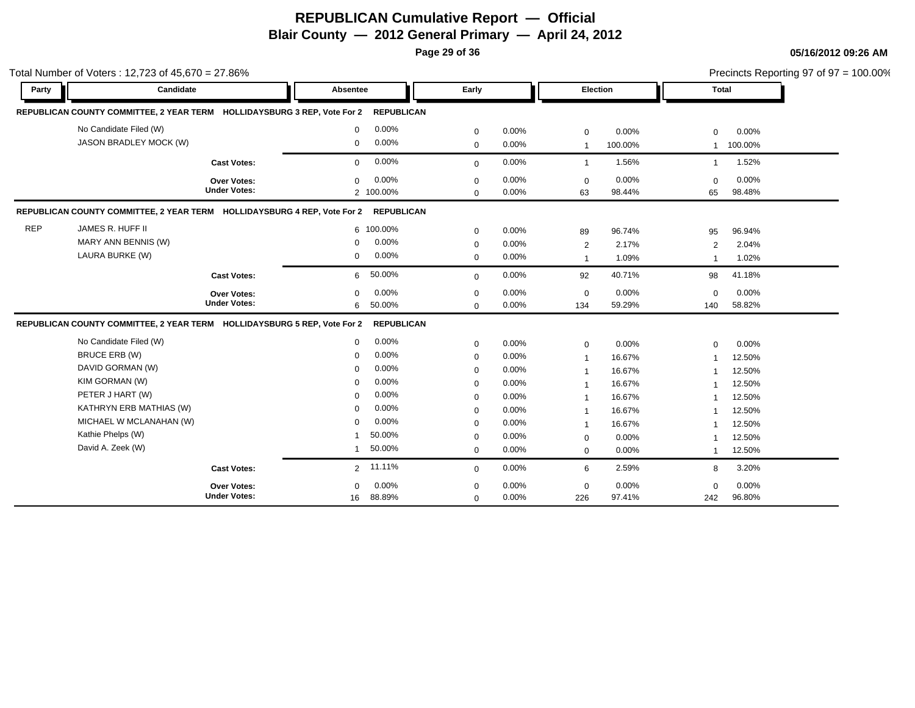**Page 29 of 36**

|            | Total Number of Voters: 12,723 of 45,670 = 27.86%                        |                     |                 |                   |             |       |                |         |                |         | Precincts Reporting 97 of $97 = 100.00\%$ |
|------------|--------------------------------------------------------------------------|---------------------|-----------------|-------------------|-------------|-------|----------------|---------|----------------|---------|-------------------------------------------|
| Party      | Candidate                                                                |                     | <b>Absentee</b> |                   | Early       |       | Election       |         | <b>Total</b>   |         |                                           |
|            | REPUBLICAN COUNTY COMMITTEE, 2 YEAR TERM HOLLIDAYSBURG 3 REP, Vote For 2 |                     |                 | <b>REPUBLICAN</b> |             |       |                |         |                |         |                                           |
|            | No Candidate Filed (W)                                                   |                     | $\mathbf 0$     | 0.00%             | $\mathbf 0$ | 0.00% | $\mathbf 0$    | 0.00%   | $\mathbf 0$    | 0.00%   |                                           |
|            | JASON BRADLEY MOCK (W)                                                   |                     | $\mathbf 0$     | 0.00%             | $\mathbf 0$ | 0.00% | $\overline{1}$ | 100.00% | $\mathbf{1}$   | 100.00% |                                           |
|            |                                                                          | <b>Cast Votes:</b>  | $\mathbf 0$     | 0.00%             | $\mathbf 0$ | 0.00% | $\overline{1}$ | 1.56%   | $\overline{1}$ | 1.52%   |                                           |
|            |                                                                          | Over Votes:         | $\Omega$        | 0.00%             | $\mathbf 0$ | 0.00% | $\mathbf 0$    | 0.00%   | $\Omega$       | 0.00%   |                                           |
|            |                                                                          | <b>Under Votes:</b> |                 | 2 100.00%         | $\mathbf 0$ | 0.00% | 63             | 98.44%  | 65             | 98.48%  |                                           |
|            | REPUBLICAN COUNTY COMMITTEE, 2 YEAR TERM HOLLIDAYSBURG 4 REP, Vote For 2 |                     |                 | <b>REPUBLICAN</b> |             |       |                |         |                |         |                                           |
| <b>REP</b> | JAMES R. HUFF II                                                         |                     |                 | 6 100.00%         | $\mathbf 0$ | 0.00% | 89             | 96.74%  | 95             | 96.94%  |                                           |
|            | MARY ANN BENNIS (W)                                                      |                     | $\mathbf 0$     | 0.00%             | $\mathbf 0$ | 0.00% | 2              | 2.17%   | 2              | 2.04%   |                                           |
|            | LAURA BURKE (W)                                                          |                     | $\mathbf 0$     | 0.00%             | $\mathbf 0$ | 0.00% | $\mathbf{1}$   | 1.09%   | $\overline{1}$ | 1.02%   |                                           |
|            |                                                                          | <b>Cast Votes:</b>  | 6               | 50.00%            | $\mathbf 0$ | 0.00% | 92             | 40.71%  | 98             | 41.18%  |                                           |
|            |                                                                          | <b>Over Votes:</b>  | $\mathbf 0$     | 0.00%             | $\mathbf 0$ | 0.00% | $\mathbf 0$    | 0.00%   | $\mathbf 0$    | 0.00%   |                                           |
|            |                                                                          | <b>Under Votes:</b> | 6               | 50.00%            | $\Omega$    | 0.00% | 134            | 59.29%  | 140            | 58.82%  |                                           |
|            | REPUBLICAN COUNTY COMMITTEE, 2 YEAR TERM HOLLIDAYSBURG 5 REP, Vote For 2 |                     |                 | <b>REPUBLICAN</b> |             |       |                |         |                |         |                                           |
|            | No Candidate Filed (W)                                                   |                     | $\mathbf 0$     | 0.00%             | $\mathbf 0$ | 0.00% | $\mathbf 0$    | 0.00%   | $\mathbf 0$    | 0.00%   |                                           |
|            | <b>BRUCE ERB (W)</b>                                                     |                     | $\mathbf 0$     | 0.00%             | $\mathbf 0$ | 0.00% | $\overline{1}$ | 16.67%  | $\overline{1}$ | 12.50%  |                                           |
|            | DAVID GORMAN (W)                                                         |                     | $\mathbf 0$     | 0.00%             | $\mathbf 0$ | 0.00% | $\overline{1}$ | 16.67%  | $\mathbf 1$    | 12.50%  |                                           |
|            | KIM GORMAN (W)                                                           |                     | $\mathbf 0$     | 0.00%             | 0           | 0.00% | $\overline{1}$ | 16.67%  |                | 12.50%  |                                           |
|            | PETER J HART (W)                                                         |                     | 0               | 0.00%             | $\mathbf 0$ | 0.00% | $\overline{1}$ | 16.67%  | -1             | 12.50%  |                                           |
|            | KATHRYN ERB MATHIAS (W)                                                  |                     | $\mathbf 0$     | 0.00%             | $\mathbf 0$ | 0.00% | $\overline{1}$ | 16.67%  | $\overline{1}$ | 12.50%  |                                           |
|            | MICHAEL W MCLANAHAN (W)                                                  |                     | $\Omega$        | 0.00%             | $\mathbf 0$ | 0.00% | $\mathbf{1}$   | 16.67%  |                | 12.50%  |                                           |
|            | Kathie Phelps (W)                                                        |                     |                 | 50.00%            | $\mathbf 0$ | 0.00% | $\mathbf 0$    | 0.00%   |                | 12.50%  |                                           |
|            | David A. Zeek (W)                                                        |                     | $\mathbf{1}$    | 50.00%            | $\mathbf 0$ | 0.00% | $\mathbf 0$    | 0.00%   | $\mathbf{1}$   | 12.50%  |                                           |
|            |                                                                          | <b>Cast Votes:</b>  | $\overline{2}$  | 11.11%            | $\mathbf 0$ | 0.00% | 6              | 2.59%   | 8              | 3.20%   |                                           |
|            |                                                                          | <b>Over Votes:</b>  | $\Omega$        | 0.00%             | $\mathbf 0$ | 0.00% | $\mathbf 0$    | 0.00%   | $\mathbf 0$    | 0.00%   |                                           |
|            |                                                                          | <b>Under Votes:</b> | 16              | 88.89%            | $\mathbf 0$ | 0.00% | 226            | 97.41%  | 242            | 96.80%  |                                           |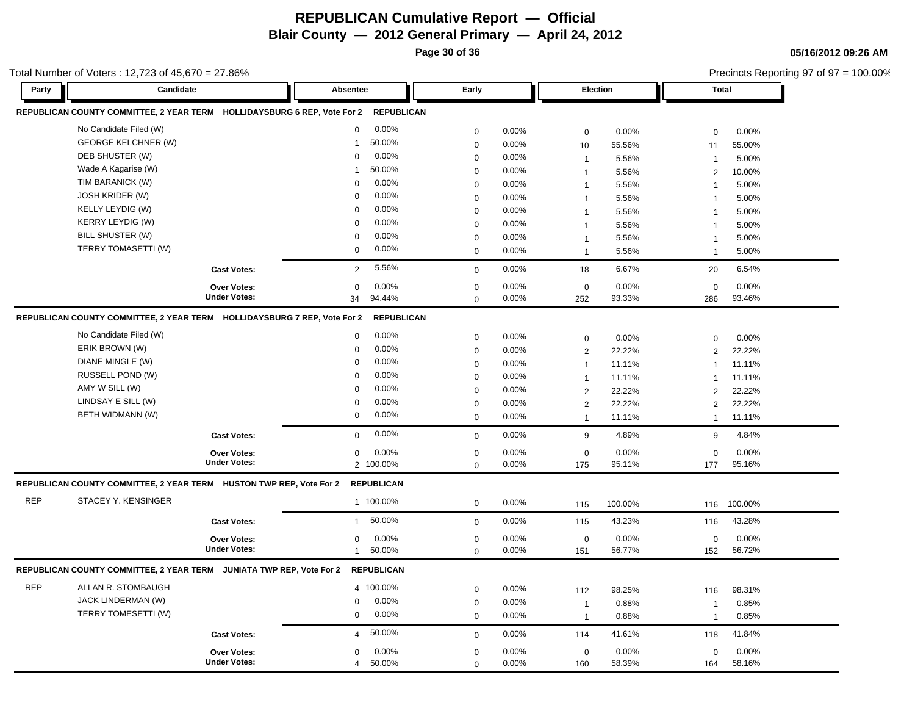**Page 30 of 36**

**05/16/2012 09:26 AM**

|            | Total Number of Voters: 12,723 of 45,670 = 27.86%                        |                     |                          |                  |       |                 |         |                | Precincts Reporting 97 of 97 = 100.00% |
|------------|--------------------------------------------------------------------------|---------------------|--------------------------|------------------|-------|-----------------|---------|----------------|----------------------------------------|
| Party      | Candidate                                                                |                     | Absentee                 | Early            |       | <b>Election</b> |         | <b>Total</b>   |                                        |
|            | REPUBLICAN COUNTY COMMITTEE, 2 YEAR TERM HOLLIDAYSBURG 6 REP, Vote For 2 |                     | <b>REPUBLICAN</b>        |                  |       |                 |         |                |                                        |
|            | No Candidate Filed (W)                                                   |                     | 0.00%<br>$\mathbf 0$     | $\mathbf 0$      | 0.00% | $\mathbf 0$     | 0.00%   | $\mathbf 0$    | 0.00%                                  |
|            | <b>GEORGE KELCHNER (W)</b>                                               |                     | 50.00%<br>$\overline{1}$ | $\mathbf 0$      | 0.00% | 10              | 55.56%  | 11             | 55.00%                                 |
|            | DEB SHUSTER (W)                                                          |                     | 0.00%<br>$\mathbf 0$     | $\mathbf 0$      | 0.00% | $\overline{1}$  | 5.56%   | $\mathbf{1}$   | 5.00%                                  |
|            | Wade A Kagarise (W)                                                      |                     | 50.00%<br>-1             | $\mathbf 0$      | 0.00% | $\mathbf 1$     | 5.56%   | 2              | 10.00%                                 |
|            | TIM BARANICK (W)                                                         |                     | 0.00%<br>$\mathbf 0$     | $\mathbf 0$      | 0.00% | $\overline{1}$  | 5.56%   | $\overline{1}$ | 5.00%                                  |
|            | JOSH KRIDER (W)                                                          |                     | 0.00%<br>0               | $\mathbf 0$      | 0.00% | $\mathbf{1}$    | 5.56%   | $\mathbf{1}$   | 5.00%                                  |
|            | KELLY LEYDIG (W)                                                         |                     | 0.00%<br>$\mathbf 0$     | $\mathbf 0$      | 0.00% | $\overline{1}$  | 5.56%   | $\mathbf{1}$   | 5.00%                                  |
|            | <b>KERRY LEYDIG (W)</b>                                                  |                     | 0.00%<br>$\Omega$        | $\mathbf 0$      | 0.00% | $\mathbf{1}$    | 5.56%   | $\overline{1}$ | 5.00%                                  |
|            | BILL SHUSTER (W)                                                         |                     | 0.00%<br>0               | $\boldsymbol{0}$ | 0.00% | $\mathbf 1$     | 5.56%   | $\mathbf{1}$   | 5.00%                                  |
|            | TERRY TOMASETTI (W)                                                      |                     | 0.00%<br>0               | $\mathbf 0$      | 0.00% | $\mathbf{1}$    | 5.56%   | $\mathbf{1}$   | 5.00%                                  |
|            |                                                                          | <b>Cast Votes:</b>  | 5.56%<br>$\overline{2}$  | $\mathbf 0$      | 0.00% | 18              | 6.67%   | 20             | 6.54%                                  |
|            |                                                                          | Over Votes:         | 0.00%<br>0               | $\mathbf 0$      | 0.00% | $\pmb{0}$       | 0.00%   | $\mathbf 0$    | 0.00%                                  |
|            |                                                                          | <b>Under Votes:</b> | 94.44%<br>34             | $\Omega$         | 0.00% | 252             | 93.33%  | 286            | 93.46%                                 |
|            | REPUBLICAN COUNTY COMMITTEE, 2 YEAR TERM HOLLIDAYSBURG 7 REP, Vote For 2 |                     | <b>REPUBLICAN</b>        |                  |       |                 |         |                |                                        |
|            | No Candidate Filed (W)                                                   |                     | 0.00%<br>$\mathbf 0$     | $\mathbf 0$      | 0.00% | $\mathbf 0$     | 0.00%   | $\mathbf 0$    | 0.00%                                  |
|            | ERIK BROWN (W)                                                           |                     | 0.00%<br>0               | $\mathbf 0$      | 0.00% | $\overline{2}$  | 22.22%  | 2              | 22.22%                                 |
|            | DIANE MINGLE (W)                                                         |                     | 0.00%<br>$\mathbf 0$     | $\mathbf 0$      | 0.00% | $\overline{1}$  | 11.11%  | $\overline{1}$ | 11.11%                                 |
|            | RUSSELL POND (W)                                                         |                     | 0.00%<br>$\mathbf 0$     | $\mathbf 0$      | 0.00% | $\overline{1}$  | 11.11%  | $\mathbf{1}$   | 11.11%                                 |
|            | AMY W SILL (W)                                                           |                     | 0.00%<br>0               | $\mathbf 0$      | 0.00% | $\overline{2}$  | 22.22%  | 2              | 22.22%                                 |
|            | LINDSAY E SILL (W)                                                       |                     | 0.00%<br>0               | $\mathbf 0$      | 0.00% | $\overline{2}$  | 22.22%  | 2              | 22.22%                                 |
|            | BETH WIDMANN (W)                                                         |                     | 0.00%<br>0               | $\mathbf 0$      | 0.00% | $\mathbf{1}$    | 11.11%  | $\mathbf{1}$   | 11.11%                                 |
|            |                                                                          | <b>Cast Votes:</b>  | 0.00%<br>0               | $\mathbf 0$      | 0.00% | 9               | 4.89%   | 9              | 4.84%                                  |
|            |                                                                          | Over Votes:         | 0.00%<br>0               | $\mathbf 0$      | 0.00% | $\mathbf 0$     | 0.00%   | $\mathbf 0$    | 0.00%                                  |
|            |                                                                          | <b>Under Votes:</b> | 2 100.00%                | $\mathbf 0$      | 0.00% | 175             | 95.11%  | 177            | 95.16%                                 |
|            | REPUBLICAN COUNTY COMMITTEE, 2 YEAR TERM HUSTON TWP REP, Vote For 2      |                     | <b>REPUBLICAN</b>        |                  |       |                 |         |                |                                        |
| <b>REP</b> | STACEY Y. KENSINGER                                                      |                     | 1 100.00%                | $\mathbf 0$      | 0.00% | 115             | 100.00% | 116            | 100.00%                                |
|            |                                                                          | <b>Cast Votes:</b>  | 50.00%<br>$\mathbf{1}$   | $\mathbf 0$      | 0.00% | 115             | 43.23%  | 116            | 43.28%                                 |
|            |                                                                          | Over Votes:         | 0.00%<br>0               | $\mathbf 0$      | 0.00% | $\pmb{0}$       | 0.00%   | $\mathbf 0$    | 0.00%                                  |
|            |                                                                          | <b>Under Votes:</b> | 50.00%<br>$\mathbf{1}$   | $\mathbf 0$      | 0.00% | 151             | 56.77%  | 152            | 56.72%                                 |
|            | REPUBLICAN COUNTY COMMITTEE, 2 YEAR TERM JUNIATA TWP REP, Vote For 2     |                     | <b>REPUBLICAN</b>        |                  |       |                 |         |                |                                        |
| <b>REP</b> | ALLAN R. STOMBAUGH                                                       |                     | 4 100.00%                | $\mathbf 0$      | 0.00% | 112             | 98.25%  | 116            | 98.31%                                 |
|            | JACK LINDERMAN (W)                                                       |                     | $0.00\%$<br>0            | $\mathbf 0$      | 0.00% | $\overline{1}$  | 0.88%   | $\overline{1}$ | 0.85%                                  |
|            | TERRY TOMESETTI (W)                                                      |                     | 0.00%<br>0               | $\mathbf 0$      | 0.00% | $\overline{1}$  | 0.88%   | $\mathbf{1}$   | 0.85%                                  |
|            |                                                                          | <b>Cast Votes:</b>  | 50.00%<br>$\overline{4}$ | $\mathbf 0$      | 0.00% | 114             | 41.61%  | 118            | 41.84%                                 |
|            |                                                                          | Over Votes:         | 0.00%<br>0               | $\mathbf 0$      | 0.00% | $\mathbf 0$     | 0.00%   | $\mathbf 0$    | 0.00%                                  |
|            |                                                                          | <b>Under Votes:</b> | 50.00%<br>$\overline{4}$ | $\mathbf 0$      | 0.00% | 160             | 58.39%  | 164            | 58.16%                                 |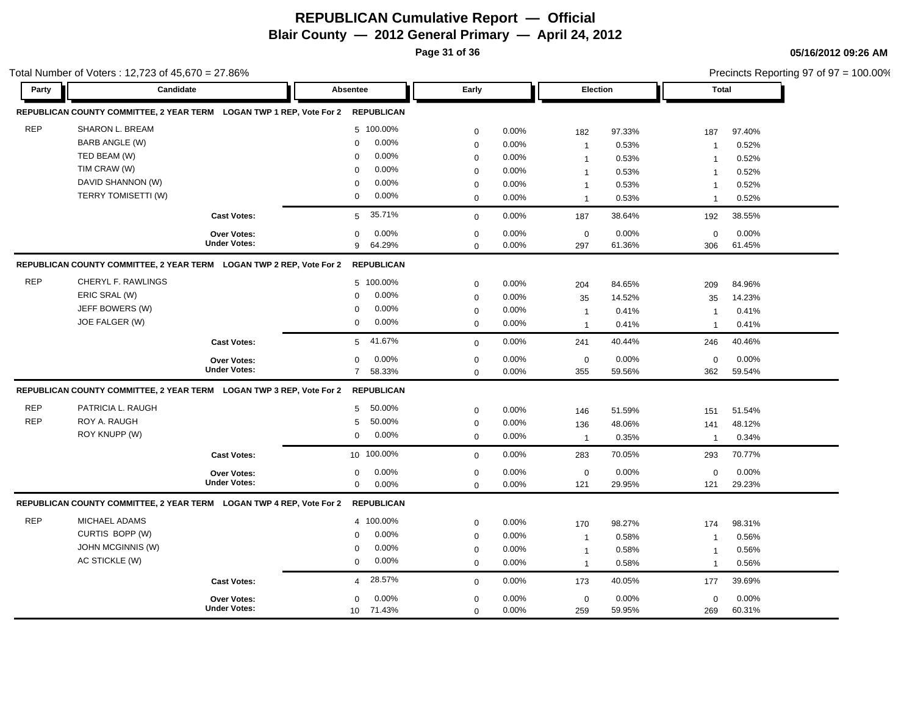**Page 31 of 36**

Total Number of Voters : 12,723 of 45,670 = 27.86%

**05/16/2012 09:26 AM**

Precincts Reporting 97 of 97 = 100.00%

| Party      | Candidate                                                            |                     | Absentee                 | Early       |          | Election       |        | <b>Total</b>   |        |
|------------|----------------------------------------------------------------------|---------------------|--------------------------|-------------|----------|----------------|--------|----------------|--------|
|            | REPUBLICAN COUNTY COMMITTEE, 2 YEAR TERM LOGAN TWP 1 REP, Vote For 2 |                     | <b>REPUBLICAN</b>        |             |          |                |        |                |        |
| <b>REP</b> | SHARON L. BREAM                                                      |                     | 5 100.00%                | $\mathbf 0$ | 0.00%    | 182            | 97.33% | 187            | 97.40% |
|            | <b>BARB ANGLE (W)</b>                                                |                     | 0.00%<br>$\mathbf 0$     | $\mathbf 0$ | 0.00%    | $\mathbf{1}$   | 0.53%  | $\mathbf{1}$   | 0.52%  |
|            | TED BEAM (W)                                                         |                     | 0.00%<br>$\Omega$        | $\mathbf 0$ | 0.00%    | $\mathbf{1}$   | 0.53%  | $\mathbf{1}$   | 0.52%  |
|            | TIM CRAW (W)                                                         |                     | 0.00%<br>$\Omega$        | $\mathbf 0$ | 0.00%    | $\mathbf{1}$   | 0.53%  | $\mathbf{1}$   | 0.52%  |
|            | DAVID SHANNON (W)                                                    |                     | 0.00%<br>$\Omega$        | $\mathbf 0$ | 0.00%    | $\mathbf{1}$   | 0.53%  | $\overline{1}$ | 0.52%  |
|            | <b>TERRY TOMISETTI (W)</b>                                           |                     | 0.00%<br>$\mathbf 0$     | $\mathbf 0$ | 0.00%    | $\mathbf{1}$   | 0.53%  | $\overline{1}$ | 0.52%  |
|            |                                                                      | <b>Cast Votes:</b>  | 35.71%<br>5              | $\mathbf 0$ | 0.00%    | 187            | 38.64% | 192            | 38.55% |
|            |                                                                      | Over Votes:         | 0.00%<br>$\Omega$        | $\pmb{0}$   | 0.00%    | $\mathbf 0$    | 0.00%  | $\mathbf 0$    | 0.00%  |
|            |                                                                      | <b>Under Votes:</b> | 64.29%<br>9              | $\mathbf 0$ | 0.00%    | 297            | 61.36% | 306            | 61.45% |
|            | REPUBLICAN COUNTY COMMITTEE, 2 YEAR TERM LOGAN TWP 2 REP, Vote For 2 |                     | <b>REPUBLICAN</b>        |             |          |                |        |                |        |
| <b>REP</b> | CHERYL F. RAWLINGS                                                   |                     | 5 100.00%                | $\mathbf 0$ | 0.00%    | 204            | 84.65% | 209            | 84.96% |
|            | ERIC SRAL (W)                                                        |                     | 0.00%<br>$\mathbf 0$     | $\mathbf 0$ | 0.00%    | 35             | 14.52% | 35             | 14.23% |
|            | JEFF BOWERS (W)                                                      |                     | 0.00%<br>$\mathbf 0$     | $\mathbf 0$ | 0.00%    | $\mathbf{1}$   | 0.41%  | $\overline{1}$ | 0.41%  |
|            | JOE FALGER (W)                                                       |                     | 0.00%<br>$\mathbf 0$     | $\mathbf 0$ | 0.00%    | $\mathbf{1}$   | 0.41%  | $\mathbf{1}$   | 0.41%  |
|            |                                                                      | <b>Cast Votes:</b>  | 41.67%<br>5              | $\mathbf 0$ | $0.00\%$ | 241            | 40.44% | 246            | 40.46% |
|            |                                                                      | Over Votes:         | $\mathbf 0$<br>0.00%     | $\mathbf 0$ | 0.00%    | $\mathbf 0$    | 0.00%  | $\mathbf 0$    | 0.00%  |
|            |                                                                      | <b>Under Votes:</b> | 58.33%<br>$7^{\circ}$    | $\mathbf 0$ | 0.00%    | 355            | 59.56% | 362            | 59.54% |
|            | REPUBLICAN COUNTY COMMITTEE, 2 YEAR TERM LOGAN TWP 3 REP, Vote For 2 |                     | <b>REPUBLICAN</b>        |             |          |                |        |                |        |
| <b>REP</b> | PATRICIA L. RAUGH                                                    |                     | 50.00%<br>5              | $\mathbf 0$ | $0.00\%$ | 146            | 51.59% | 151            | 51.54% |
| <b>REP</b> | ROY A. RAUGH                                                         |                     | 50.00%<br>5              | $\mathbf 0$ | 0.00%    | 136            | 48.06% | 141            | 48.12% |
|            | ROY KNUPP (W)                                                        |                     | 0.00%<br>$\mathbf 0$     | $\mathbf 0$ | 0.00%    | $\overline{1}$ | 0.35%  | $\overline{1}$ | 0.34%  |
|            |                                                                      | <b>Cast Votes:</b>  | 10 100.00%               | $\mathbf 0$ | 0.00%    | 283            | 70.05% | 293            | 70.77% |
|            |                                                                      | Over Votes:         | 0.00%<br>0               | $\mathbf 0$ | 0.00%    | $\mathbf 0$    | 0.00%  | $\mathbf 0$    | 0.00%  |
|            |                                                                      | <b>Under Votes:</b> | 0.00%<br>$\mathbf 0$     | $\mathbf 0$ | 0.00%    | 121            | 29.95% | 121            | 29.23% |
|            | REPUBLICAN COUNTY COMMITTEE, 2 YEAR TERM LOGAN TWP 4 REP, Vote For 2 |                     | <b>REPUBLICAN</b>        |             |          |                |        |                |        |
| <b>REP</b> | MICHAEL ADAMS                                                        |                     | 4 100.00%                | $\mathbf 0$ | 0.00%    | 170            | 98.27% | 174            | 98.31% |
|            | CURTIS BOPP (W)                                                      |                     | 0.00%<br>$\mathbf 0$     | $\mathbf 0$ | 0.00%    | $\mathbf{1}$   | 0.58%  | $\overline{1}$ | 0.56%  |
|            | JOHN MCGINNIS (W)                                                    |                     | 0.00%<br>$\Omega$        | $\mathbf 0$ | 0.00%    | $\mathbf{1}$   | 0.58%  | $\mathbf{1}$   | 0.56%  |
|            | AC STICKLE (W)                                                       |                     | 0.00%<br>$\mathbf 0$     | $\mathbf 0$ | 0.00%    | $\mathbf{1}$   | 0.58%  | $\overline{1}$ | 0.56%  |
|            |                                                                      | <b>Cast Votes:</b>  | 28.57%<br>$\overline{4}$ | $\mathbf 0$ | 0.00%    | 173            | 40.05% | 177            | 39.69% |
|            |                                                                      | Over Votes:         | 0.00%<br>$\Omega$        | $\mathbf 0$ | 0.00%    | $\mathbf 0$    | 0.00%  | $\mathbf 0$    | 0.00%  |
|            |                                                                      | <b>Under Votes:</b> | 10 71.43%                | $\mathbf 0$ | 0.00%    | 259            | 59.95% | 269            | 60.31% |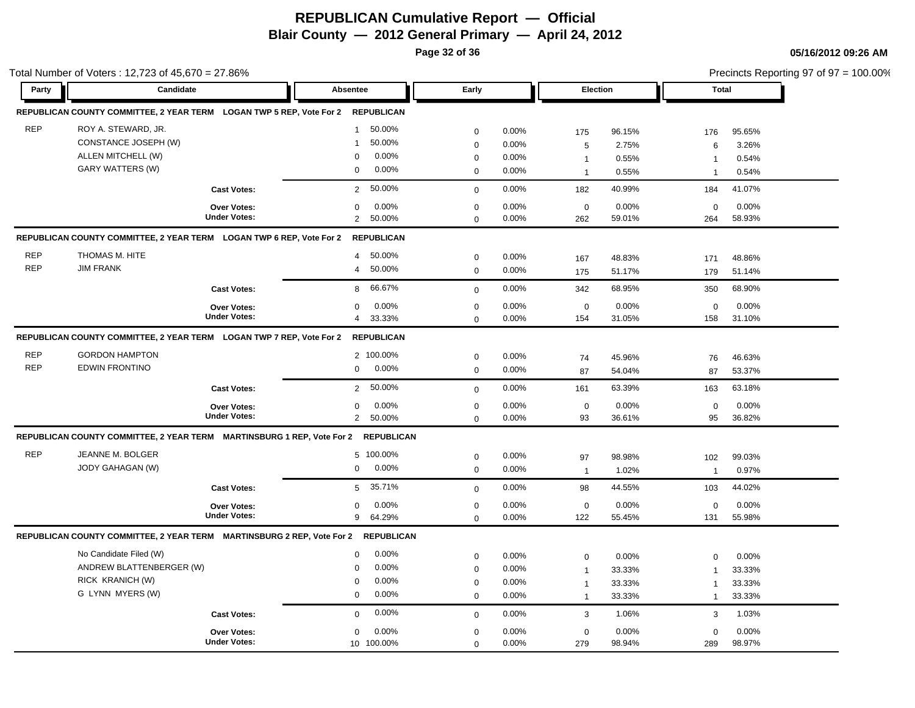**Page 32 of 36**

|            | Total Number of Voters: 12,723 of 45,670 = 27.86%                               |                     |                          |             |       |              |        |                | Precincts Reporting 97 of 97 = 100.00% |
|------------|---------------------------------------------------------------------------------|---------------------|--------------------------|-------------|-------|--------------|--------|----------------|----------------------------------------|
| Party      | Candidate                                                                       |                     | Absentee                 | Early       |       | Election     |        | <b>Total</b>   |                                        |
|            | REPUBLICAN COUNTY COMMITTEE, 2 YEAR TERM LOGAN TWP 5 REP, Vote For 2 REPUBLICAN |                     |                          |             |       |              |        |                |                                        |
| <b>REP</b> | ROY A. STEWARD, JR.                                                             |                     | 50.00%<br>$\mathbf{1}$   | $\mathbf 0$ | 0.00% | 175          | 96.15% | 176            | 95.65%                                 |
|            | CONSTANCE JOSEPH (W)                                                            |                     | 50.00%<br>$\mathbf 1$    | $\mathbf 0$ | 0.00% | 5            | 2.75%  | 6              | 3.26%                                  |
|            | ALLEN MITCHELL (W)                                                              |                     | 0.00%<br>$\mathbf 0$     | $\mathbf 0$ | 0.00% | $\mathbf{1}$ | 0.55%  | $\mathbf{1}$   | 0.54%                                  |
|            | GARY WATTERS (W)                                                                |                     | 0.00%<br>$\mathbf 0$     | $\mathbf 0$ | 0.00% | $\mathbf{1}$ | 0.55%  |                | 0.54%                                  |
|            |                                                                                 | <b>Cast Votes:</b>  | 50.00%<br>$\overline{2}$ | $\mathbf 0$ | 0.00% | 182          | 40.99% | 184            | 41.07%                                 |
|            |                                                                                 | <b>Over Votes:</b>  | 0.00%<br>$\mathbf 0$     | $\mathbf 0$ | 0.00% | $\mathbf 0$  | 0.00%  | $\mathbf 0$    | 0.00%                                  |
|            |                                                                                 | <b>Under Votes:</b> | $\overline{2}$<br>50.00% | $\mathbf 0$ | 0.00% | 262          | 59.01% | 264            | 58.93%                                 |
|            | REPUBLICAN COUNTY COMMITTEE, 2 YEAR TERM LOGAN TWP 6 REP, Vote For 2            |                     | <b>REPUBLICAN</b>        |             |       |              |        |                |                                        |
| <b>REP</b> | THOMAS M. HITE                                                                  |                     | 50.00%<br>$\overline{4}$ | $\mathbf 0$ | 0.00% | 167          | 48.83% | 171            | 48.86%                                 |
| <b>REP</b> | <b>JIM FRANK</b>                                                                |                     | 50.00%<br>$\overline{4}$ | $\mathbf 0$ | 0.00% | 175          | 51.17% | 179            | 51.14%                                 |
|            |                                                                                 | <b>Cast Votes:</b>  | 66.67%<br>8              | $\mathbf 0$ | 0.00% | 342          | 68.95% | 350            | 68.90%                                 |
|            |                                                                                 | <b>Over Votes:</b>  | 0.00%<br>$\Omega$        | $\mathbf 0$ | 0.00% | $\mathbf 0$  | 0.00%  | $\mathbf 0$    | 0.00%                                  |
|            |                                                                                 | <b>Under Votes:</b> | 33.33%<br>$\overline{4}$ | $\Omega$    | 0.00% | 154          | 31.05% | 158            | 31.10%                                 |
|            | REPUBLICAN COUNTY COMMITTEE, 2 YEAR TERM LOGAN TWP 7 REP, Vote For 2            |                     | <b>REPUBLICAN</b>        |             |       |              |        |                |                                        |
| <b>REP</b> | <b>GORDON HAMPTON</b>                                                           |                     | 2 100.00%                | $\mathbf 0$ | 0.00% | 74           | 45.96% | 76             | 46.63%                                 |
| <b>REP</b> | <b>EDWIN FRONTINO</b>                                                           |                     | 0.00%<br>$\mathbf 0$     | $\mathbf 0$ | 0.00% | 87           | 54.04% | 87             | 53.37%                                 |
|            |                                                                                 | <b>Cast Votes:</b>  | 50.00%<br>$\overline{2}$ | $\mathbf 0$ | 0.00% | 161          | 63.39% | 163            | 63.18%                                 |
|            |                                                                                 | <b>Over Votes:</b>  | 0.00%<br>$\mathbf 0$     | $\mathbf 0$ | 0.00% | $\mathbf 0$  | 0.00%  | $\mathbf 0$    | 0.00%                                  |
|            |                                                                                 | <b>Under Votes:</b> | $\overline{2}$<br>50.00% | $\Omega$    | 0.00% | 93           | 36.61% | 95             | 36.82%                                 |
|            | REPUBLICAN COUNTY COMMITTEE, 2 YEAR TERM    MARTINSBURG 1 REP, Vote For 2       |                     | <b>REPUBLICAN</b>        |             |       |              |        |                |                                        |
| <b>REP</b> | JEANNE M. BOLGER                                                                |                     | 5 100.00%                | $\mathbf 0$ | 0.00% | 97           | 98.98% | 102            | 99.03%                                 |
|            | JODY GAHAGAN (W)                                                                |                     | 0.00%<br>$\mathbf 0$     | $\mathbf 0$ | 0.00% | $\mathbf{1}$ | 1.02%  | $\mathbf{1}$   | 0.97%                                  |
|            |                                                                                 | <b>Cast Votes:</b>  | 35.71%<br>5              | $\mathbf 0$ | 0.00% | 98           | 44.55% | 103            | 44.02%                                 |
|            |                                                                                 | <b>Over Votes:</b>  | 0.00%<br>$\mathbf 0$     | $\mathbf 0$ | 0.00% | $\mathbf 0$  | 0.00%  | $\mathbf 0$    | 0.00%                                  |
|            |                                                                                 | <b>Under Votes:</b> | 64.29%<br>9              | $\mathbf 0$ | 0.00% | 122          | 55.45% | 131            | 55.98%                                 |
|            | REPUBLICAN COUNTY COMMITTEE, 2 YEAR TERM MARTINSBURG 2 REP, Vote For 2          |                     | <b>REPUBLICAN</b>        |             |       |              |        |                |                                        |
|            | No Candidate Filed (W)                                                          |                     | 0.00%<br>$\mathbf 0$     | $\mathbf 0$ | 0.00% | $\mathbf 0$  | 0.00%  | $\mathbf 0$    | 0.00%                                  |
|            | ANDREW BLATTENBERGER (W)                                                        |                     | 0.00%<br>$\Omega$        | $\mathbf 0$ | 0.00% | $\mathbf{1}$ | 33.33% |                | 33.33%                                 |
|            | RICK KRANICH (W)                                                                |                     | 0.00%<br>$\mathbf 0$     | $\mathbf 0$ | 0.00% | $\mathbf{1}$ | 33.33% | $\overline{1}$ | 33.33%                                 |
|            | G LYNN MYERS (W)                                                                |                     | 0.00%<br>$\Omega$        | $\mathbf 0$ | 0.00% | $\mathbf{1}$ | 33.33% | $\overline{1}$ | 33.33%                                 |
|            |                                                                                 | <b>Cast Votes:</b>  | 0.00%<br>$\Omega$        | $\mathbf 0$ | 0.00% | 3            | 1.06%  | 3              | 1.03%                                  |
|            |                                                                                 | <b>Over Votes:</b>  | 0.00%<br>$\mathbf 0$     | $\mathbf 0$ | 0.00% | $\mathbf 0$  | 0.00%  | $\mathbf 0$    | 0.00%                                  |
|            |                                                                                 | <b>Under Votes:</b> | 10 100.00%               | $\Omega$    | 0.00% | 279          | 98.94% | 289            | 98.97%                                 |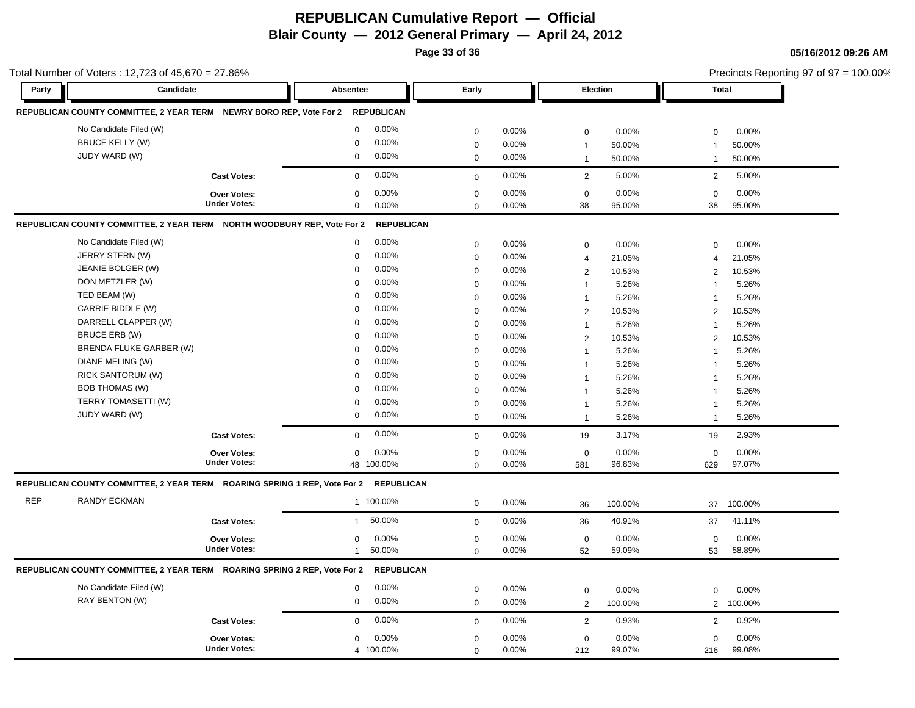**Page 33 of 36**

|            | Total Number of Voters: 12,723 of 45,670 = 27.86%                                    |                        |             |       |                                |         |                         | Precincts Reporting 97 of 97 = 100.00% |
|------------|--------------------------------------------------------------------------------------|------------------------|-------------|-------|--------------------------------|---------|-------------------------|----------------------------------------|
| Party      | Candidate                                                                            | Absentee               | Early       |       | Election                       |         | <b>Total</b>            |                                        |
|            | REPUBLICAN COUNTY COMMITTEE, 2 YEAR TERM NEWRY BORO REP, Vote For 2                  | REPUBLICAN             |             |       |                                |         |                         |                                        |
|            | No Candidate Filed (W)                                                               | $\mathbf 0$<br>0.00%   | $\mathbf 0$ | 0.00% | $\mathbf 0$                    | 0.00%   | 0                       | 0.00%                                  |
|            | <b>BRUCE KELLY (W)</b>                                                               | 0.00%<br>$\mathbf 0$   | $\mathbf 0$ | 0.00% | $\overline{1}$                 | 50.00%  | $\overline{1}$          | 50.00%                                 |
|            | JUDY WARD (W)                                                                        | $\mathbf 0$<br>0.00%   | $\mathbf 0$ | 0.00% | $\overline{1}$                 | 50.00%  | $\mathbf{1}$            | 50.00%                                 |
|            | <b>Cast Votes:</b>                                                                   | 0.00%<br>$\mathbf 0$   | $\mathbf 0$ | 0.00% | 2                              | 5.00%   | 2                       | 5.00%                                  |
|            | <b>Over Votes:</b>                                                                   | 0.00%<br>$\mathbf 0$   | $\mathbf 0$ | 0.00% | $\mathbf 0$                    | 0.00%   | $\mathbf 0$             | 0.00%                                  |
|            | <b>Under Votes:</b>                                                                  | 0.00%<br>$\mathbf 0$   | $\mathbf 0$ | 0.00% | 38                             | 95.00%  | 38                      | 95.00%                                 |
|            | REPUBLICAN COUNTY COMMITTEE, 2 YEAR TERM NORTH WOODBURY REP, Vote For 2              | <b>REPUBLICAN</b>      |             |       |                                |         |                         |                                        |
|            | No Candidate Filed (W)                                                               | 0.00%<br>0             | $\mathbf 0$ | 0.00% | $\mathbf 0$                    | 0.00%   | $\mathbf 0$             | 0.00%                                  |
|            | JERRY STERN (W)                                                                      | 0.00%<br>$\Omega$      | $\mathbf 0$ | 0.00% | $\overline{4}$                 | 21.05%  | $\overline{4}$          | 21.05%                                 |
|            | JEANIE BOLGER (W)                                                                    | 0.00%<br>$\mathbf 0$   | $\mathbf 0$ | 0.00% | 2                              | 10.53%  | 2                       | 10.53%                                 |
|            | DON METZLER (W)                                                                      | 0.00%<br>$\mathbf 0$   | $\mathbf 0$ | 0.00% | $\mathbf{1}$                   | 5.26%   | $\overline{1}$          | 5.26%                                  |
|            | TED BEAM (W)                                                                         | 0.00%<br>$\Omega$      | $\mathbf 0$ | 0.00% | $\overline{1}$                 | 5.26%   | 1                       | 5.26%                                  |
|            | CARRIE BIDDLE (W)                                                                    | 0.00%<br>$\mathbf 0$   | $\mathbf 0$ | 0.00% | 2                              | 10.53%  | 2                       | 10.53%                                 |
|            | DARRELL CLAPPER (W)                                                                  | 0.00%<br>$\mathbf 0$   | $\mathbf 0$ | 0.00% |                                | 5.26%   | $\overline{1}$          | 5.26%                                  |
|            | BRUCE ERB (W)                                                                        | 0.00%<br>$\Omega$      | $\mathbf 0$ | 0.00% | $\mathbf{1}$<br>$\overline{2}$ | 10.53%  | 2                       | 10.53%                                 |
|            | BRENDA FLUKE GARBER (W)                                                              | 0.00%<br>$\mathbf 0$   | $\mathbf 0$ | 0.00% |                                |         |                         |                                        |
|            | DIANE MELING (W)                                                                     | 0.00%<br>$\mathbf 0$   | $\mathbf 0$ | 0.00% | $\mathbf{1}$                   | 5.26%   | $\overline{1}$          | 5.26%                                  |
|            | <b>RICK SANTORUM (W)</b>                                                             | 0.00%<br>$\Omega$      |             |       | $\mathbf{1}$                   | 5.26%   | $\overline{1}$          | 5.26%                                  |
|            | <b>BOB THOMAS (W)</b>                                                                | 0.00%<br>$\mathbf 0$   | $\mathbf 0$ | 0.00% | $\overline{1}$                 | 5.26%   | $\overline{\mathbf{1}}$ | 5.26%                                  |
|            | TERRY TOMASETTI (W)                                                                  |                        | $\mathbf 0$ | 0.00% | 1                              | 5.26%   | $\overline{1}$          | 5.26%                                  |
|            |                                                                                      | 0.00%<br>$\mathbf 0$   | $\mathbf 0$ | 0.00% | $\mathbf{1}$                   | 5.26%   | $\overline{1}$          | 5.26%                                  |
|            | JUDY WARD (W)                                                                        | 0.00%<br>$\mathbf 0$   | $\mathbf 0$ | 0.00% | $\overline{1}$                 | 5.26%   | $\overline{1}$          | 5.26%                                  |
|            | <b>Cast Votes:</b>                                                                   | 0.00%<br>$\mathbf 0$   | $\mathbf 0$ | 0.00% | 19                             | 3.17%   | 19                      | 2.93%                                  |
|            | <b>Over Votes:</b>                                                                   | 0.00%<br>$\mathbf 0$   | $\mathbf 0$ | 0.00% | $\mathbf 0$                    | 0.00%   | $\mathbf 0$             | 0.00%                                  |
|            | <b>Under Votes:</b>                                                                  | 48 100.00%             | $\mathbf 0$ | 0.00% | 581                            | 96.83%  | 629                     | 97.07%                                 |
|            | REPUBLICAN COUNTY COMMITTEE, 2 YEAR TERM ROARING SPRING 1 REP, Vote For 2 REPUBLICAN |                        |             |       |                                |         |                         |                                        |
| <b>REP</b> | <b>RANDY ECKMAN</b>                                                                  | 1 100.00%              | $\mathbf 0$ | 0.00% | 36                             | 100.00% | 37                      | 100.00%                                |
|            | <b>Cast Votes:</b>                                                                   | 50.00%<br>$\mathbf{1}$ | $\mathbf 0$ | 0.00% | 36                             | 40.91%  | 37                      | 41.11%                                 |
|            | <b>Over Votes:</b>                                                                   | 0.00%<br>$\mathbf 0$   | $\mathbf 0$ | 0.00% | $\mathbf 0$                    | 0.00%   | $\mathbf 0$             | 0.00%                                  |
|            | <b>Under Votes:</b>                                                                  | 50.00%<br>$\mathbf{1}$ | $\Omega$    | 0.00% | 52                             | 59.09%  | 53                      | 58.89%                                 |
|            | REPUBLICAN COUNTY COMMITTEE, 2 YEAR TERM ROARING SPRING 2 REP, Vote For 2            | <b>REPUBLICAN</b>      |             |       |                                |         |                         |                                        |
|            | No Candidate Filed (W)                                                               | 0.00%<br>$\mathbf 0$   | $\mathbf 0$ | 0.00% | $\mathbf 0$                    | 0.00%   | $\Omega$                | 0.00%                                  |
|            | RAY BENTON (W)                                                                       | 0.00%<br>$\mathbf 0$   | $\mathbf 0$ | 0.00% | 2                              | 100.00% | 2                       | 100.00%                                |
|            | <b>Cast Votes:</b>                                                                   | 0.00%<br>$\mathbf 0$   | $\mathbf 0$ | 0.00% | $\overline{2}$                 | 0.93%   | 2                       | 0.92%                                  |
|            | <b>Over Votes:</b>                                                                   | 0.00%<br>0             | $\mathbf 0$ | 0.00% | $\mathbf 0$                    | 0.00%   | 0                       | 0.00%                                  |
|            | <b>Under Votes:</b>                                                                  | 4 100.00%              | $\mathbf 0$ | 0.00% | 212                            | 99.07%  | 216                     | 99.08%                                 |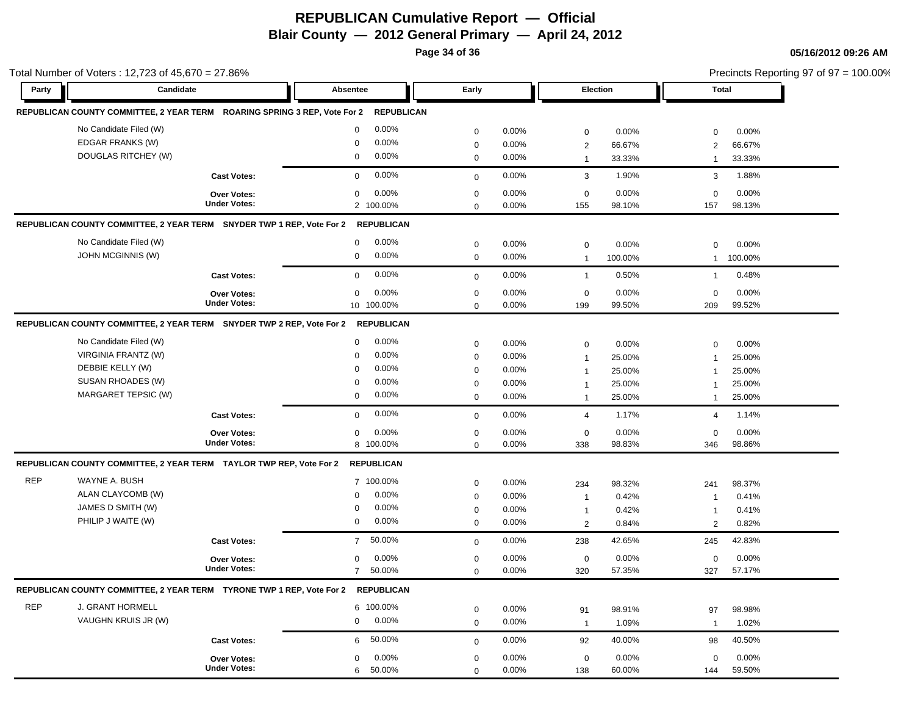**Page 34 of 36**

|            | Total Number of Voters: 12,723 of 45,670 = 27.86%                                |                     |                          |             |          |                |                 |                | Precincts Reporting 97 of 97 = 100.00% |  |
|------------|----------------------------------------------------------------------------------|---------------------|--------------------------|-------------|----------|----------------|-----------------|----------------|----------------------------------------|--|
| Party      | Candidate                                                                        |                     | Absentee                 | Early       |          |                | <b>Election</b> | Total          |                                        |  |
|            | REPUBLICAN COUNTY COMMITTEE, 2 YEAR TERM ROARING SPRING 3 REP, Vote For 2        |                     | <b>REPUBLICAN</b>        |             |          |                |                 |                |                                        |  |
|            | No Candidate Filed (W)                                                           |                     | $0.00\%$<br>$\mathbf 0$  | $\mathbf 0$ | 0.00%    | $\mathbf 0$    | 0.00%           | $\mathbf 0$    | 0.00%                                  |  |
|            | EDGAR FRANKS (W)                                                                 |                     | $0.00\%$<br>$\mathbf 0$  | $\mathbf 0$ | 0.00%    | $\overline{2}$ | 66.67%          | $\overline{2}$ | 66.67%                                 |  |
|            | DOUGLAS RITCHEY (W)                                                              |                     | $0.00\%$<br>0            | $\mathbf 0$ | 0.00%    | $\mathbf{1}$   | 33.33%          | $\mathbf 1$    | 33.33%                                 |  |
|            |                                                                                  | <b>Cast Votes:</b>  | 0.00%<br>$\mathbf 0$     | $\mathbf 0$ | 0.00%    | 3              | 1.90%           | 3              | 1.88%                                  |  |
|            |                                                                                  | <b>Over Votes:</b>  | 0.00%<br>$\mathbf 0$     | $\mathbf 0$ | 0.00%    | 0              | 0.00%           | $\mathbf 0$    | 0.00%                                  |  |
|            |                                                                                  | <b>Under Votes:</b> | 2 100.00%                | $\Omega$    | 0.00%    | 155            | 98.10%          | 157            | 98.13%                                 |  |
|            | REPUBLICAN COUNTY COMMITTEE, 2 YEAR TERM SNYDER TWP 1 REP, Vote For 2            |                     | <b>REPUBLICAN</b>        |             |          |                |                 |                |                                        |  |
|            | No Candidate Filed (W)                                                           |                     | 0.00%<br>0               | $\mathbf 0$ | $0.00\%$ | $\mathbf 0$    | 0.00%           | $\mathbf 0$    | 0.00%                                  |  |
|            | <b>JOHN MCGINNIS (W)</b>                                                         |                     | 0.00%<br>0               | $\mathbf 0$ | $0.00\%$ | $\mathbf{1}$   | 100.00%         | $\mathbf{1}$   | 100.00%                                |  |
|            |                                                                                  | <b>Cast Votes:</b>  | $0.00\%$<br>$\mathbf 0$  | $\mathbf 0$ | 0.00%    | $\overline{1}$ | 0.50%           | $\mathbf 1$    | 0.48%                                  |  |
|            |                                                                                  | <b>Over Votes:</b>  | 0.00%<br>0               | $\mathbf 0$ | 0.00%    | 0              | 0.00%           | $\mathbf 0$    | 0.00%                                  |  |
|            |                                                                                  | <b>Under Votes:</b> | 10 100.00%               | $\Omega$    | 0.00%    | 199            | 99.50%          | 209            | 99.52%                                 |  |
|            | REPUBLICAN COUNTY COMMITTEE, 2 YEAR TERM SNYDER TWP 2 REP, Vote For 2            |                     | <b>REPUBLICAN</b>        |             |          |                |                 |                |                                        |  |
|            | No Candidate Filed (W)                                                           |                     | $0.00\%$<br>$\mathbf 0$  | $\mathbf 0$ | 0.00%    | $\mathbf 0$    | 0.00%           | $\mathbf 0$    | 0.00%                                  |  |
|            | VIRGINIA FRANTZ (W)                                                              |                     | 0.00%<br>0               | $\mathbf 0$ | 0.00%    | $\mathbf{1}$   | 25.00%          | $\overline{1}$ | 25.00%                                 |  |
|            | DEBBIE KELLY (W)                                                                 |                     | 0.00%<br>$\mathbf 0$     | $\mathbf 0$ | 0.00%    | $\mathbf{1}$   | 25.00%          | $\mathbf 1$    | 25.00%                                 |  |
|            | SUSAN RHOADES (W)                                                                |                     | 0.00%<br>$\mathbf 0$     | $\mathbf 0$ | 0.00%    | $\mathbf{1}$   | 25.00%          | $\mathbf 1$    | 25.00%                                 |  |
|            | MARGARET TEPSIC (W)                                                              |                     | $0.00\%$<br>0            | $\mathbf 0$ | $0.00\%$ | $\mathbf{1}$   | 25.00%          | $\overline{1}$ | 25.00%                                 |  |
|            |                                                                                  | <b>Cast Votes:</b>  | 0.00%<br>$\mathbf 0$     | $\mathbf 0$ | 0.00%    | $\overline{4}$ | 1.17%           | $\overline{4}$ | 1.14%                                  |  |
|            |                                                                                  | <b>Over Votes:</b>  | 0.00%<br>$\mathbf 0$     | $\mathbf 0$ | 0.00%    | $\mathbf 0$    | 0.00%           | $\mathbf 0$    | 0.00%                                  |  |
|            |                                                                                  | <b>Under Votes:</b> | 8 100.00%                | $\mathbf 0$ | 0.00%    | 338            | 98.83%          | 346            | 98.86%                                 |  |
|            | REPUBLICAN COUNTY COMMITTEE, 2 YEAR TERM TAYLOR TWP REP, Vote For 2              |                     | <b>REPUBLICAN</b>        |             |          |                |                 |                |                                        |  |
| <b>REP</b> | WAYNE A. BUSH                                                                    |                     | 7 100.00%                | $\mathbf 0$ | 0.00%    | 234            | 98.32%          | 241            | 98.37%                                 |  |
|            | ALAN CLAYCOMB (W)                                                                |                     | 0.00%<br>$\mathbf 0$     | $\mathbf 0$ | $0.00\%$ | $\mathbf{1}$   | 0.42%           | $\mathbf 1$    | 0.41%                                  |  |
|            | JAMES D SMITH (W)                                                                |                     | 0.00%<br>$\mathbf 0$     | $\mathbf 0$ | 0.00%    | $\mathbf{1}$   | 0.42%           | -1             | 0.41%                                  |  |
|            | PHILIP J WAITE (W)                                                               |                     | 0<br>$0.00\%$            | $\mathbf 0$ | 0.00%    | 2              | 0.84%           | 2              | 0.82%                                  |  |
|            |                                                                                  | <b>Cast Votes:</b>  | 50.00%<br>$\overline{7}$ | $\mathbf 0$ | 0.00%    | 238            | 42.65%          | 245            | 42.83%                                 |  |
|            |                                                                                  | <b>Over Votes:</b>  | 0.00%<br>$\mathbf 0$     | $\mathbf 0$ | 0.00%    | $\mathbf 0$    | 0.00%           | $\mathbf 0$    | 0.00%                                  |  |
|            |                                                                                  | <b>Under Votes:</b> | 50.00%<br>$\overline{7}$ | $\mathbf 0$ | 0.00%    | 320            | 57.35%          | 327            | 57.17%                                 |  |
|            | REPUBLICAN COUNTY COMMITTEE, 2 YEAR TERM TYRONE TWP 1 REP, Vote For 2 REPUBLICAN |                     |                          |             |          |                |                 |                |                                        |  |
| <b>REP</b> | J. GRANT HORMELL                                                                 |                     | 6 100.00%                | $\mathbf 0$ | 0.00%    | 91             | 98.91%          | 97             | 98.98%                                 |  |
|            | VAUGHN KRUIS JR (W)                                                              |                     | $0.00\%$<br>0            | $\mathbf 0$ | 0.00%    | $\mathbf{1}$   | 1.09%           | $\mathbf{1}$   | 1.02%                                  |  |
|            |                                                                                  | <b>Cast Votes:</b>  | 50.00%<br>6              | $\mathbf 0$ | 0.00%    | 92             | 40.00%          | 98             | 40.50%                                 |  |
|            |                                                                                  | Over Votes:         | $0.00\%$<br>0            | $\mathbf 0$ | $0.00\%$ | $\mathbf 0$    | 0.00%           | $\mathbf 0$    | 0.00%                                  |  |
|            |                                                                                  | <b>Under Votes:</b> | 6<br>50.00%              | $\Omega$    | $0.00\%$ | 138            | 60.00%          | 144            | 59.50%                                 |  |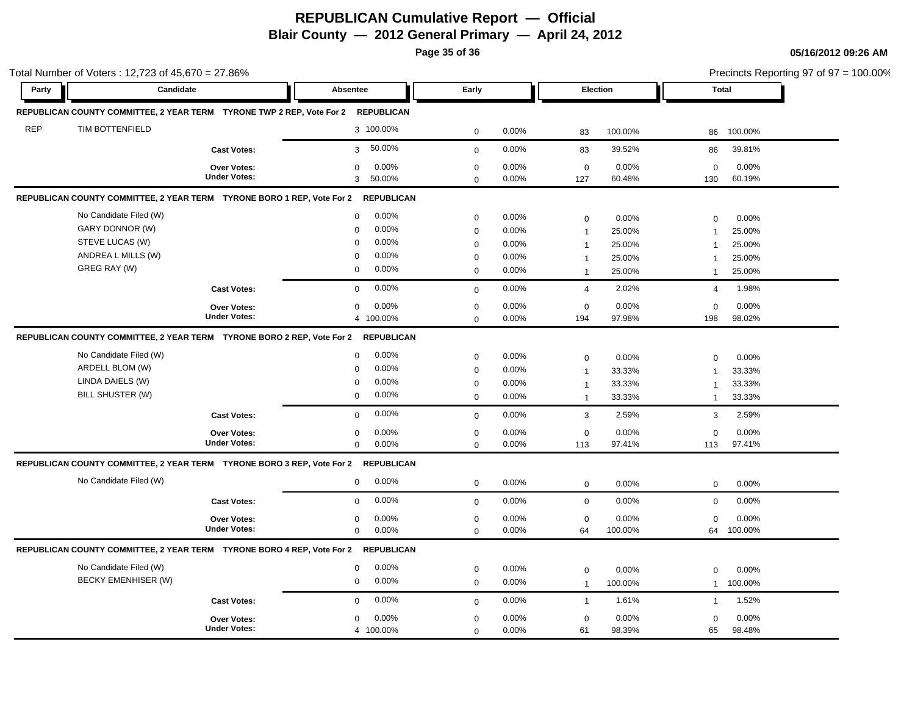**Page 35 of 36**

|            | Total Number of Voters: 12,723 of 45,670 = 27.86%<br>Candidate                    |                                    |                                              |                            |                |                             |                  |                             | Precincts Reporting 97 of 97 = 100.00% |
|------------|-----------------------------------------------------------------------------------|------------------------------------|----------------------------------------------|----------------------------|----------------|-----------------------------|------------------|-----------------------------|----------------------------------------|
| Party      |                                                                                   |                                    | Absentee                                     | Early                      |                | Election                    |                  | <b>Total</b>                |                                        |
|            | REPUBLICAN COUNTY COMMITTEE, 2 YEAR TERM TYRONE TWP 2 REP, Vote For 2 REPUBLICAN  |                                    |                                              |                            |                |                             |                  |                             |                                        |
| <b>REP</b> | TIM BOTTENFIELD                                                                   |                                    | 3 100.00%                                    | $\mathbf 0$                | 0.00%          | 83                          | 100.00%          | 86                          | 100.00%                                |
|            |                                                                                   | <b>Cast Votes:</b>                 | 50.00%<br>3                                  | $\mathbf{0}$               | 0.00%          | 83                          | 39.52%           | 86                          | 39.81%                                 |
|            |                                                                                   | Over Votes:                        | $\mathbf 0$<br>0.00%                         | $\mathbf 0$                | 0.00%          | $\mathbf 0$                 | 0.00%            | $\mathbf 0$                 | 0.00%                                  |
|            |                                                                                   | <b>Under Votes:</b>                | 3 <sup>1</sup><br>50.00%                     | $\Omega$                   | 0.00%          | 127                         | 60.48%           | 130                         | 60.19%                                 |
|            | REPUBLICAN COUNTY COMMITTEE, 2 YEAR TERM TYRONE BORO 1 REP, Vote For 2 REPUBLICAN |                                    |                                              |                            |                |                             |                  |                             |                                        |
|            | No Candidate Filed (W)                                                            |                                    | 0.00%<br>$\mathbf 0$                         | $\mathbf 0$                | 0.00%          | $\mathbf 0$                 | 0.00%            | $\Omega$                    | 0.00%                                  |
|            | GARY DONNOR (W)                                                                   |                                    | 0.00%<br>$\Omega$                            | $\mathbf 0$                | 0.00%          | $\overline{1}$              | 25.00%           | $\mathbf{1}$                | 25.00%                                 |
|            | STEVE LUCAS (W)                                                                   |                                    | 0.00%<br>$\Omega$                            | $\mathbf 0$                | 0.00%          | $\mathbf 1$                 | 25.00%           | $\overline{1}$              | 25.00%                                 |
|            | ANDREA L MILLS (W)                                                                |                                    | 0.00%<br>$\Omega$                            | $\mathbf 0$                | 0.00%          | $\overline{1}$              | 25.00%           | $\overline{1}$              | 25.00%                                 |
|            | GREG RAY (W)                                                                      |                                    | 0.00%<br>0                                   | $\mathbf 0$                | 0.00%          | $\mathbf 1$                 | 25.00%           | $\mathbf{1}$                | 25.00%                                 |
|            |                                                                                   | <b>Cast Votes:</b>                 | 0.00%<br>$\mathbf 0$                         | $\mathbf{0}$               | 0.00%          | $\overline{4}$              | 2.02%            | $\overline{4}$              | 1.98%                                  |
|            |                                                                                   | <b>Over Votes:</b>                 | 0.00%<br>$\mathbf 0$                         | $\mathbf 0$                | 0.00%          | $\mathbf 0$                 | 0.00%            | $\mathbf 0$                 | 0.00%                                  |
|            |                                                                                   | <b>Under Votes:</b>                | 4 100.00%                                    | $\Omega$                   | 0.00%          | 194                         | 97.98%           | 198                         | 98.02%                                 |
|            | REPUBLICAN COUNTY COMMITTEE, 2 YEAR TERM TYRONE BORO 2 REP, Vote For 2 REPUBLICAN |                                    |                                              |                            |                |                             |                  |                             |                                        |
|            | No Candidate Filed (W)                                                            |                                    | 0.00%<br>$\mathbf 0$                         | $\mathbf 0$                | 0.00%          | $\mathbf 0$                 | 0.00%            | $\Omega$                    | 0.00%                                  |
|            | ARDELL BLOM (W)                                                                   |                                    | 0.00%<br>$\mathbf 0$                         | $\mathbf 0$                | 0.00%          | $\overline{1}$              | 33.33%           | 1                           | 33.33%                                 |
|            | LINDA DAIELS (W)                                                                  |                                    | 0.00%<br>$\Omega$                            | $\pmb{0}$                  | 0.00%          | $\overline{1}$              | 33.33%           | $\overline{1}$              | 33.33%                                 |
|            | BILL SHUSTER (W)                                                                  |                                    | 0.00%<br>$\mathbf 0$                         | $\mathbf 0$                | 0.00%          | $\mathbf{1}$                | 33.33%           | 1                           | 33.33%                                 |
|            |                                                                                   | <b>Cast Votes:</b>                 | 0.00%<br>$\Omega$                            | $\mathbf 0$                | 0.00%          | $\mathbf{3}$                | 2.59%            | 3                           | 2.59%                                  |
|            |                                                                                   | Over Votes:                        | 0.00%<br>$\mathbf 0$                         | $\mathbf 0$                | 0.00%          | $\mathbf 0$                 | 0.00%            | $\mathbf 0$                 | 0.00%                                  |
|            |                                                                                   | <b>Under Votes:</b>                | 0.00%<br>$\mathbf 0$                         | $\mathbf 0$                | 0.00%          | 113                         | 97.41%           | 113                         | 97.41%                                 |
|            | REPUBLICAN COUNTY COMMITTEE, 2 YEAR TERM TYRONE BORO 3 REP, Vote For 2 REPUBLICAN |                                    |                                              |                            |                |                             |                  |                             |                                        |
|            | No Candidate Filed (W)                                                            |                                    | 0.00%<br>$\mathbf{0}$                        | $\mathbf 0$                | 0.00%          | $\mathbf 0$                 | 0.00%            | $\mathbf 0$                 | 0.00%                                  |
|            |                                                                                   |                                    | 0.00%<br>$\mathbf 0$                         | $\mathbf{0}$               | 0.00%          | $\mathbf 0$                 | 0.00%            | $\mathbf 0$                 | 0.00%                                  |
|            |                                                                                   | <b>Cast Votes:</b>                 |                                              |                            |                |                             |                  |                             |                                        |
|            |                                                                                   |                                    |                                              |                            |                |                             |                  |                             |                                        |
|            |                                                                                   | Over Votes:<br><b>Under Votes:</b> | 0.00%<br>$\mathbf 0$<br>0.00%<br>$\mathbf 0$ | $\mathbf 0$<br>$\mathbf 0$ | 0.00%<br>0.00% | $\mathbf 0$<br>64           | 0.00%<br>100.00% | $\Omega$<br>64              | 0.00%<br>100.00%                       |
|            |                                                                                   |                                    |                                              |                            |                |                             |                  |                             |                                        |
|            | REPUBLICAN COUNTY COMMITTEE, 2 YEAR TERM TYRONE BORO 4 REP, Vote For 2 REPUBLICAN |                                    |                                              |                            |                |                             |                  |                             |                                        |
|            | No Candidate Filed (W)<br><b>BECKY EMENHISER (W)</b>                              |                                    | 0.00%<br>$\mathbf 0$<br>$\mathbf 0$<br>0.00% | $\mathbf 0$                | 0.00%          | $\mathbf 0$                 | 0.00%            | $\mathbf 0$                 | 0.00%                                  |
|            |                                                                                   |                                    |                                              | $\mathbf 0$                | 0.00%          | $\overline{1}$              | 100.00%          | $\mathbf{1}$                | 100.00%                                |
|            |                                                                                   | <b>Cast Votes:</b><br>Over Votes:  | 0.00%<br>$\Omega$<br>0.00%<br>$\mathbf 0$    | $\mathbf 0$<br>$\mathbf 0$ | 0.00%<br>0.00% | $\mathbf{1}$<br>$\mathbf 0$ | 1.61%<br>0.00%   | $\mathbf{1}$<br>$\mathbf 0$ | 1.52%<br>0.00%                         |